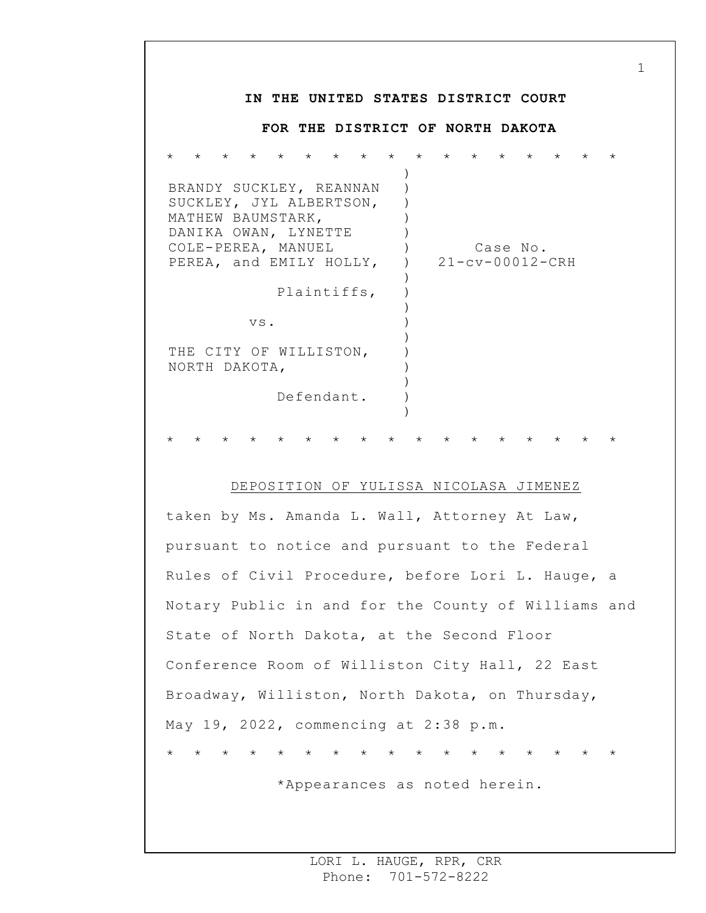## **IN THE UNITED STATES DISTRICT COURT FOR THE DISTRICT OF NORTH DAKOTA** \* \* \* \* \* \* \* \* \* \* \* \* \* \* \* \* \* BRANDY SUCKLEY, REANNAN SUCKLEY, JYL ALBERTSON, MATHEW BAUMSTARK, DANIKA OWAN, LYNETTE COLE-PEREA, MANUEL PEREA, and EMILY HOLLY, Plaintiffs, vs. THE CITY OF WILLISTON, NORTH DAKOTA, Defendant. ) ) ) )  $\left( \right)$  $)$  $\left( \right)$ )  $\left( \right)$ ) ) ) ) ) ) ) ) Case No. 21-cv-00012-CRH \* \* \* \* \* \* \* \* \* \* \* \* \* \* \* \* \*

1

## DEPOSITION OF YULISSA NICOLASA JIMENEZ

taken by Ms. Amanda L. Wall, Attorney At Law, pursuant to notice and pursuant to the Federal Rules of Civil Procedure, before Lori L. Hauge, a Notary Public in and for the County of Williams and State of North Dakota, at the Second Floor Conference Room of Williston City Hall, 22 East Broadway, Williston, North Dakota, on Thursday, May 19, 2022, commencing at 2:38 p.m. \* \* \* \* \* \* \* \* \* \* \* \* \* \* \* \* \*

\*Appearances as noted herein.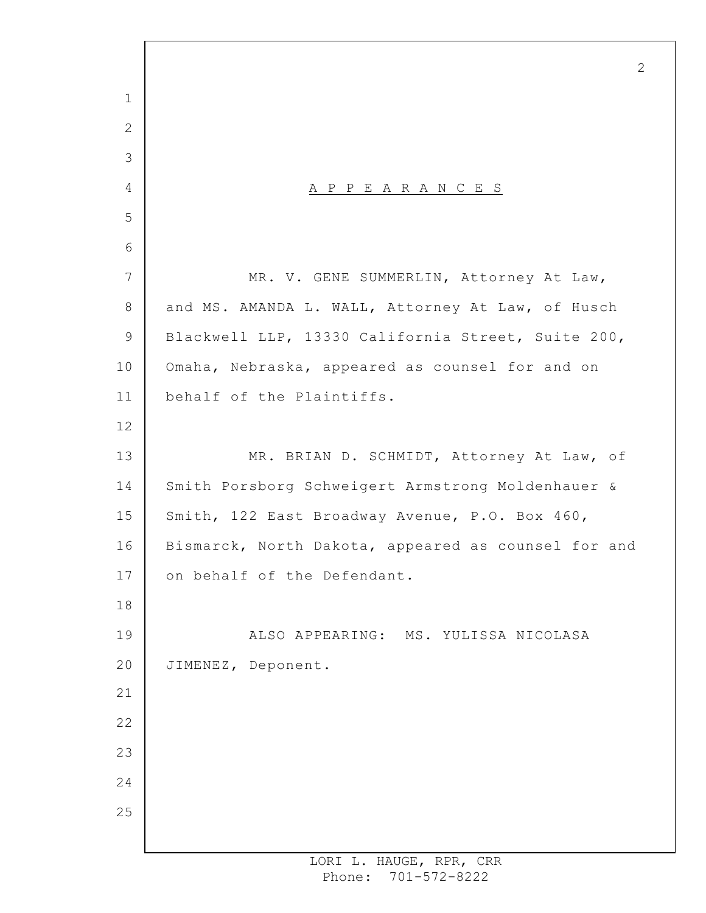A P P E A R A N C E S MR. V. GENE SUMMERLIN, Attorney At Law, and MS. AMANDA L. WALL, Attorney At Law, of Husch Blackwell LLP, 13330 California Street, Suite 200, Omaha, Nebraska, appeared as counsel for and on behalf of the Plaintiffs. MR. BRIAN D. SCHMIDT, Attorney At Law, of Smith Porsborg Schweigert Armstrong Moldenhauer & Smith, 122 East Broadway Avenue, P.O. Box 460, Bismarck, North Dakota, appeared as counsel for and on behalf of the Defendant. ALSO APPEARING: MS. YULISSA NICOLASA JIMENEZ, Deponent.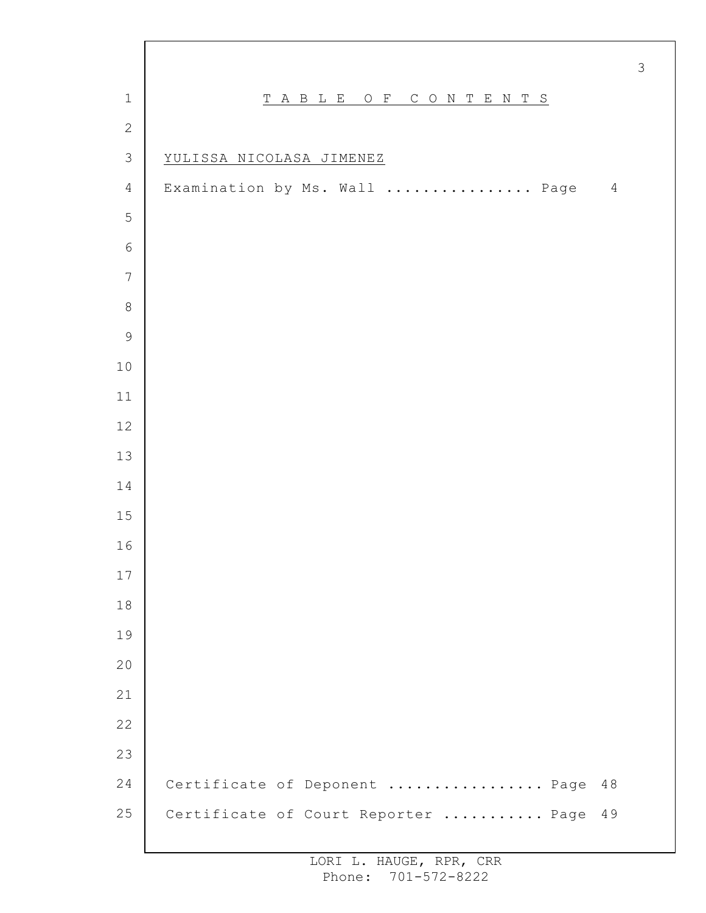|                |                                                 | $\mathcal{S}$ |
|----------------|-------------------------------------------------|---------------|
| $\mathbf 1$    | TABLE OF CONTENTS                               |               |
| $\mathbf{2}$   |                                                 |               |
| $\mathfrak{Z}$ | YULISSA NICOLASA JIMENEZ                        |               |
| $\overline{4}$ | Examination by Ms. Wall  Page<br>$\overline{4}$ |               |
| 5              |                                                 |               |
| $\sqrt{6}$     |                                                 |               |
| $\overline{7}$ |                                                 |               |
| $\,8\,$        |                                                 |               |
| $\mathsf 9$    |                                                 |               |
| $10$           |                                                 |               |
| $11$           |                                                 |               |
| 12             |                                                 |               |
| 13             |                                                 |               |
| 14             |                                                 |               |
| 15             |                                                 |               |
| 16             |                                                 |               |
| 17             |                                                 |               |
| $18\,$         |                                                 |               |
| 19             |                                                 |               |
| $20$           |                                                 |               |
| 21             |                                                 |               |
| 22             |                                                 |               |
| 23             |                                                 |               |
| 24             | Certificate of Deponent  Page<br>48             |               |
| 25             | Certificate of Court Reporter  Page<br>49       |               |
|                |                                                 |               |

 $\Gamma$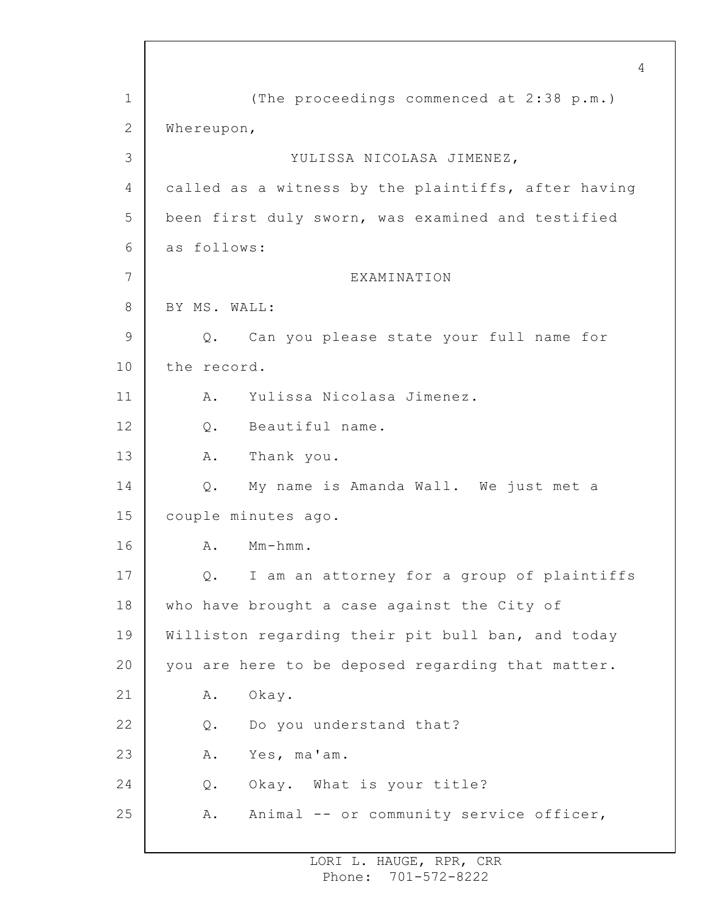1 2 3 4 5 6 7 8 9 10 11 12 13 14 15 16 17 18 19 20 21 22 23 24 25 4 (The proceedings commenced at 2:38 p.m.) Whereupon, YULISSA NICOLASA JIMENEZ, called as a witness by the plaintiffs, after having been first duly sworn, was examined and testified as follows: EXAMINATION BY MS. WALL: Q. Can you please state your full name for the record. A. Yulissa Nicolasa Jimenez. Q. Beautiful name. A. Thank you. Q. My name is Amanda Wall. We just met a couple minutes ago. A. Mm-hmm. Q. I am an attorney for a group of plaintiffs who have brought a case against the City of Williston regarding their pit bull ban, and today you are here to be deposed regarding that matter. A. Okay. Q. Do you understand that? A. Yes, ma'am. Q. Okay. What is your title? A. Animal -- or community service officer,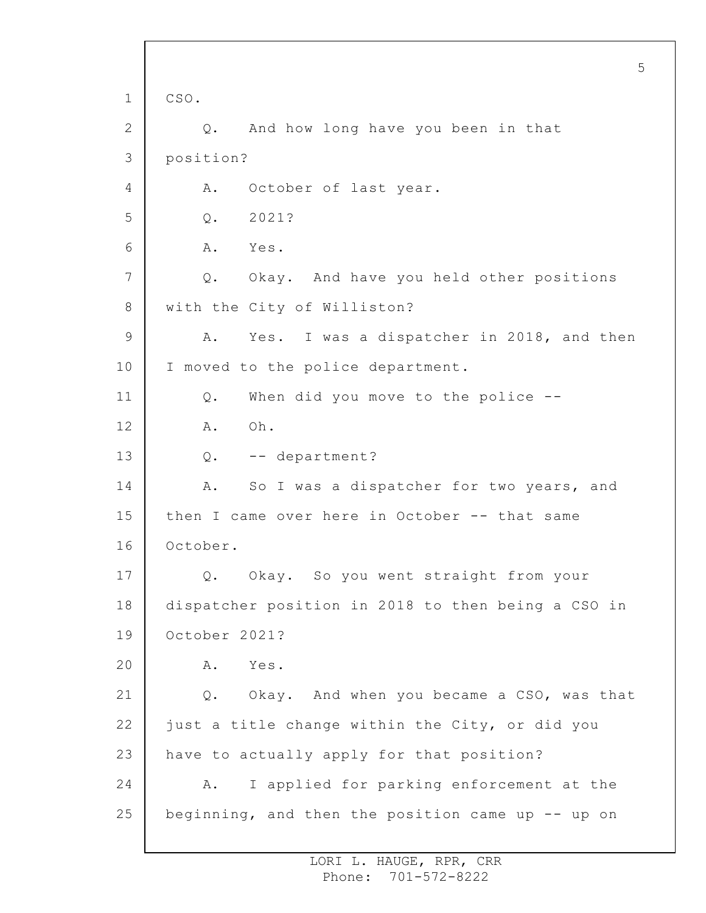1 2 3 4 5 6 7 8 9 10 11 12 13 14 15 16 17 18 19 20 21 22 23 24 25 5 CSO. Q. And how long have you been in that position? A. October of last year. Q. 2021? A. Yes. Q. Okay. And have you held other positions with the City of Williston? A. Yes. I was a dispatcher in 2018, and then I moved to the police department. Q. When did you move to the police -- A. Oh. Q. -- department? A. So I was a dispatcher for two years, and then I came over here in October -- that same October. Q. Okay. So you went straight from your dispatcher position in 2018 to then being a CSO in October 2021? A. Yes. Q. Okay. And when you became a CSO, was that just a title change within the City, or did you have to actually apply for that position? A. I applied for parking enforcement at the beginning, and then the position came up -- up on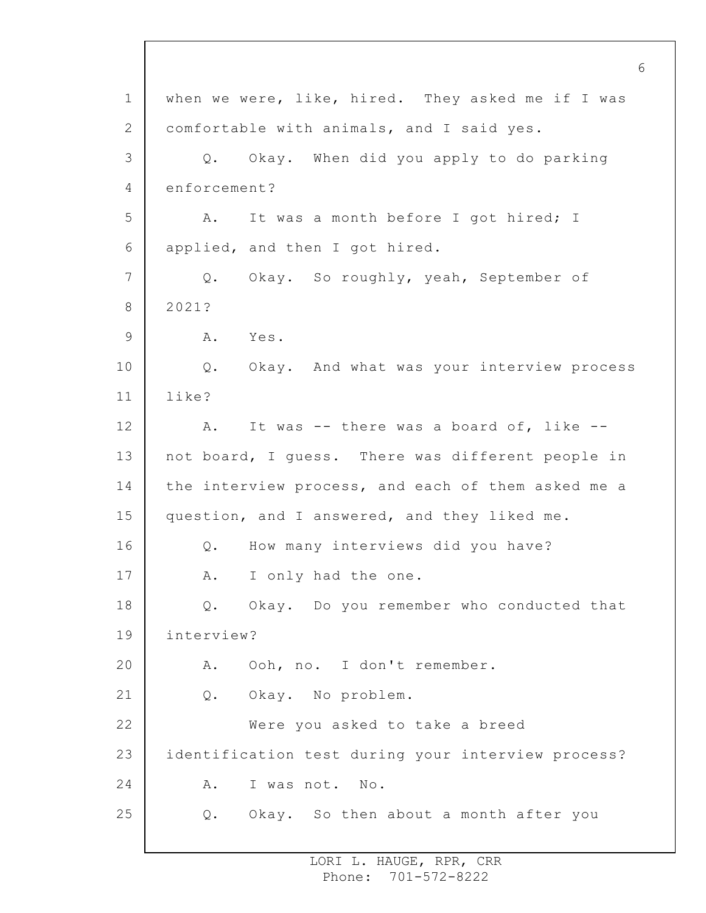1 2 3 4 5 6 7 8 9 10 11 12 13 14 15 16 17 18 19 20 21 22 23 24 25 6 when we were, like, hired. They asked me if I was comfortable with animals, and I said yes. Q. Okay. When did you apply to do parking enforcement? A. It was a month before I got hired; I applied, and then I got hired. Q. Okay. So roughly, yeah, September of 2021? A. Yes. Q. Okay. And what was your interview process like? A. It was -- there was a board of, like - not board, I guess. There was different people in the interview process, and each of them asked me a question, and I answered, and they liked me. Q. How many interviews did you have? A. I only had the one. Q. Okay. Do you remember who conducted that interview? A. Ooh, no. I don't remember. Q. Okay. No problem. Were you asked to take a breed identification test during your interview process? A. I was not. No. Q. Okay. So then about a month after you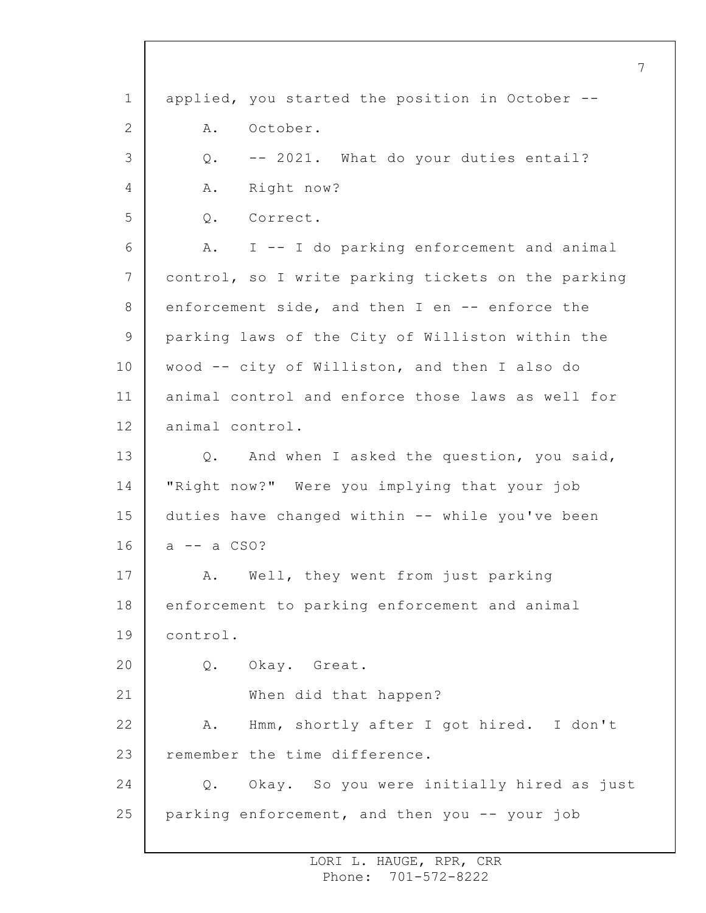1 2 3 4 5 6 7 8 9 10 11 12 13 14 15 16 17 18 19 20 21 22 23 24 25 applied, you started the position in October -- A. October. Q. -- 2021. What do your duties entail? A. Right now? Q. Correct. A. I -- I do parking enforcement and animal control, so I write parking tickets on the parking enforcement side, and then I en -- enforce the parking laws of the City of Williston within the wood -- city of Williston, and then I also do animal control and enforce those laws as well for animal control. Q. And when I asked the question, you said, "Right now?" Were you implying that your job duties have changed within -- while you've been  $a$  --  $a$  CSO? A. Well, they went from just parking enforcement to parking enforcement and animal control. Q. Okay. Great. When did that happen? A. Hmm, shortly after I got hired. I don't remember the time difference. Q. Okay. So you were initially hired as just parking enforcement, and then you -- your job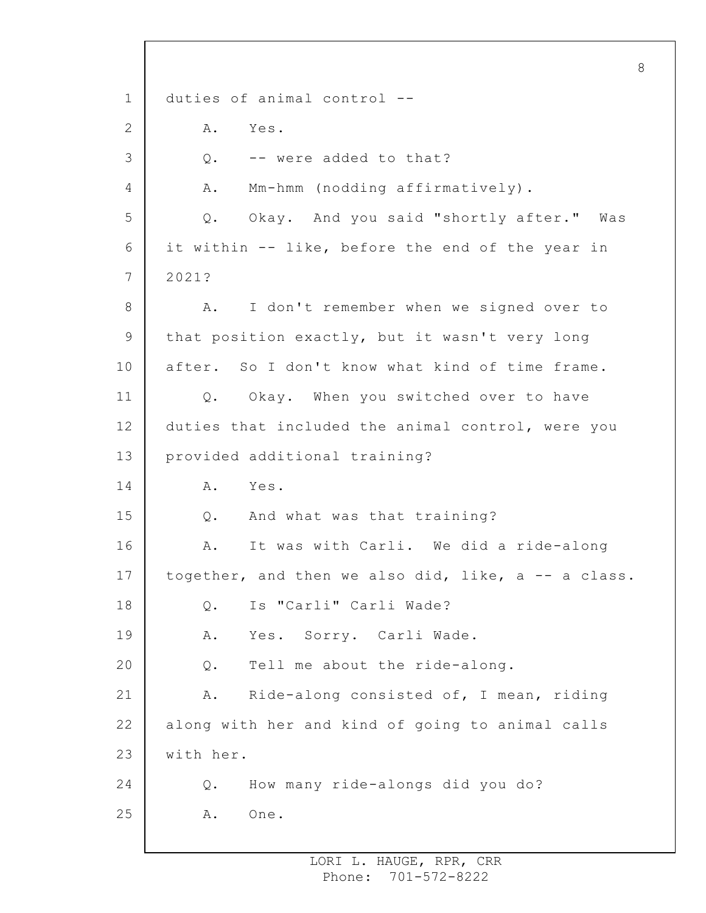1 2 3 4 5 6 7 8 9 10 11 12 13 14 15 16 17 18 19 20 21 22 23 24 25 8 duties of animal control -- A. Yes. Q. -- were added to that? A. Mm-hmm (nodding affirmatively). Q. Okay. And you said "shortly after." Was it within -- like, before the end of the year in 2021? A. I don't remember when we signed over to that position exactly, but it wasn't very long after. So I don't know what kind of time frame. Q. Okay. When you switched over to have duties that included the animal control, were you provided additional training? A. Yes. Q. And what was that training? A. It was with Carli. We did a ride-along together, and then we also did, like, a -- a class. Q. Is "Carli" Carli Wade? A. Yes. Sorry. Carli Wade. Q. Tell me about the ride-along. A. Ride-along consisted of, I mean, riding along with her and kind of going to animal calls with her. Q. How many ride-alongs did you do? A. One.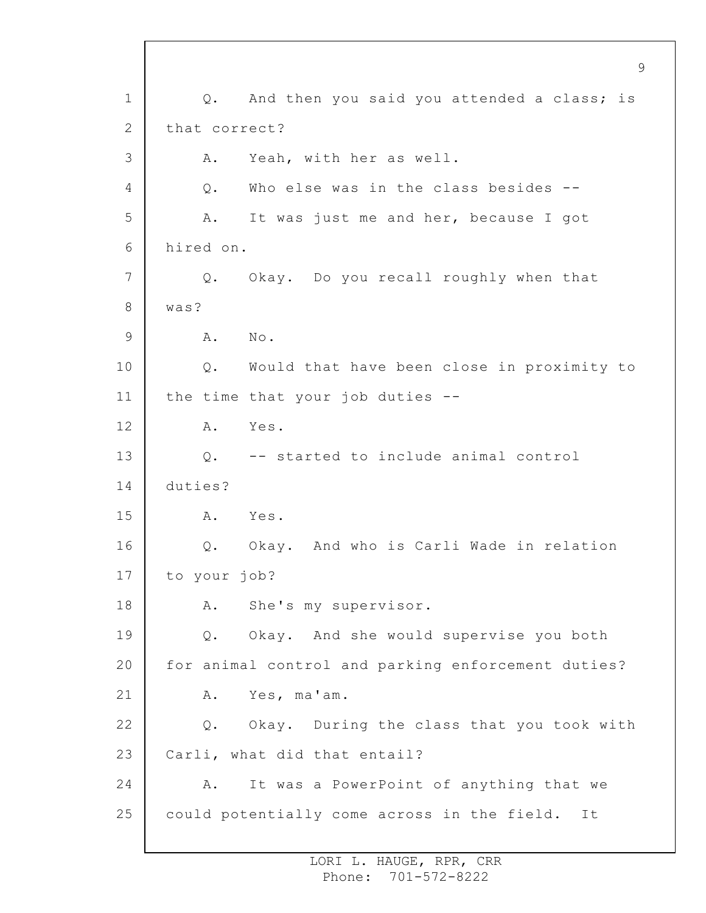1 2 3 4 5 6 7 8 9 10 11 12 13 14 15 16 17 18 19 20 21 22 23 24 25 9 Q. And then you said you attended a class; is that correct? A. Yeah, with her as well. Q. Who else was in the class besides -- A. It was just me and her, because I got hired on. Q. Okay. Do you recall roughly when that was? A. No. Q. Would that have been close in proximity to the time that your job duties -- A. Yes. Q. -- started to include animal control duties? A. Yes. Q. Okay. And who is Carli Wade in relation to your job? A. She's my supervisor. Q. Okay. And she would supervise you both for animal control and parking enforcement duties? A. Yes, ma'am. Q. Okay. During the class that you took with Carli, what did that entail? A. It was a PowerPoint of anything that we could potentially come across in the field. It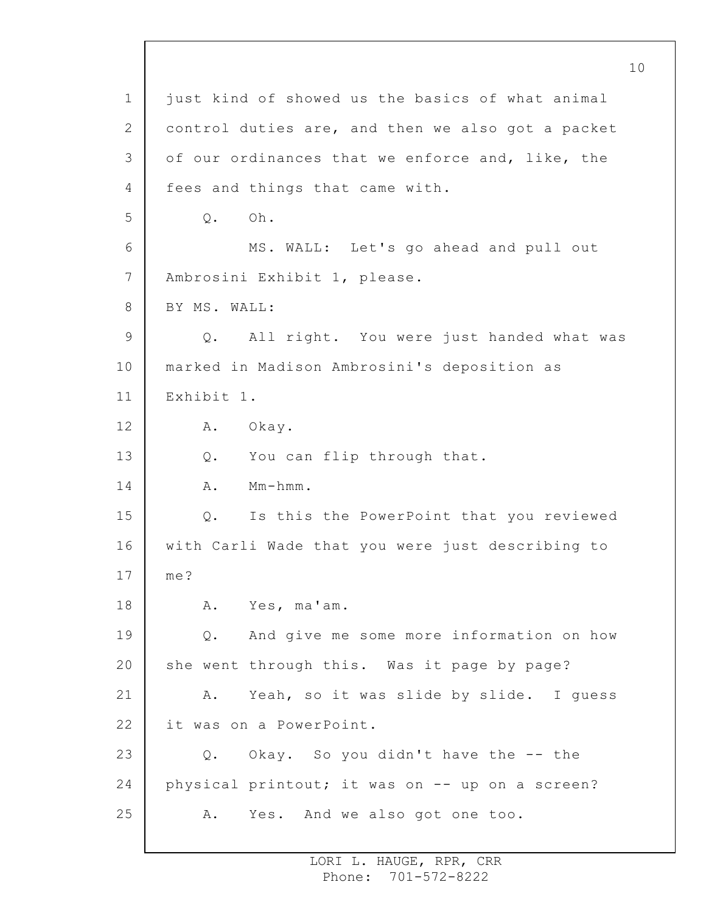1 2 3 4 5 6 7 8 9 10 11 12 13 14 15 16 17 18 19 20 21 22 23 24 25 just kind of showed us the basics of what animal control duties are, and then we also got a packet of our ordinances that we enforce and, like, the fees and things that came with. Q. Oh. MS. WALL: Let's go ahead and pull out Ambrosini Exhibit 1, please. BY MS. WALL: Q. All right. You were just handed what was marked in Madison Ambrosini's deposition as Exhibit 1. A. Okay. Q. You can flip through that. A. Mm-hmm. Q. Is this the PowerPoint that you reviewed with Carli Wade that you were just describing to me? A. Yes, ma'am. Q. And give me some more information on how she went through this. Was it page by page? A. Yeah, so it was slide by slide. I guess it was on a PowerPoint. Q. Okay. So you didn't have the -- the physical printout; it was on -- up on a screen? A. Yes. And we also got one too.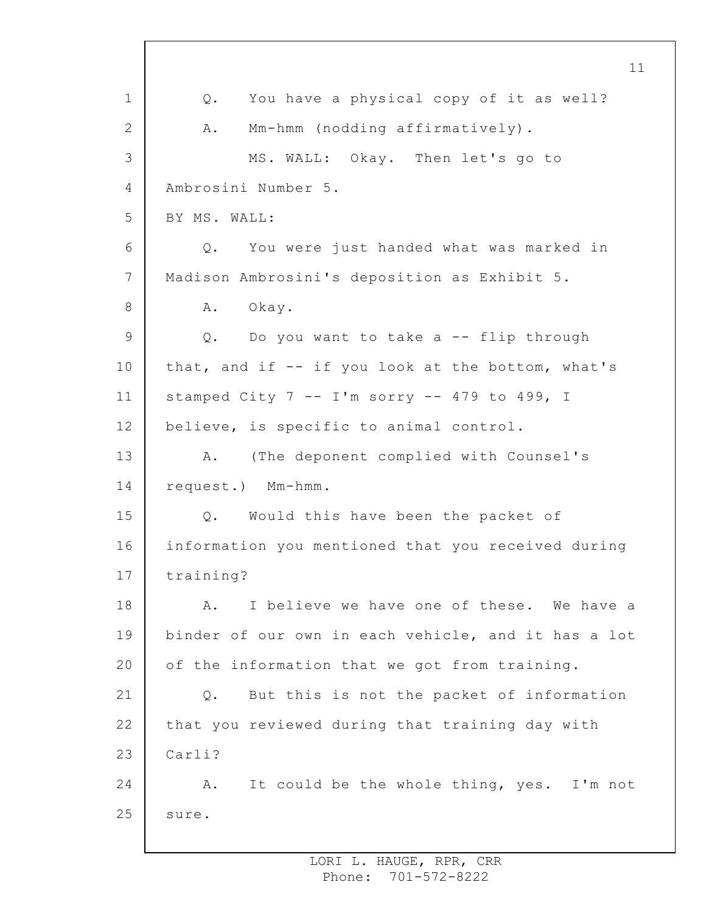1 2 3 4 5 6 7 8 9 10 11 12 13 14 15 16 17 18 19 20 21 22 23 24 25 11 Q. You have a physical copy of it as well? A. Mm-hmm (nodding affirmatively). MS. WALL: Okay. Then let's go to Ambrosini Number 5. BY MS. WALL: Q. You were just handed what was marked in Madison Ambrosini's deposition as Exhibit 5. A. Okay. Q. Do you want to take a -- flip through that, and if -- if you look at the bottom, what's stamped City  $7 - -1$ 'm sorry  $- -479$  to 499, I believe, is specific to animal control. A. (The deponent complied with Counsel's request.) Mm-hmm. Q. Would this have been the packet of information you mentioned that you received during training? A. I believe we have one of these. We have a binder of our own in each vehicle, and it has a lot of the information that we got from training. Q. But this is not the packet of information that you reviewed during that training day with Carli? A. It could be the whole thing, yes. I'm not sure.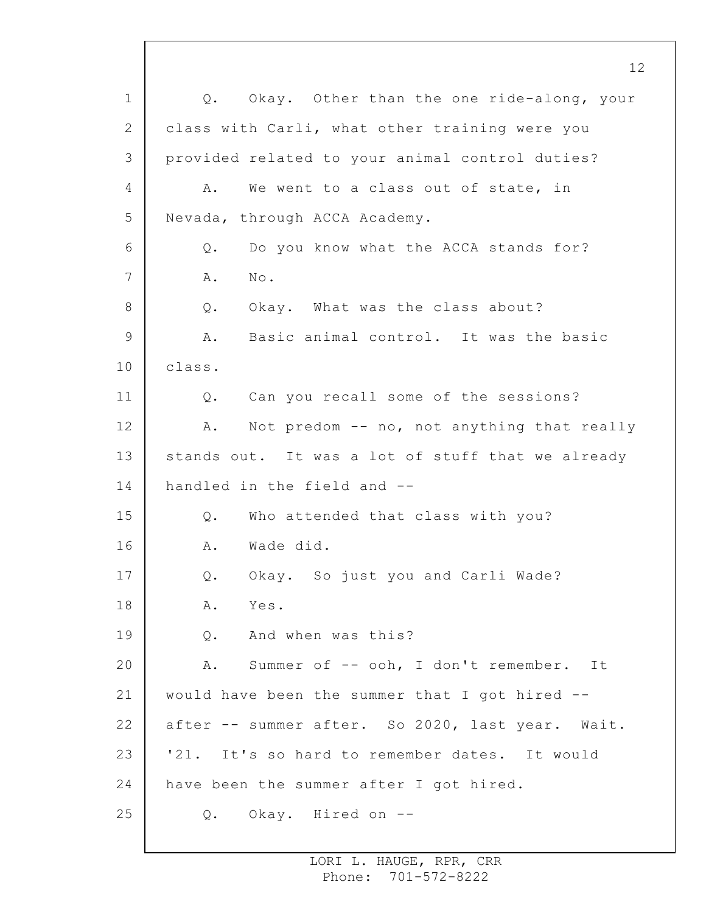1 2 3 4 5 6 7 8 9 10 11 12 13 14 15 16 17 18 19 20 21 22 23 24 25 Q. Okay. Other than the one ride-along, your class with Carli, what other training were you provided related to your animal control duties? A. We went to a class out of state, in Nevada, through ACCA Academy. Q. Do you know what the ACCA stands for? A. No. Q. Okay. What was the class about? A. Basic animal control. It was the basic class. Q. Can you recall some of the sessions? A. Not predom -- no, not anything that really stands out. It was a lot of stuff that we already handled in the field and -- Q. Who attended that class with you? A. Wade did. Q. Okay. So just you and Carli Wade? A. Yes. Q. And when was this? A. Summer of -- ooh, I don't remember. It would have been the summer that I got hired - after -- summer after. So 2020, last year. Wait. '21. It's so hard to remember dates. It would have been the summer after I got hired. Q. Okay. Hired on --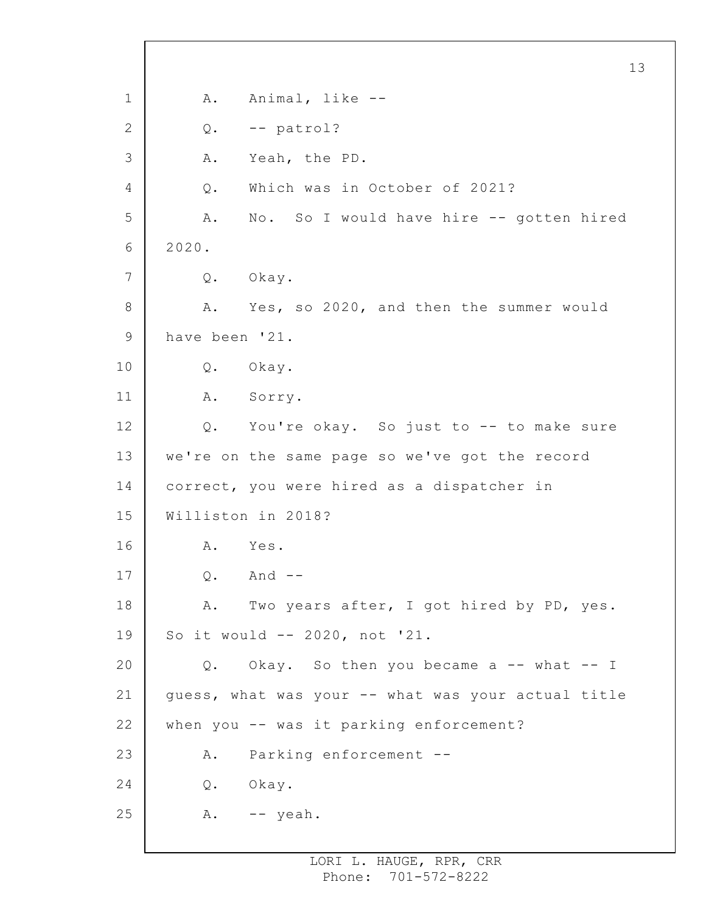1 2 3 4 5 6 7 8 9 10 11 12 13 14 15 16 17 18 19 20 21 22 23 24 25 13 A. Animal, like -- Q. -- patrol? A. Yeah, the PD. Q. Which was in October of 2021? A. No. So I would have hire -- gotten hired 2020. Q. Okay. A. Yes, so 2020, and then the summer would have been '21. Q. Okay. A. Sorry. Q. You're okay. So just to -- to make sure we're on the same page so we've got the record correct, you were hired as a dispatcher in Williston in 2018? A. Yes. Q. And -- A. Two years after, I got hired by PD, yes. So it would -- 2020, not '21. Q. Okay. So then you became a -- what -- I guess, what was your -- what was your actual title when you -- was it parking enforcement? A. Parking enforcement -- Q. Okay. A. -- yeah.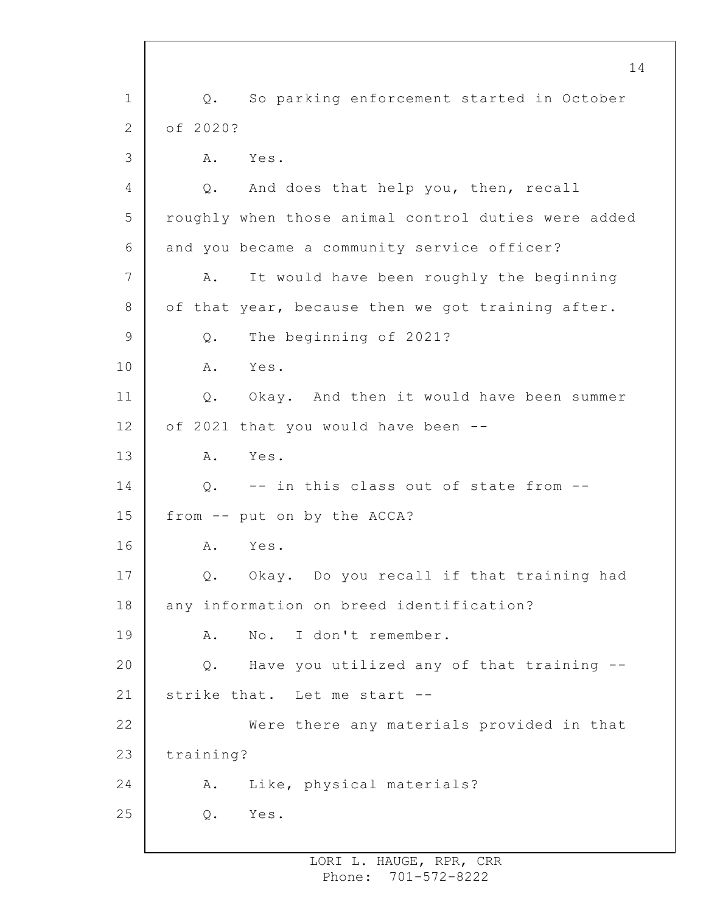1 2 3 4 5 6 7 8 9 10 11 12 13 14 15 16 17 18 19 20 21 22 23 24 25 Q. So parking enforcement started in October of 2020? A. Yes. Q. And does that help you, then, recall roughly when those animal control duties were added and you became a community service officer? A. It would have been roughly the beginning of that year, because then we got training after. Q. The beginning of 2021? A. Yes. Q. Okay. And then it would have been summer of 2021 that you would have been -- A. Yes. Q. -- in this class out of state from - from -- put on by the ACCA? A. Yes. Q. Okay. Do you recall if that training had any information on breed identification? A. No. I don't remember. Q. Have you utilized any of that training - strike that. Let me start -- Were there any materials provided in that training? A. Like, physical materials? Q. Yes.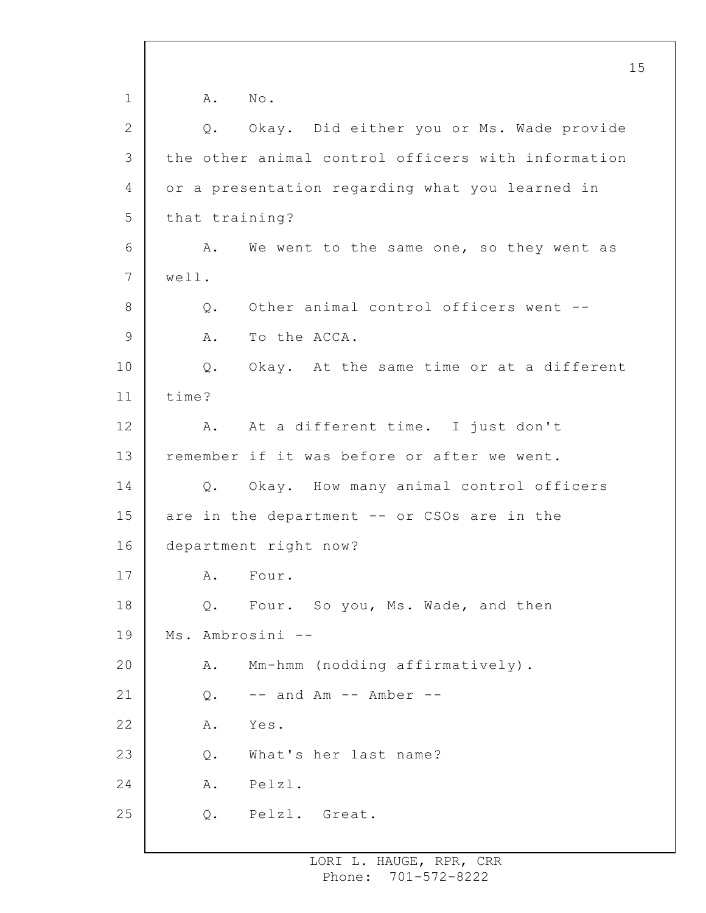1 2 3 4 5 6 7 8 9 10 11 12 13 14 15 16 17 18 19 20 21 22 23 24 25 15 A. No. Q. Okay. Did either you or Ms. Wade provide the other animal control officers with information or a presentation regarding what you learned in that training? A. We went to the same one, so they went as well. Q. Other animal control officers went -- A. To the ACCA. Q. Okay. At the same time or at a different time? A. At a different time. I just don't remember if it was before or after we went. Q. Okay. How many animal control officers are in the department -- or CSOs are in the department right now? A. Four. Q. Four. So you, Ms. Wade, and then Ms. Ambrosini -- A. Mm-hmm (nodding affirmatively).  $Q.$  -- and Am -- Amber --A. Yes. Q. What's her last name? A. Pelzl. Q. Pelzl. Great.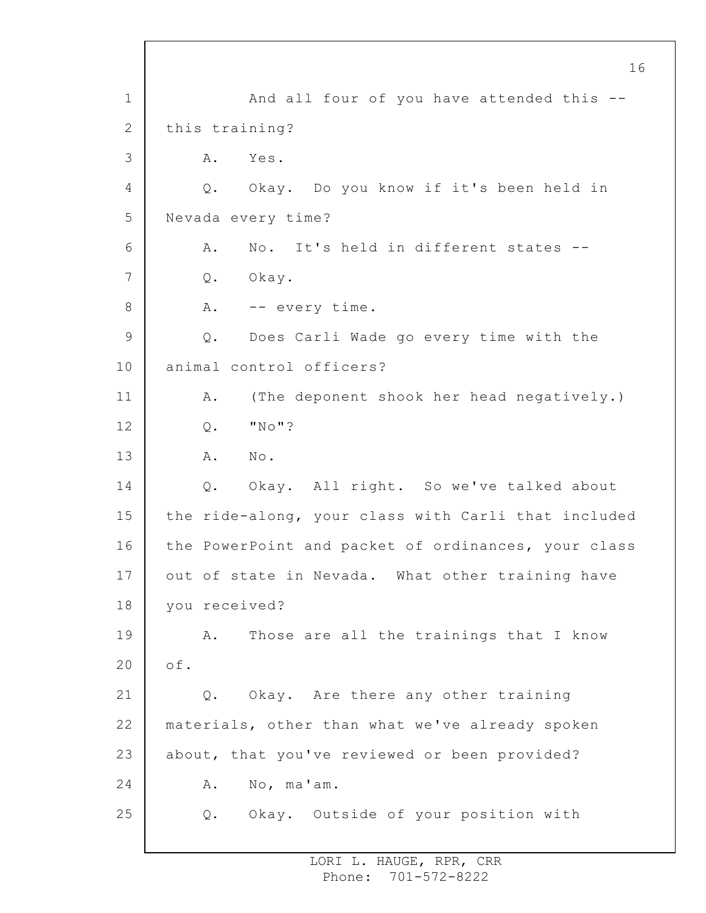1 2 3 4 5 6 7 8 9 10 11 12 13 14 15 16 17 18 19 20 21 22 23 24 25 And all four of you have attended this - this training? A. Yes. Q. Okay. Do you know if it's been held in Nevada every time? A. No. It's held in different states -- Q. Okay. A. -- every time. Q. Does Carli Wade go every time with the animal control officers? A. (The deponent shook her head negatively.) Q. "No"? A. No. Q. Okay. All right. So we've talked about the ride-along, your class with Carli that included the PowerPoint and packet of ordinances, your class out of state in Nevada. What other training have you received? A. Those are all the trainings that I know of. Q. Okay. Are there any other training materials, other than what we've already spoken about, that you've reviewed or been provided? A. No, ma'am. Q. Okay. Outside of your position with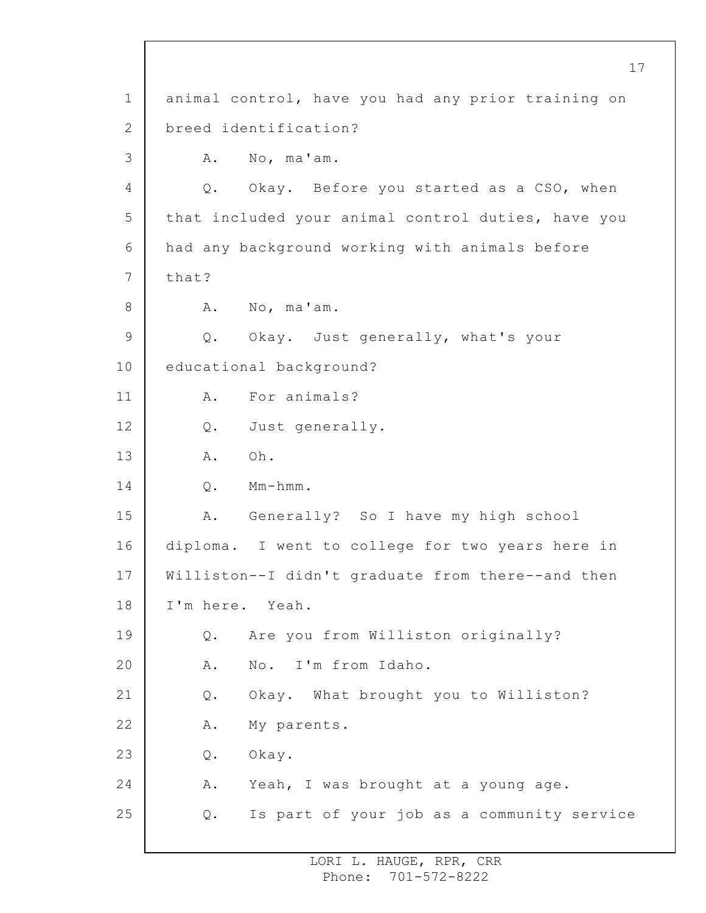1 2 3 4 5 6 7 8 9 10 11 12 13 14 15 16 17 18 19 20 21 22 23 24 25 animal control, have you had any prior training on breed identification? A. No, ma'am. Q. Okay. Before you started as a CSO, when that included your animal control duties, have you had any background working with animals before that? A. No, ma'am. Q. Okay. Just generally, what's your educational background? A. For animals? Q. Just generally. A. Oh. Q. Mm-hmm. A. Generally? So I have my high school diploma. I went to college for two years here in Williston--I didn't graduate from there--and then I'm here. Yeah. Q. Are you from Williston originally? A. No. I'm from Idaho. Q. Okay. What brought you to Williston? A. My parents. Q. Okay. A. Yeah, I was brought at a young age. Q. Is part of your job as a community service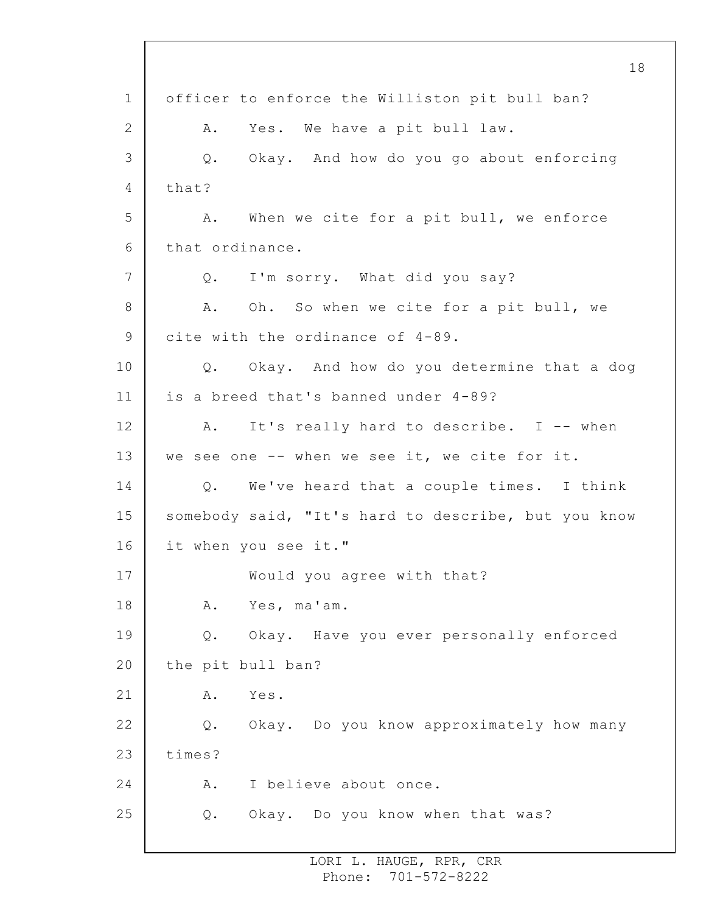1 2 3 4 5 6 7 8 9 10 11 12 13 14 15 16 17 18 19 20 21 22 23 24 25 18 officer to enforce the Williston pit bull ban? A. Yes. We have a pit bull law. Q. Okay. And how do you go about enforcing that? A. When we cite for a pit bull, we enforce that ordinance. Q. I'm sorry. What did you say? A. Oh. So when we cite for a pit bull, we cite with the ordinance of 4-89. Q. Okay. And how do you determine that a dog is a breed that's banned under 4-89? A. It's really hard to describe. I -- when we see one -- when we see it, we cite for it. Q. We've heard that a couple times. I think somebody said, "It's hard to describe, but you know it when you see it." Would you agree with that? A. Yes, ma'am. Q. Okay. Have you ever personally enforced the pit bull ban? A. Yes. Q. Okay. Do you know approximately how many times? A. I believe about once. Q. Okay. Do you know when that was?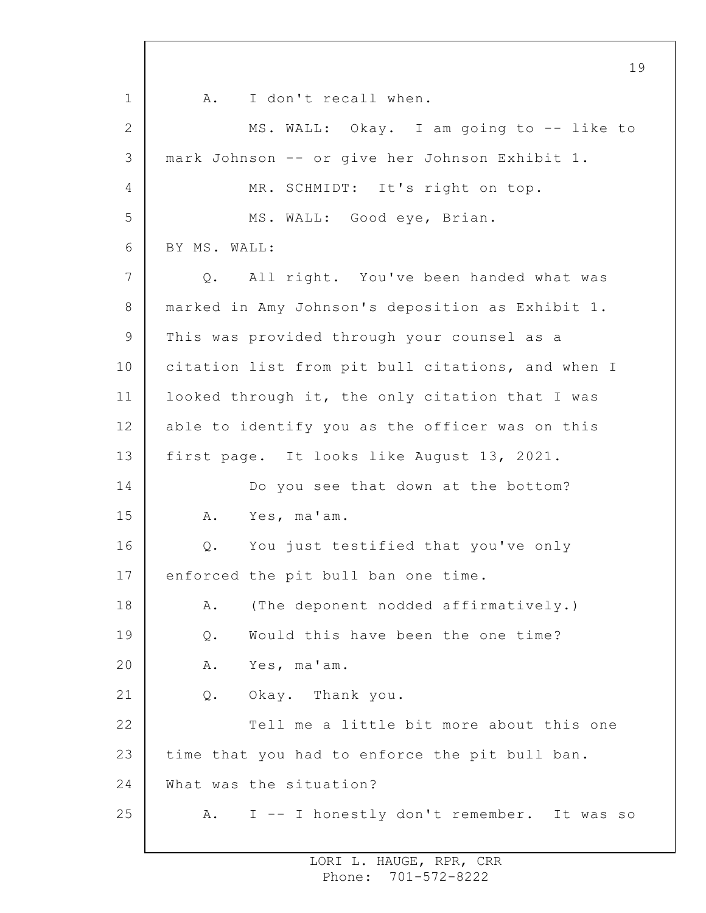1 2 3 4 5 6 7 8 9 10 11 12 13 14 15 16 17 18 19 20 21 22 23 24 25 19 A. I don't recall when. MS. WALL: Okay. I am going to -- like to mark Johnson -- or give her Johnson Exhibit 1. MR. SCHMIDT: It's right on top. MS. WALL: Good eye, Brian. BY MS. WALL: Q. All right. You've been handed what was marked in Amy Johnson's deposition as Exhibit 1. This was provided through your counsel as a citation list from pit bull citations, and when I looked through it, the only citation that I was able to identify you as the officer was on this first page. It looks like August 13, 2021. Do you see that down at the bottom? A. Yes, ma'am. Q. You just testified that you've only enforced the pit bull ban one time. A. (The deponent nodded affirmatively.) Q. Would this have been the one time? A. Yes, ma'am. Q. Okay. Thank you. Tell me a little bit more about this one time that you had to enforce the pit bull ban. What was the situation? A. I -- I honestly don't remember. It was so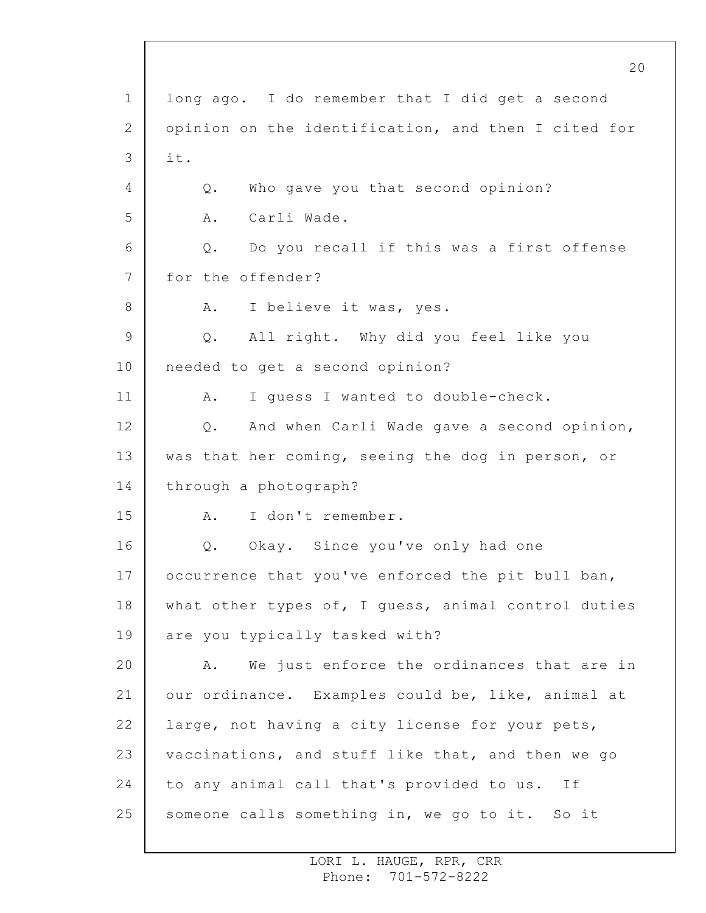1 2 3 4 5 6 7 8 9 10 11 12 13 14 15 16 17 18 19 20 21 22 23 24 25 long ago. I do remember that I did get a second opinion on the identification, and then I cited for it. Q. Who gave you that second opinion? A. Carli Wade. Q. Do you recall if this was a first offense for the offender? A. I believe it was, yes. Q. All right. Why did you feel like you needed to get a second opinion? A. I guess I wanted to double-check. Q. And when Carli Wade gave a second opinion, was that her coming, seeing the dog in person, or through a photograph? A. I don't remember. Q. Okay. Since you've only had one occurrence that you've enforced the pit bull ban, what other types of, I guess, animal control duties are you typically tasked with? A. We just enforce the ordinances that are in our ordinance. Examples could be, like, animal at large, not having a city license for your pets, vaccinations, and stuff like that, and then we go to any animal call that's provided to us. If someone calls something in, we go to it. So it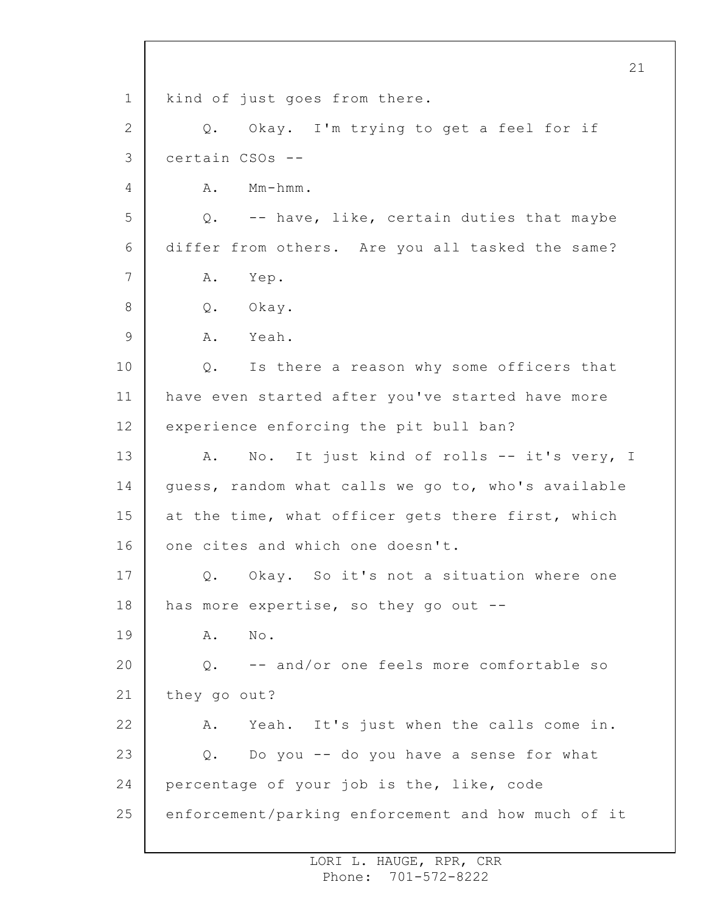1 2 3 4 5 6 7 8 9 10 11 12 13 14 15 16 17 18 19 20 21 22 23 24 25 21 kind of just goes from there. Q. Okay. I'm trying to get a feel for if certain CSOs -- A. Mm-hmm. Q. -- have, like, certain duties that maybe differ from others. Are you all tasked the same? A. Yep. Q. Okay. A. Yeah. Q. Is there a reason why some officers that have even started after you've started have more experience enforcing the pit bull ban? A. No. It just kind of rolls -- it's very, I guess, random what calls we go to, who's available at the time, what officer gets there first, which one cites and which one doesn't. Q. Okay. So it's not a situation where one has more expertise, so they go out -- A. No. Q. -- and/or one feels more comfortable so they go out? A. Yeah. It's just when the calls come in. Q. Do you -- do you have a sense for what percentage of your job is the, like, code enforcement/parking enforcement and how much of it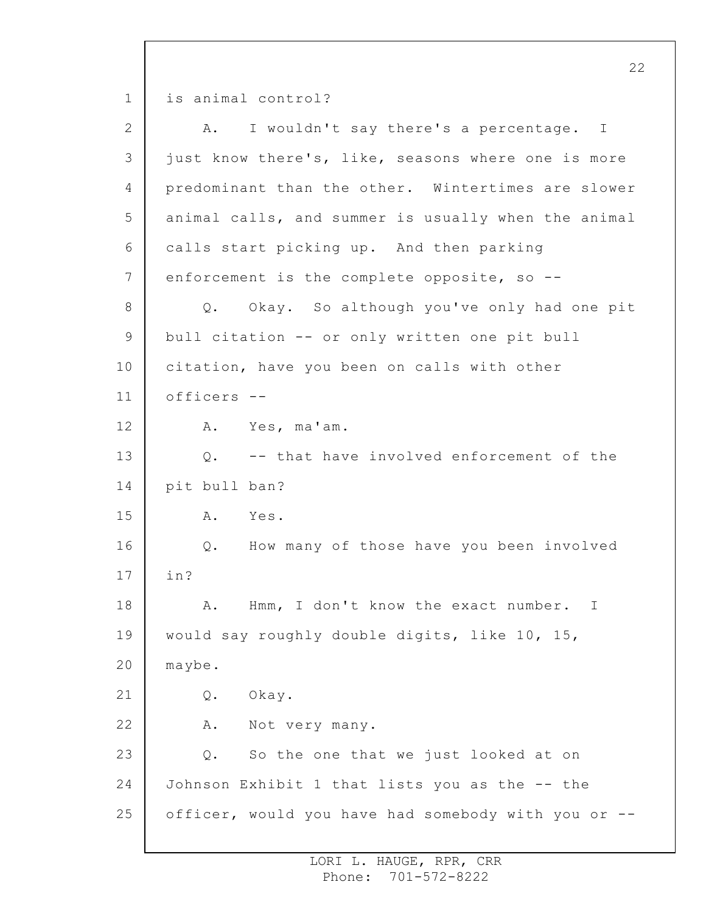1 is animal control?

| $\overline{2}$ | I wouldn't say there's a percentage. I<br>Α.        |
|----------------|-----------------------------------------------------|
| 3              | just know there's, like, seasons where one is more  |
| 4              | predominant than the other. Wintertimes are slower  |
| 5              | animal calls, and summer is usually when the animal |
| 6              | calls start picking up. And then parking            |
| 7              | enforcement is the complete opposite, so --         |
| $8\,$          | Q. Okay. So although you've only had one pit        |
| 9              | bull citation -- or only written one pit bull       |
| 10             | citation, have you been on calls with other         |
| 11             | officers --                                         |
| 12             | A. Yes, ma'am.                                      |
| 13             | Q. -- that have involved enforcement of the         |
| 14             | pit bull ban?                                       |
| 15             | Α.<br>Yes.                                          |
| 16             | How many of those have you been involved<br>Q.      |
| 17             | in?                                                 |
| 18             | Hmm, I don't know the exact number.<br>Α.<br>Ι      |
| 19             | would say roughly double digits, like 10, 15,       |
| 20             | maybe.                                              |
| 21             | Okay.<br>Q.                                         |
| 22             | Α.<br>Not very many.                                |
| 23             | So the one that we just looked at on<br>Q.          |
| 24             | Johnson Exhibit 1 that lists you as the -- the      |
| 25             | officer, would you have had somebody with you or -- |
|                |                                                     |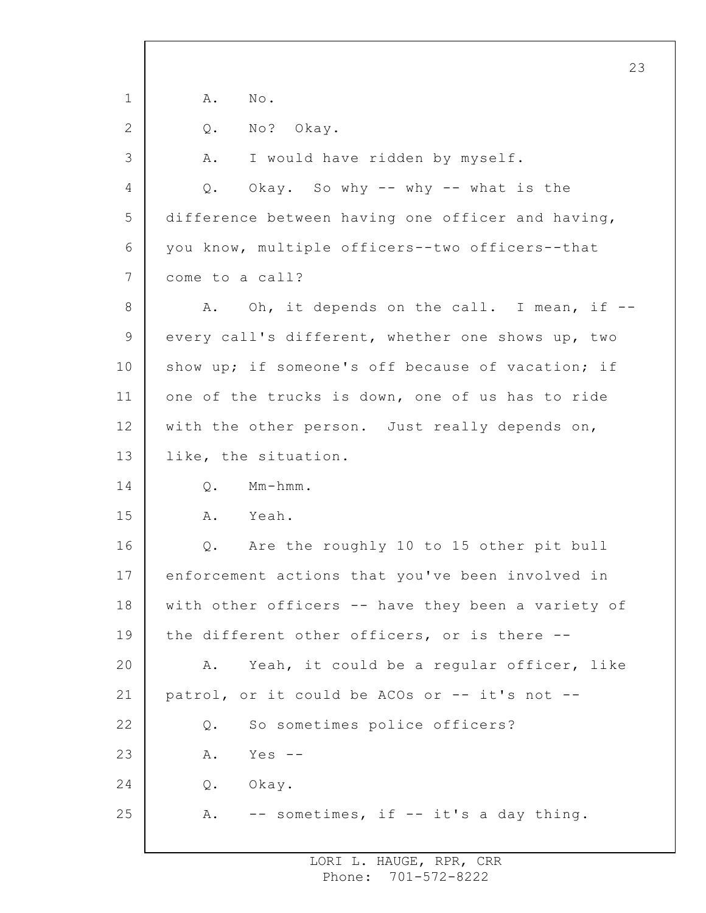1 2 3 4 5 6 7 8 9 10 11 12 13 14 15 16 17 18 19 20 21 22 23 24 25 A. No. Q. No? Okay. A. I would have ridden by myself. Q. Okay. So why -- why -- what is the difference between having one officer and having, you know, multiple officers--two officers--that come to a call? A. Oh, it depends on the call. I mean, if -every call's different, whether one shows up, two show up; if someone's off because of vacation; if one of the trucks is down, one of us has to ride with the other person. Just really depends on, like, the situation. Q. Mm-hmm. A. Yeah. Q. Are the roughly 10 to 15 other pit bull enforcement actions that you've been involved in with other officers -- have they been a variety of the different other officers, or is there -- A. Yeah, it could be a regular officer, like patrol, or it could be ACOs or -- it's not -- Q. So sometimes police officers? A. Yes -- Q. Okay. A. -- sometimes, if -- it's a day thing.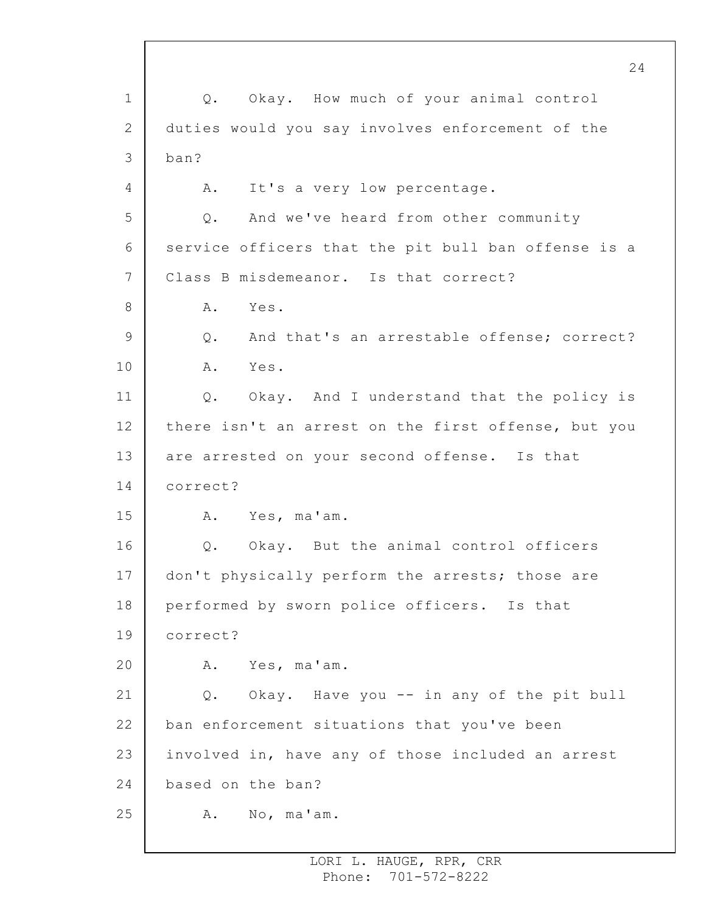1 2 3 4 5 6 7 8 9 10 11 12 13 14 15 16 17 18 19 20 21 22 23 24 25 Q. Okay. How much of your animal control duties would you say involves enforcement of the ban? A. It's a very low percentage. Q. And we've heard from other community service officers that the pit bull ban offense is a Class B misdemeanor. Is that correct? A. Yes. Q. And that's an arrestable offense; correct? A. Yes. Q. Okay. And I understand that the policy is there isn't an arrest on the first offense, but you are arrested on your second offense. Is that correct? A. Yes, ma'am. Q. Okay. But the animal control officers don't physically perform the arrests; those are performed by sworn police officers. Is that correct? A. Yes, ma'am. Q. Okay. Have you -- in any of the pit bull ban enforcement situations that you've been involved in, have any of those included an arrest based on the ban? A. No, ma'am.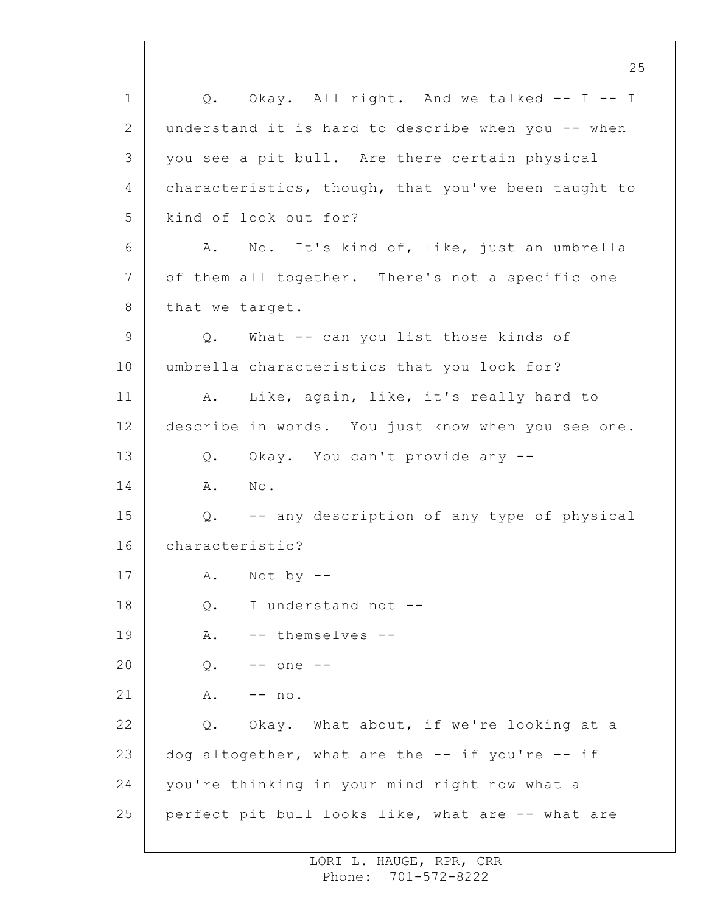1 2 3 4 5 6 7 8 9 10 11 12 13 14 15 16 17 18 19 20 21 22 23 24 25 25 Q. Okay. All right. And we talked -- I -- I understand it is hard to describe when you -- when you see a pit bull. Are there certain physical characteristics, though, that you've been taught to kind of look out for? A. No. It's kind of, like, just an umbrella of them all together. There's not a specific one that we target. Q. What -- can you list those kinds of umbrella characteristics that you look for? A. Like, again, like, it's really hard to describe in words. You just know when you see one. Q. Okay. You can't provide any -- A. No. Q. -- any description of any type of physical characteristic?  $A.$  Not by  $-$ Q. I understand not -- A. -- themselves -- Q. -- one --  $A. \t-- no.$ Q. Okay. What about, if we're looking at a dog altogether, what are the -- if you're -- if you're thinking in your mind right now what a perfect pit bull looks like, what are -- what are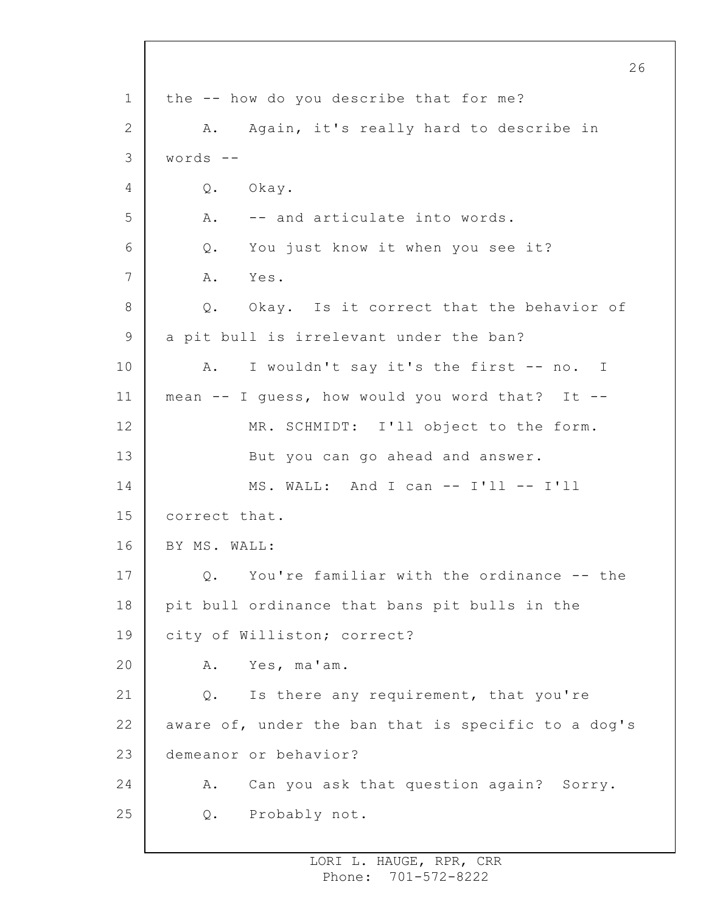1 2 3 4 5 6 7 8 9 10 11 12 13 14 15 16 17 18 19 20 21 22 23 24 25 the -- how do you describe that for me? A. Again, it's really hard to describe in words -- Q. Okay. A. -- and articulate into words. Q. You just know it when you see it? A. Yes. Q. Okay. Is it correct that the behavior of a pit bull is irrelevant under the ban? A. I wouldn't say it's the first -- no. I mean -- I guess, how would you word that? It -- MR. SCHMIDT: I'll object to the form. But you can go ahead and answer. MS. WALL: And I can -- I'll -- I'll correct that. BY MS. WALL: Q. You're familiar with the ordinance -- the pit bull ordinance that bans pit bulls in the city of Williston; correct? A. Yes, ma'am. Q. Is there any requirement, that you're aware of, under the ban that is specific to a dog's demeanor or behavior? A. Can you ask that question again? Sorry. Q. Probably not.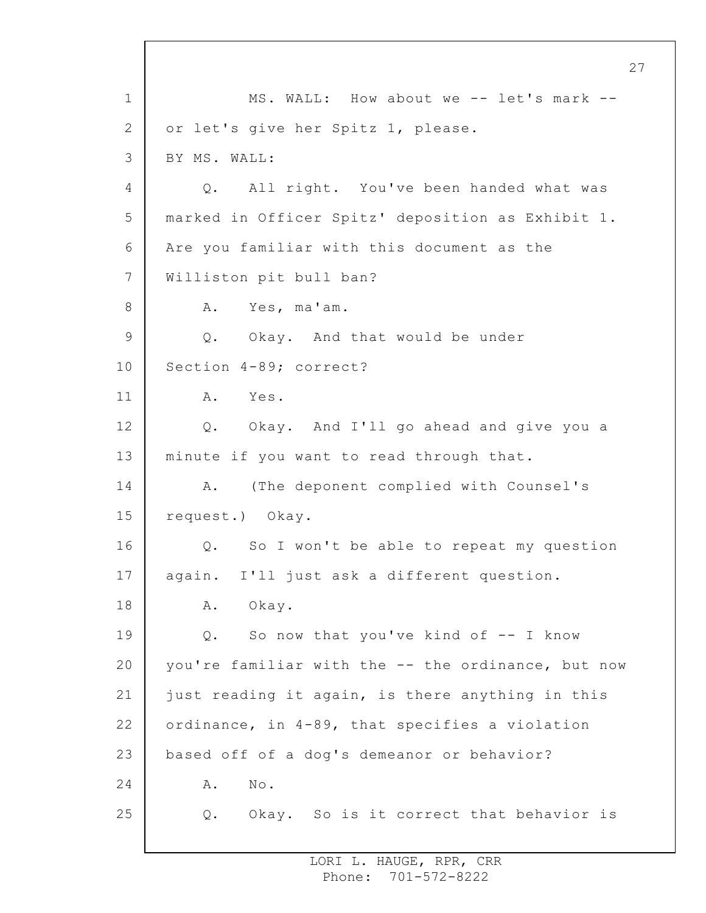1 2 3 4 5 6 7 8 9 10 11 12 13 14 15 16 17 18 19 20 21 22 23 24 25 MS. WALL: How about we -- let's mark -or let's give her Spitz 1, please. BY MS. WALL: Q. All right. You've been handed what was marked in Officer Spitz' deposition as Exhibit 1. Are you familiar with this document as the Williston pit bull ban? A. Yes, ma'am. Q. Okay. And that would be under Section 4-89; correct? A. Yes. Q. Okay. And I'll go ahead and give you a minute if you want to read through that. A. (The deponent complied with Counsel's request.) Okay. Q. So I won't be able to repeat my question again. I'll just ask a different question. A. Okay. Q. So now that you've kind of -- I know you're familiar with the -- the ordinance, but now just reading it again, is there anything in this ordinance, in 4-89, that specifies a violation based off of a dog's demeanor or behavior? A. No. Q. Okay. So is it correct that behavior is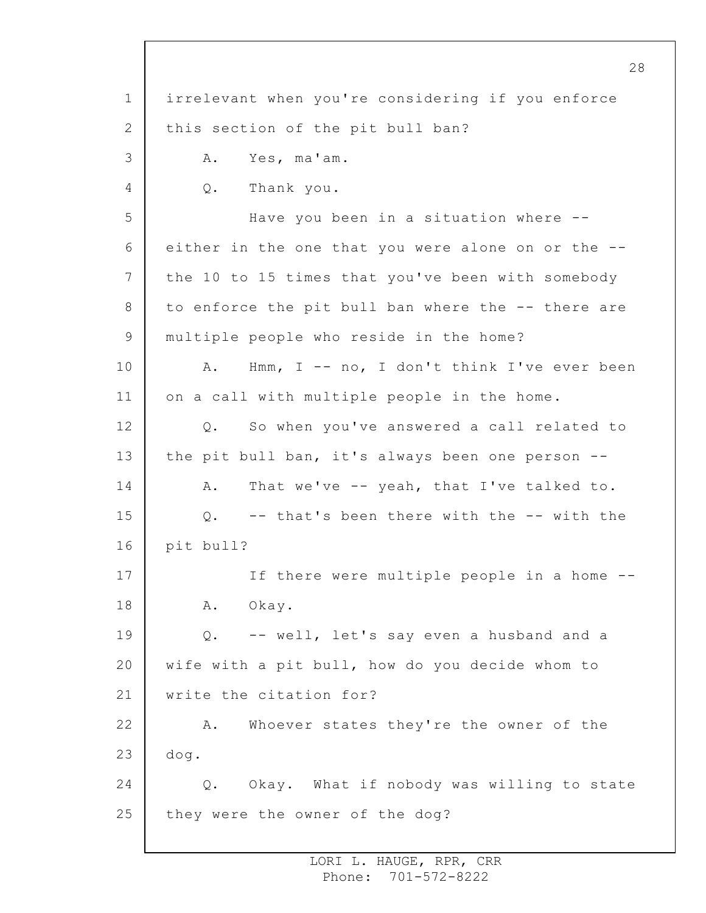1 2 3 4 5 6 7 8 9 10 11 12 13 14 15 16 17 18 19 20 21 22 23 24 25 irrelevant when you're considering if you enforce this section of the pit bull ban? A. Yes, ma'am. Q. Thank you. Have you been in a situation where - either in the one that you were alone on or the - the 10 to 15 times that you've been with somebody to enforce the pit bull ban where the -- there are multiple people who reside in the home? A. Hmm, I -- no, I don't think I've ever been on a call with multiple people in the home. Q. So when you've answered a call related to the pit bull ban, it's always been one person -- A. That we've -- yeah, that I've talked to. Q. -- that's been there with the -- with the pit bull? If there were multiple people in a home -- A. Okay. Q. -- well, let's say even a husband and a wife with a pit bull, how do you decide whom to write the citation for? A. Whoever states they're the owner of the dog. Q. Okay. What if nobody was willing to state they were the owner of the dog?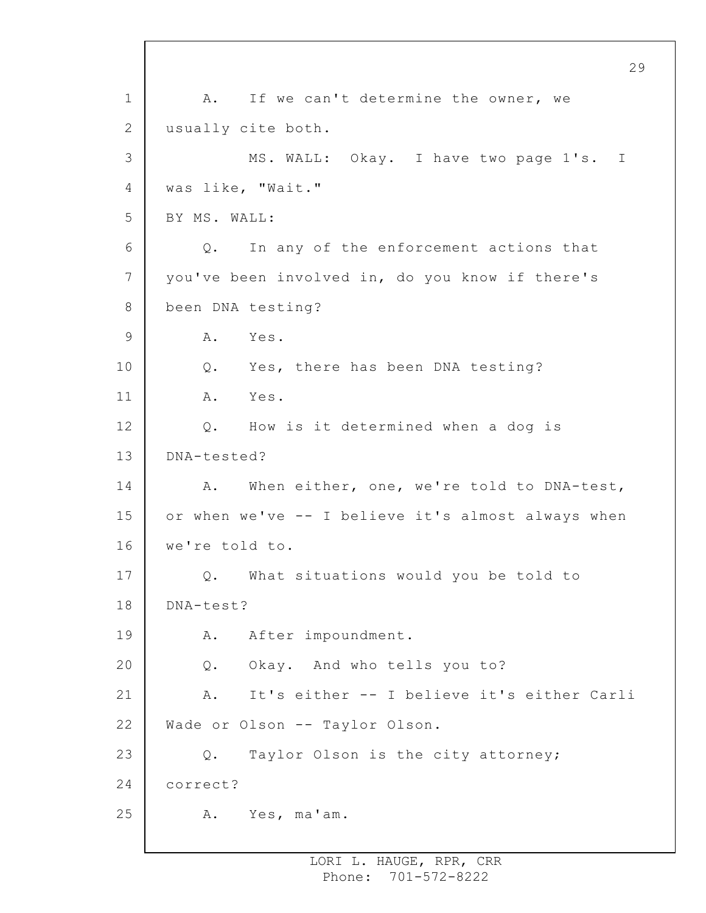1 2 3 4 5 6 7 8 9 10 11 12 13 14 15 16 17 18 19 20 21 22 23 24 25 29 A. If we can't determine the owner, we usually cite both. MS. WALL: Okay. I have two page 1's. I was like, "Wait." BY MS. WALL: Q. In any of the enforcement actions that you've been involved in, do you know if there's been DNA testing? A. Yes. Q. Yes, there has been DNA testing? A. Yes. Q. How is it determined when a dog is DNA-tested? A. When either, one, we're told to DNA-test, or when we've -- I believe it's almost always when we're told to. Q. What situations would you be told to DNA-test? A. After impoundment. Q. Okay. And who tells you to? A. It's either -- I believe it's either Carli Wade or Olson -- Taylor Olson. Q. Taylor Olson is the city attorney; correct? A. Yes, ma'am.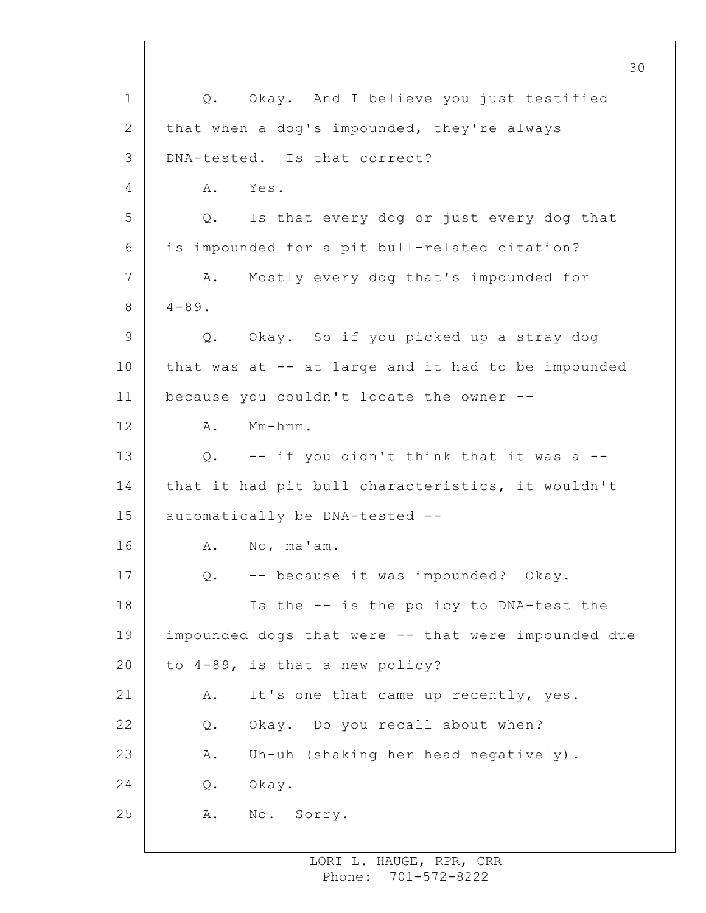1 2 3 4 5 6 7 8 9 10 11 12 13 14 15 16 17 18 19 20 21 22 23 24 25 30 Q. Okay. And I believe you just testified that when a dog's impounded, they're always DNA-tested. Is that correct? A. Yes. Q. Is that every dog or just every dog that is impounded for a pit bull-related citation? A. Mostly every dog that's impounded for  $4 - 89$ . Q. Okay. So if you picked up a stray dog that was at -- at large and it had to be impounded because you couldn't locate the owner -- A. Mm-hmm. Q. -- if you didn't think that it was a - that it had pit bull characteristics, it wouldn't automatically be DNA-tested -- A. No, ma'am. Q. -- because it was impounded? Okay. Is the -- is the policy to DNA-test the impounded dogs that were -- that were impounded due to 4-89, is that a new policy? A. It's one that came up recently, yes. Q. Okay. Do you recall about when? A. Uh-uh (shaking her head negatively). Q. Okay. A. No. Sorry.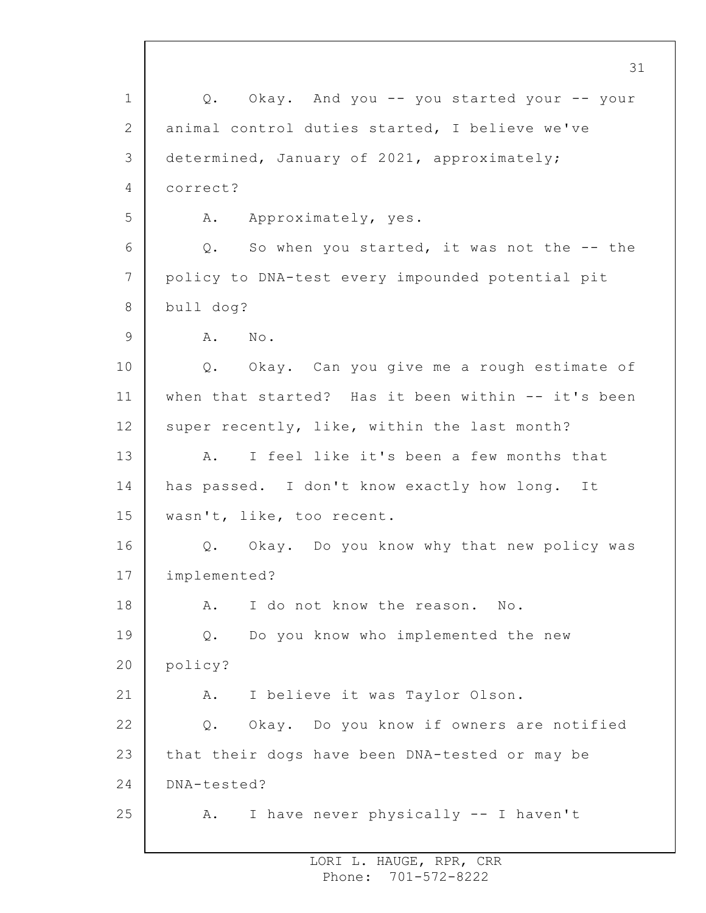1 2 3 4 5 6 7 8 9 10 11 12 13 14 15 16 17 18 19 20 21 22 23 24 25 31 Q. Okay. And you -- you started your -- your animal control duties started, I believe we've determined, January of 2021, approximately; correct? A. Approximately, yes. Q. So when you started, it was not the -- the policy to DNA-test every impounded potential pit bull dog? A. No. Q. Okay. Can you give me a rough estimate of when that started? Has it been within -- it's been super recently, like, within the last month? A. I feel like it's been a few months that has passed. I don't know exactly how long. It wasn't, like, too recent. Q. Okay. Do you know why that new policy was implemented? A. I do not know the reason. No. Q. Do you know who implemented the new policy? A. I believe it was Taylor Olson. Q. Okay. Do you know if owners are notified that their dogs have been DNA-tested or may be DNA-tested? A. I have never physically -- I haven't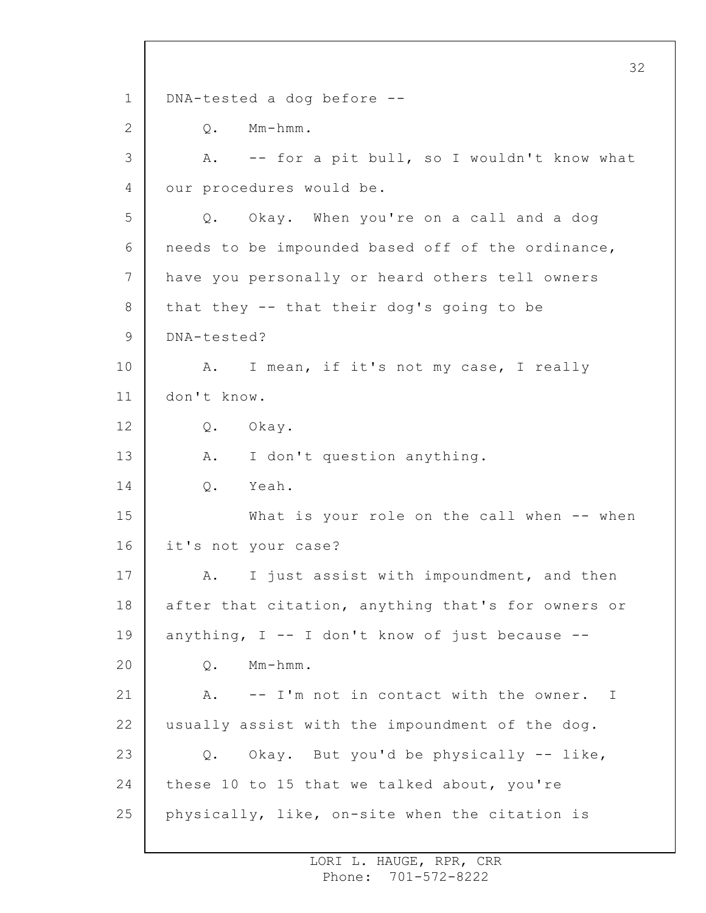1 2 3 4 5 6 7 8 9 10 11 12 13 14 15 16 17 18 19 20 21 22 23 24 25 32 DNA-tested a dog before -- Q. Mm-hmm. A. -- for a pit bull, so I wouldn't know what our procedures would be. Q. Okay. When you're on a call and a dog needs to be impounded based off of the ordinance, have you personally or heard others tell owners that they -- that their dog's going to be DNA-tested? A. I mean, if it's not my case, I really don't know. Q. Okay. A. I don't question anything. Q. Yeah. What is your role on the call when -- when it's not your case? A. I just assist with impoundment, and then after that citation, anything that's for owners or anything,  $I - - I$  don't know of just because  $- -$ Q. Mm-hmm. A. -- I'm not in contact with the owner. I usually assist with the impoundment of the dog. Q. Okay. But you'd be physically -- like, these 10 to 15 that we talked about, you're physically, like, on-site when the citation is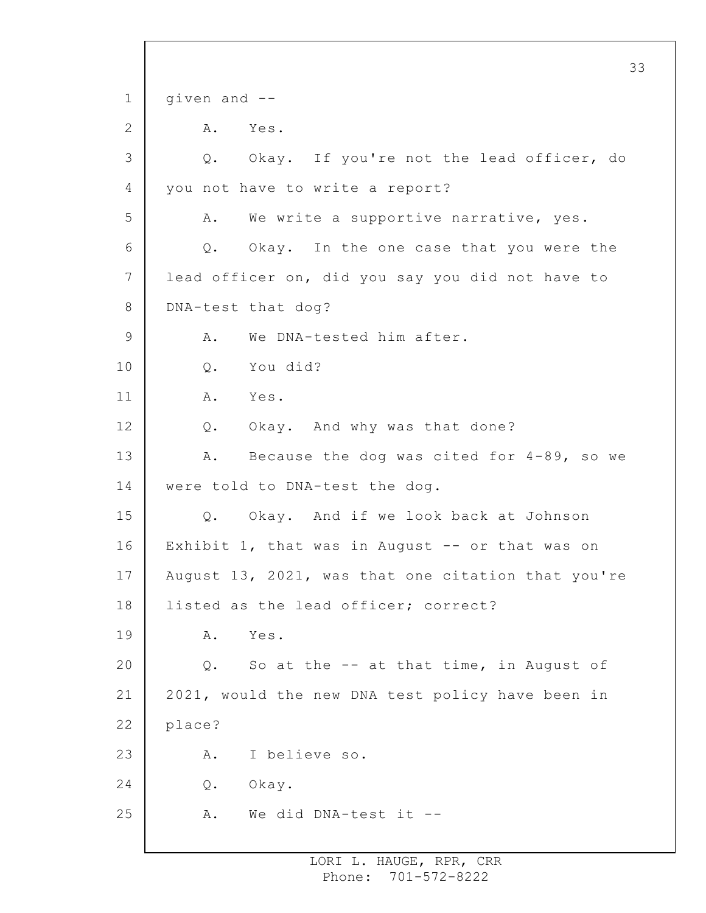```
1
 2
 3
 4
5
 6
7
8
9
10
11
12
13
14
15
16
17
18
19
20
21
22
23
24
25
                                                       33
     given and --
         A. Yes.
         Q. Okay. If you're not the lead officer, do
     you not have to write a report?
         A. We write a supportive narrative, yes.
         Q. Okay. In the one case that you were the
     lead officer on, did you say you did not have to
     DNA-test that dog?
         A. We DNA-tested him after.
         Q. You did?
         A. Yes.
         Q. Okay. And why was that done?
         A. Because the dog was cited for 4-89, so we
     were told to DNA-test the dog.
         Q. Okay. And if we look back at Johnson
     Exhibit 1, that was in August -- or that was on
     August 13, 2021, was that one citation that you're
     listed as the lead officer; correct?
         A. Yes.
         Q. So at the -- at that time, in August of
     2021, would the new DNA test policy have been in
     place?
         A. I believe so.
         Q. Okay.
         A. We did DNA-test it --
```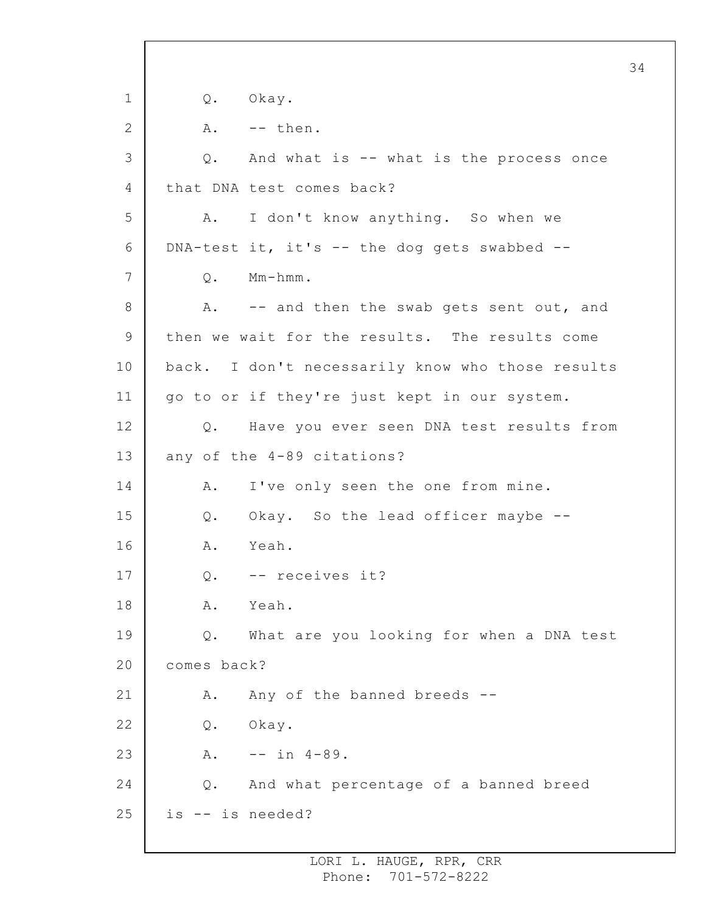1 2 3 4 5 6 7 8 9 10 11 12 13 14 15 16 17 18 19 20 21 22 23 24 25 Q. Okay.  $A.$  -- then. Q. And what is -- what is the process once that DNA test comes back? A. I don't know anything. So when we DNA-test it, it's -- the dog gets swabbed -- Q. Mm-hmm. A. -- and then the swab gets sent out, and then we wait for the results. The results come back. I don't necessarily know who those results go to or if they're just kept in our system. Q. Have you ever seen DNA test results from any of the 4-89 citations? A. I've only seen the one from mine. Q. Okay. So the lead officer maybe -- A. Yeah. Q. -- receives it? A. Yeah. Q. What are you looking for when a DNA test comes back? A. Any of the banned breeds -- Q. Okay.  $A.$  -- in  $4-89.$ Q. And what percentage of a banned breed is -- is needed?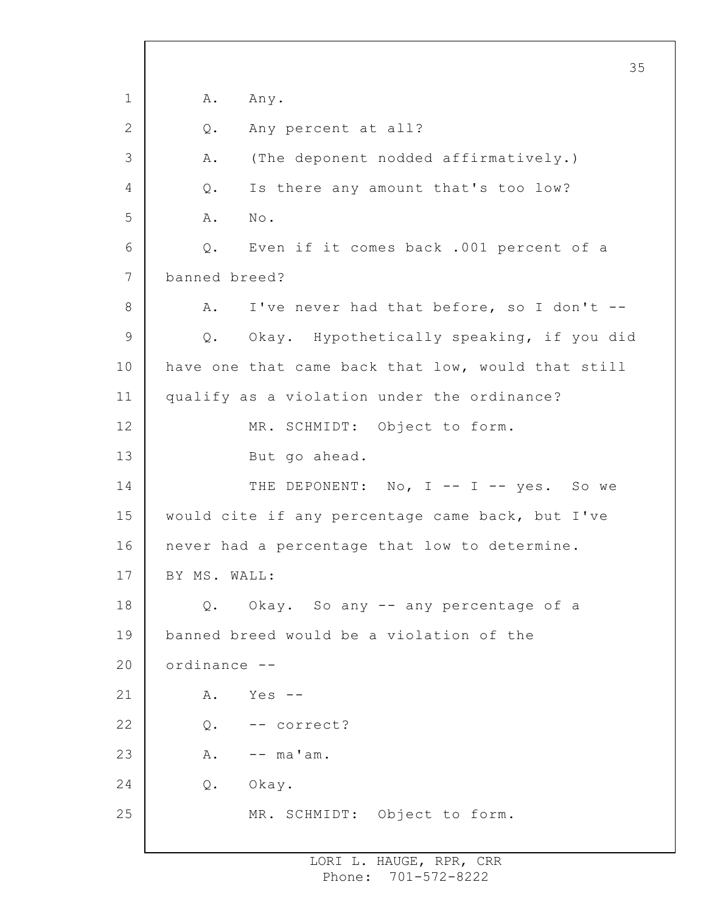1 2 3 4 5 6 7 8 9 10 11 12 13 14 15 16 17 18 19 20 21 22 23 24 25 35 A. Any. Q. Any percent at all? A. (The deponent nodded affirmatively.) Q. Is there any amount that's too low? A. No. Q. Even if it comes back .001 percent of a banned breed? A. I've never had that before, so I don't --Q. Okay. Hypothetically speaking, if you did have one that came back that low, would that still qualify as a violation under the ordinance? MR. SCHMIDT: Object to form. But go ahead. THE DEPONENT: No, I -- I -- yes. So we would cite if any percentage came back, but I've never had a percentage that low to determine. BY MS. WALL: Q. Okay. So any -- any percentage of a banned breed would be a violation of the ordinance --  $A.$  Yes  $-$ Q. -- correct?  $A.$  --  $ma'am.$ Q. Okay. MR. SCHMIDT: Object to form.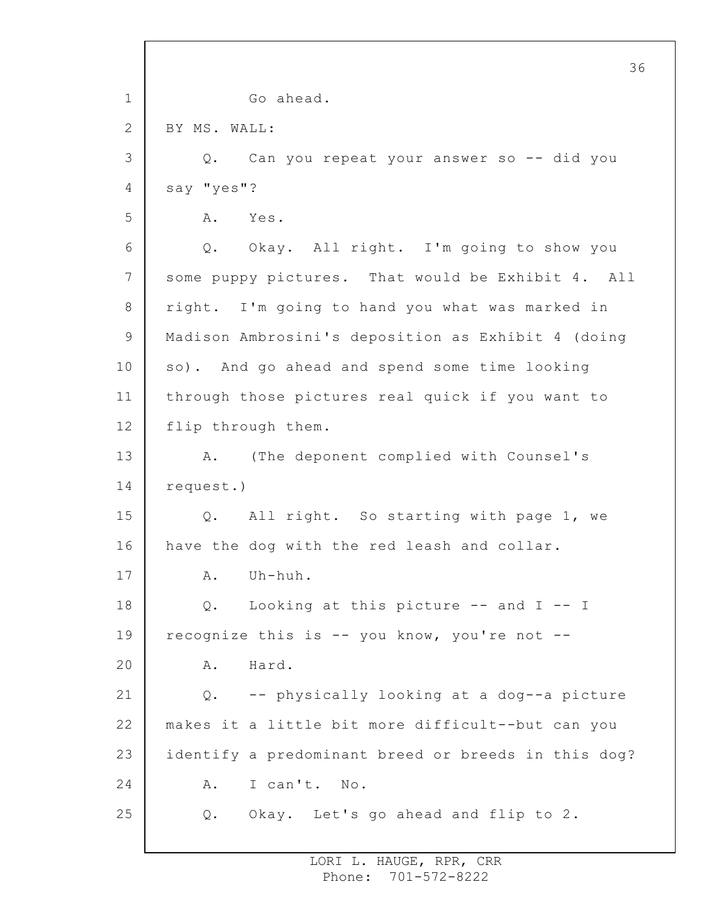1 2 3 4 5 6 7 8 9 10 11 12 13 14 15 16 17 18 19 20 21 22 23 24 25 36 Go ahead. BY MS. WALL: Q. Can you repeat your answer so -- did you say "yes"? A. Yes. Q. Okay. All right. I'm going to show you some puppy pictures. That would be Exhibit 4. All right. I'm going to hand you what was marked in Madison Ambrosini's deposition as Exhibit 4 (doing so). And go ahead and spend some time looking through those pictures real quick if you want to flip through them. A. (The deponent complied with Counsel's request.) Q. All right. So starting with page 1, we have the dog with the red leash and collar. A. Uh-huh. Q. Looking at this picture -- and I -- I recognize this is -- you know, you're not -- A. Hard. Q. -- physically looking at a dog--a picture makes it a little bit more difficult--but can you identify a predominant breed or breeds in this dog? A. I can't. No. Q. Okay. Let's go ahead and flip to 2.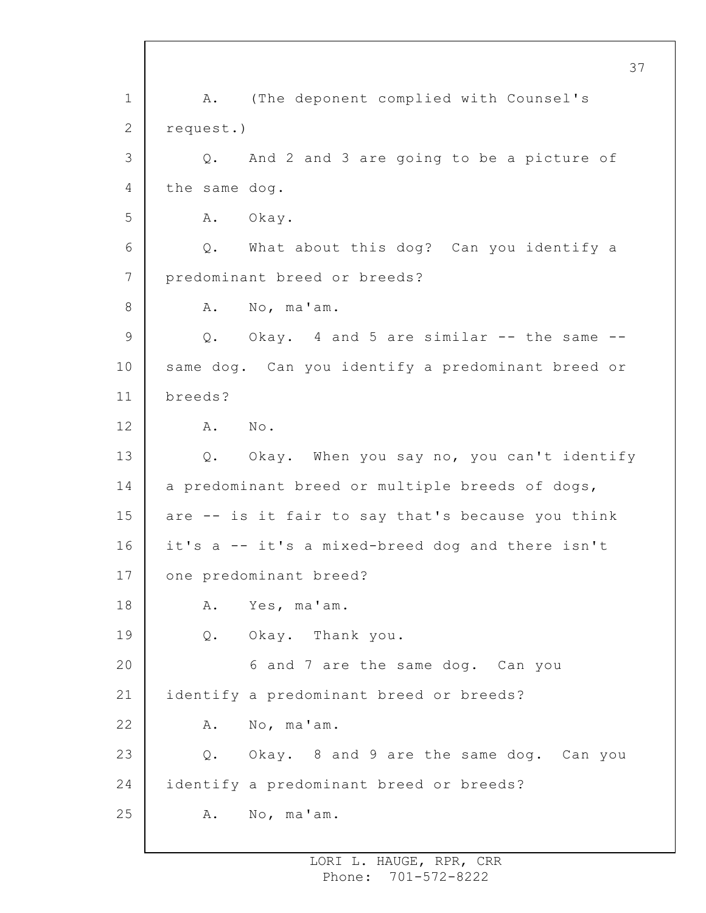1 2 3 4 5 6 7 8 9 10 11 12 13 14 15 16 17 18 19 20 21 22 23 24 25 37 A. (The deponent complied with Counsel's request.) Q. And 2 and 3 are going to be a picture of the same dog. A. Okay. Q. What about this dog? Can you identify a predominant breed or breeds? A. No, ma'am. Q. Okay. 4 and 5 are similar -- the same - same dog. Can you identify a predominant breed or breeds? A. No. Q. Okay. When you say no, you can't identify a predominant breed or multiple breeds of dogs, are -- is it fair to say that's because you think it's a -- it's a mixed-breed dog and there isn't one predominant breed? A. Yes, ma'am. Q. Okay. Thank you. 6 and 7 are the same dog. Can you identify a predominant breed or breeds? A. No, ma'am. Q. Okay. 8 and 9 are the same dog. Can you identify a predominant breed or breeds? A. No, ma'am.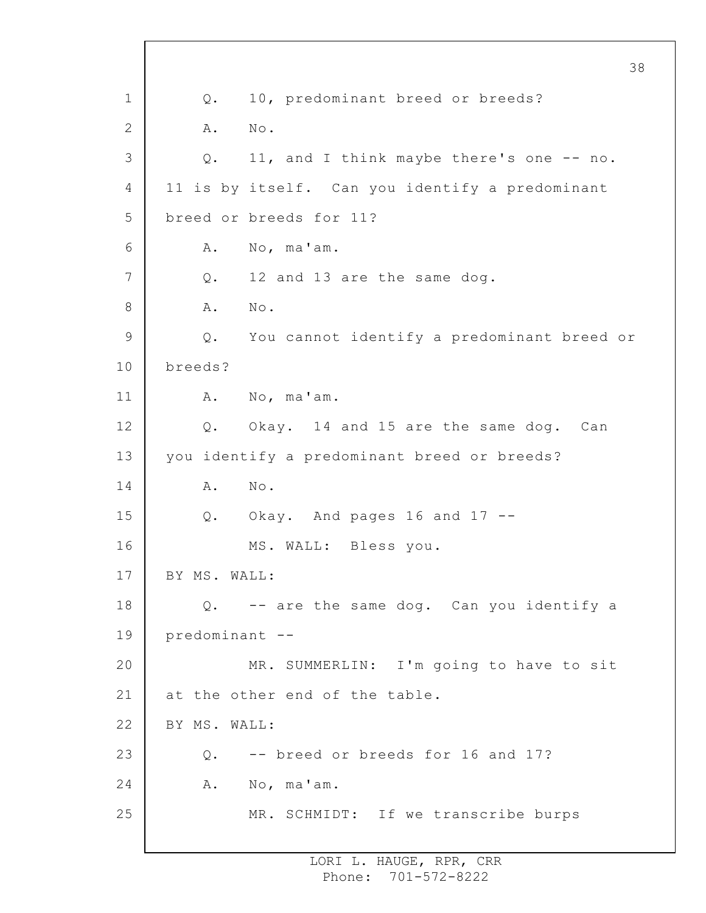1 2 3 4 5 6 7 8 9 10 11 12 13 14 15 16 17 18 19 20 21 22 23 24 25 Q. 10, predominant breed or breeds? A. No. Q. 11, and I think maybe there's one -- no. 11 is by itself. Can you identify a predominant breed or breeds for 11? A. No, ma'am. Q. 12 and 13 are the same dog. A. No. Q. You cannot identify a predominant breed or breeds? A. No, ma'am. Q. Okay. 14 and 15 are the same dog. Can you identify a predominant breed or breeds? A. No. Q. Okay. And pages 16 and 17 -- MS. WALL: Bless you. BY MS. WALL: Q. -- are the same dog. Can you identify a predominant -- MR. SUMMERLIN: I'm going to have to sit at the other end of the table. BY MS. WALL: Q. -- breed or breeds for 16 and 17? A. No, ma'am. MR. SCHMIDT: If we transcribe burps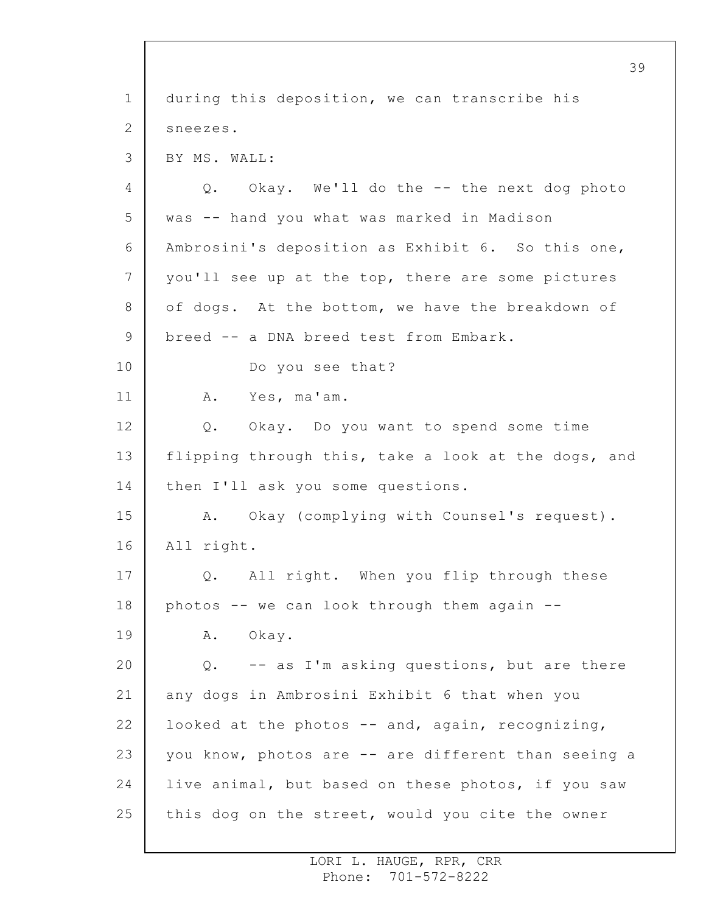1 2 3 4 5 6 7 8 9 10 11 12 13 14 15 16 17 18 19 20 21 22 23 24 25 39 during this deposition, we can transcribe his sneezes. BY MS. WALL: Q. Okay. We'll do the -- the next dog photo was -- hand you what was marked in Madison Ambrosini's deposition as Exhibit 6. So this one, you'll see up at the top, there are some pictures of dogs. At the bottom, we have the breakdown of breed -- a DNA breed test from Embark. Do you see that? A. Yes, ma'am. Q. Okay. Do you want to spend some time flipping through this, take a look at the dogs, and then I'll ask you some questions. A. Okay (complying with Counsel's request). All right. Q. All right. When you flip through these photos -- we can look through them again -- A. Okay. Q. -- as I'm asking questions, but are there any dogs in Ambrosini Exhibit 6 that when you looked at the photos  $--$  and, again, recognizing, you know, photos are -- are different than seeing a live animal, but based on these photos, if you saw this dog on the street, would you cite the owner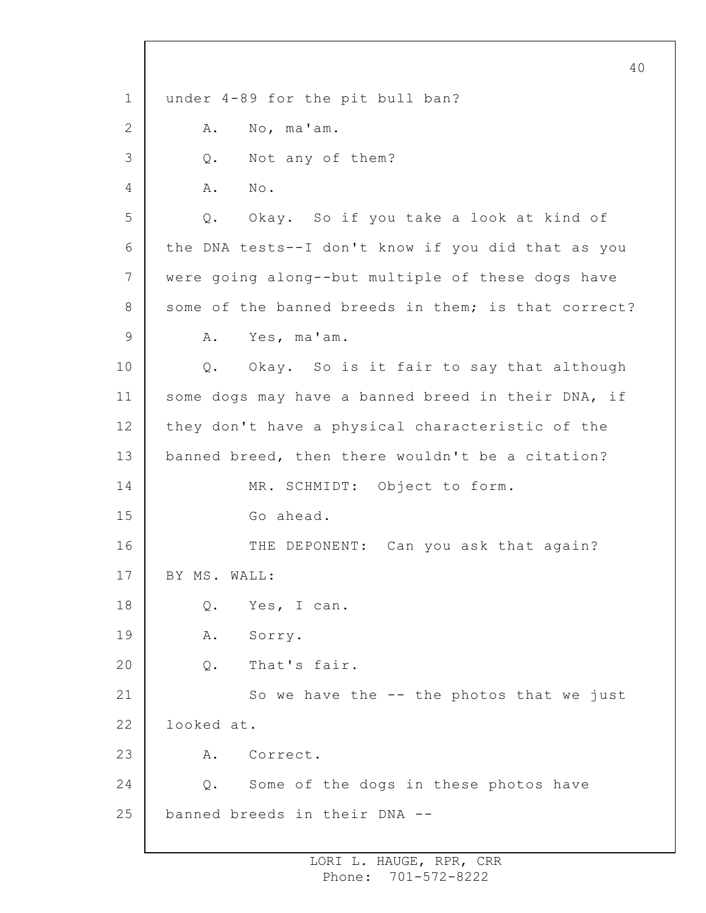1 2 3 4 5 6 7 8 9 10 11 12 13 14 15 16 17 18 19 20 21 22 23 24 25 40 under 4-89 for the pit bull ban? A. No, ma'am. Q. Not any of them? A. No. Q. Okay. So if you take a look at kind of the DNA tests--I don't know if you did that as you were going along--but multiple of these dogs have some of the banned breeds in them; is that correct? A. Yes, ma'am. Q. Okay. So is it fair to say that although some dogs may have a banned breed in their DNA, if they don't have a physical characteristic of the banned breed, then there wouldn't be a citation? MR. SCHMIDT: Object to form. Go ahead. THE DEPONENT: Can you ask that again? BY MS. WALL: Q. Yes, I can. A. Sorry. Q. That's fair. So we have the -- the photos that we just looked at. A. Correct. Q. Some of the dogs in these photos have banned breeds in their DNA --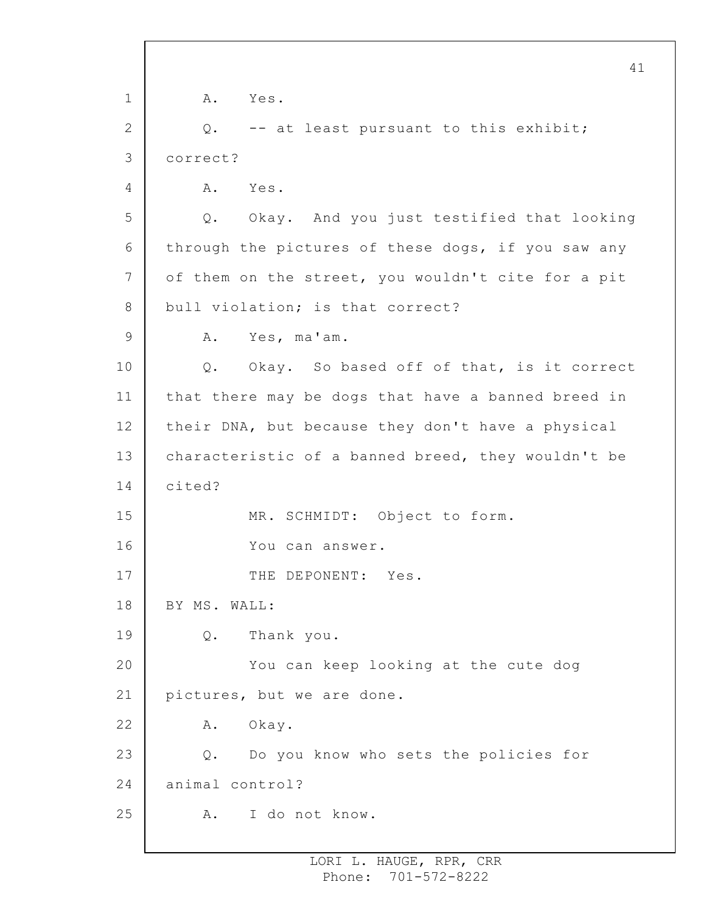1 2 3 4 5 6 7 8 9 10 11 12 13 14 15 16 17 18 19 20 21 22 23 24 25 41 A. Yes. Q. -- at least pursuant to this exhibit; correct? A. Yes. Q. Okay. And you just testified that looking through the pictures of these dogs, if you saw any of them on the street, you wouldn't cite for a pit bull violation; is that correct? A. Yes, ma'am. Q. Okay. So based off of that, is it correct that there may be dogs that have a banned breed in their DNA, but because they don't have a physical characteristic of a banned breed, they wouldn't be cited? MR. SCHMIDT: Object to form. You can answer. THE DEPONENT: Yes. BY MS. WALL: Q. Thank you. You can keep looking at the cute dog pictures, but we are done. A. Okay. Q. Do you know who sets the policies for animal control? A. I do not know.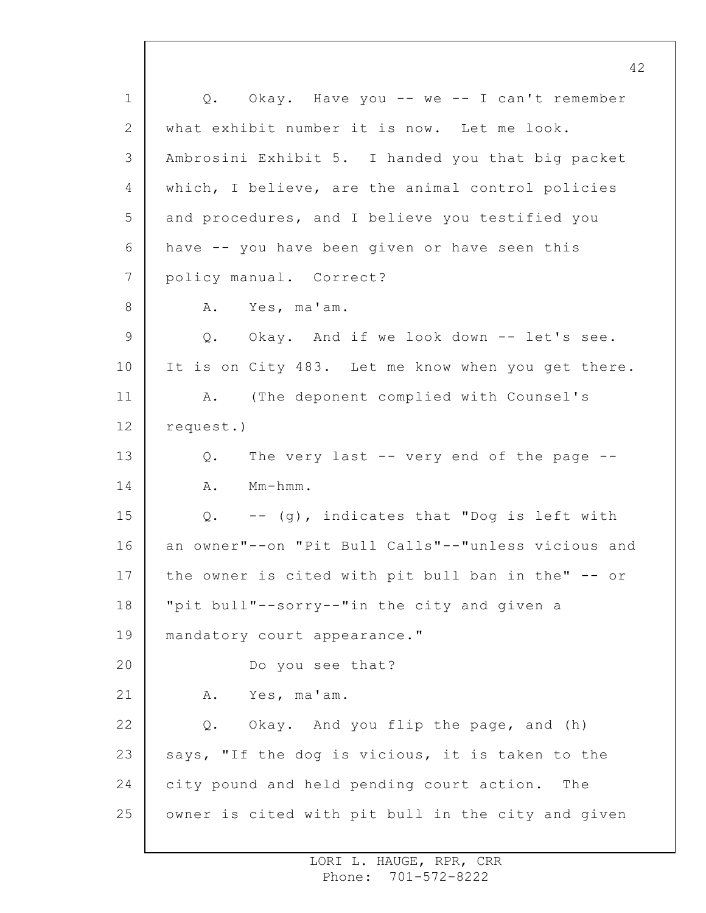1 2 3 4 5 6 7 8 9 10 11 12 13 14 15 16 17 18 19 20 21 22 23 24 25 Q. Okay. Have you -- we -- I can't remember what exhibit number it is now. Let me look. Ambrosini Exhibit 5. I handed you that big packet which, I believe, are the animal control policies and procedures, and I believe you testified you have -- you have been given or have seen this policy manual. Correct? A. Yes, ma'am. Q. Okay. And if we look down -- let's see. It is on City 483. Let me know when you get there. A. (The deponent complied with Counsel's request.) Q. The very last -- very end of the page -- A. Mm-hmm. Q. -- (g), indicates that "Dog is left with an owner"--on "Pit Bull Calls"--"unless vicious and the owner is cited with pit bull ban in the" -- or "pit bull"--sorry--"in the city and given a mandatory court appearance." Do you see that? A. Yes, ma'am. Q. Okay. And you flip the page, and (h) says, "If the dog is vicious, it is taken to the city pound and held pending court action. The owner is cited with pit bull in the city and given

> LORI L. HAUGE, RPR, CRR Phone: 701-572-8222

42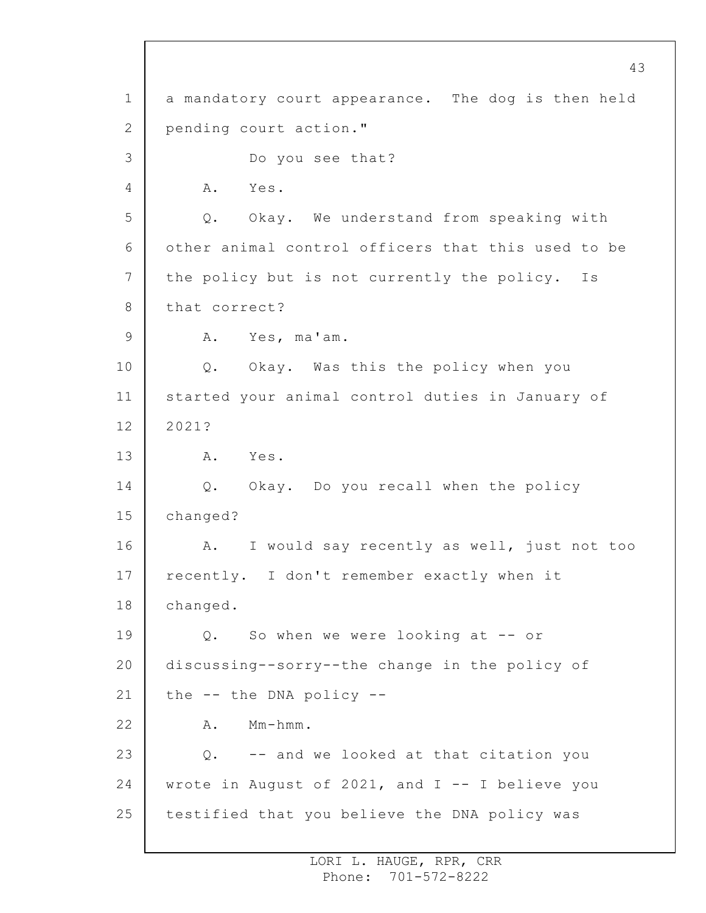1 2 3 4 5 6 7 8 9 10 11 12 13 14 15 16 17 18 19 20 21 22 23 24 25 a mandatory court appearance. The dog is then held pending court action." Do you see that? A. Yes. Q. Okay. We understand from speaking with other animal control officers that this used to be the policy but is not currently the policy. Is that correct? A. Yes, ma'am. Q. Okay. Was this the policy when you started your animal control duties in January of 2021? A. Yes. Q. Okay. Do you recall when the policy changed? A. I would say recently as well, just not too recently. I don't remember exactly when it changed. Q. So when we were looking at -- or discussing--sorry--the change in the policy of the -- the DNA policy -- A. Mm-hmm. Q. -- and we looked at that citation you wrote in August of 2021, and  $I$  -- I believe you testified that you believe the DNA policy was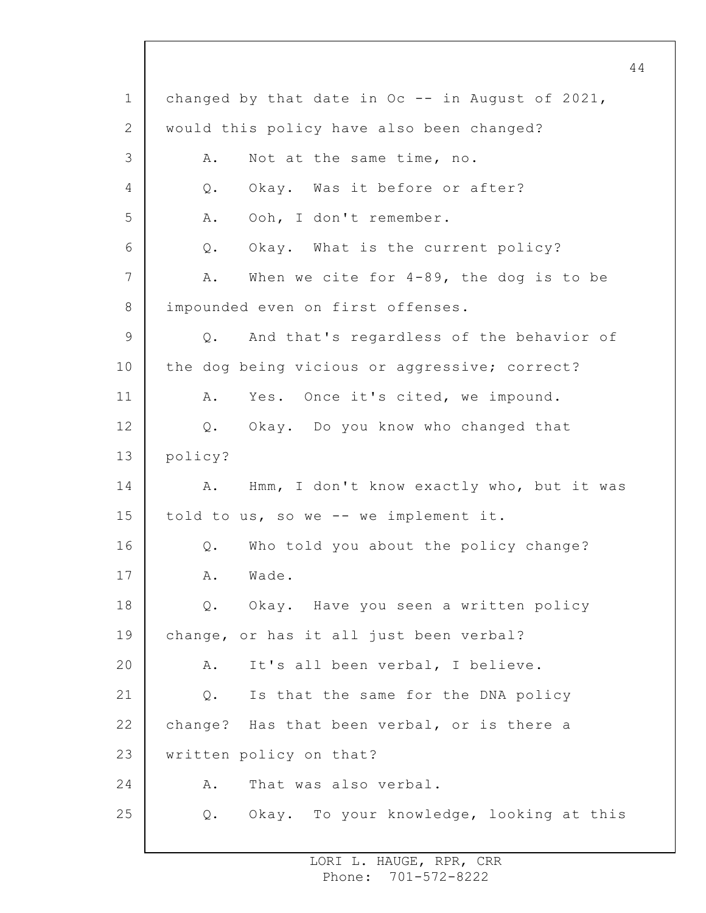1 2 3 4 5 6 7 8 9 10 11 12 13 14 15 16 17 18 19 20 21 22 23 24 25 changed by that date in Oc -- in August of 2021, would this policy have also been changed? A. Not at the same time, no. Q. Okay. Was it before or after? A. Ooh, I don't remember. Q. Okay. What is the current policy? A. When we cite for 4-89, the dog is to be impounded even on first offenses. Q. And that's regardless of the behavior of the dog being vicious or aggressive; correct? A. Yes. Once it's cited, we impound. Q. Okay. Do you know who changed that policy? A. Hmm, I don't know exactly who, but it was told to us, so we -- we implement it. Q. Who told you about the policy change? A. Wade. Q. Okay. Have you seen a written policy change, or has it all just been verbal? A. It's all been verbal, I believe. Q. Is that the same for the DNA policy change? Has that been verbal, or is there a written policy on that? A. That was also verbal. Q. Okay. To your knowledge, looking at this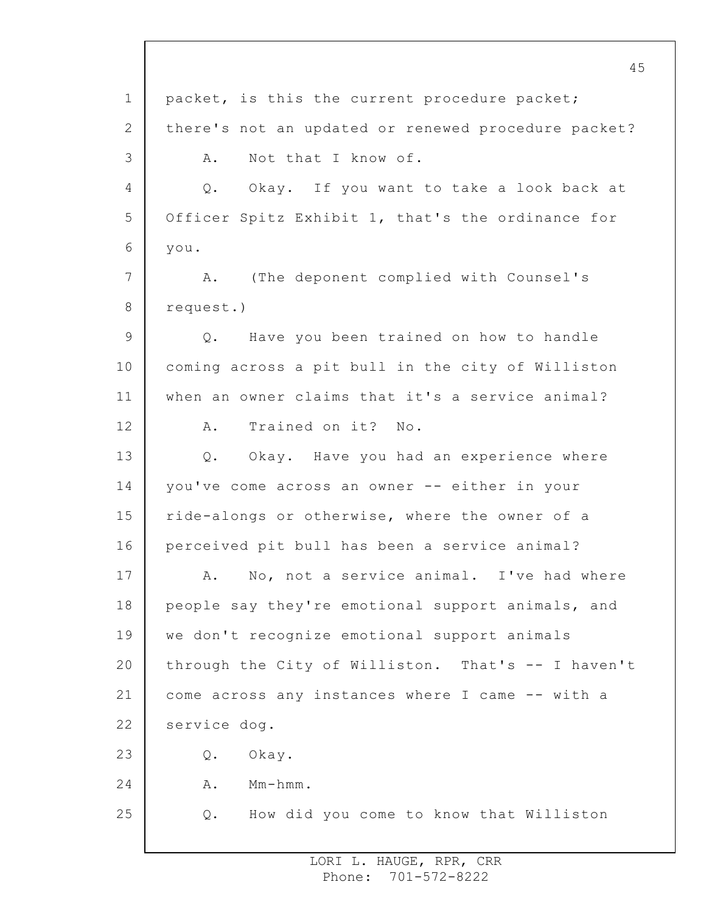1 2 3 4 5 6 7 8 9 10 11 12 13 14 15 16 17 18 19 20 21 22 23 24 25 45 packet, is this the current procedure packet; there's not an updated or renewed procedure packet? A. Not that I know of. Q. Okay. If you want to take a look back at Officer Spitz Exhibit 1, that's the ordinance for you. A. (The deponent complied with Counsel's request.) Q. Have you been trained on how to handle coming across a pit bull in the city of Williston when an owner claims that it's a service animal? A. Trained on it? No. Q. Okay. Have you had an experience where you've come across an owner -- either in your ride-alongs or otherwise, where the owner of a perceived pit bull has been a service animal? A. No, not a service animal. I've had where people say they're emotional support animals, and we don't recognize emotional support animals through the City of Williston. That's -- I haven't come across any instances where I came -- with a service dog. Q. Okay. A. Mm-hmm. Q. How did you come to know that Williston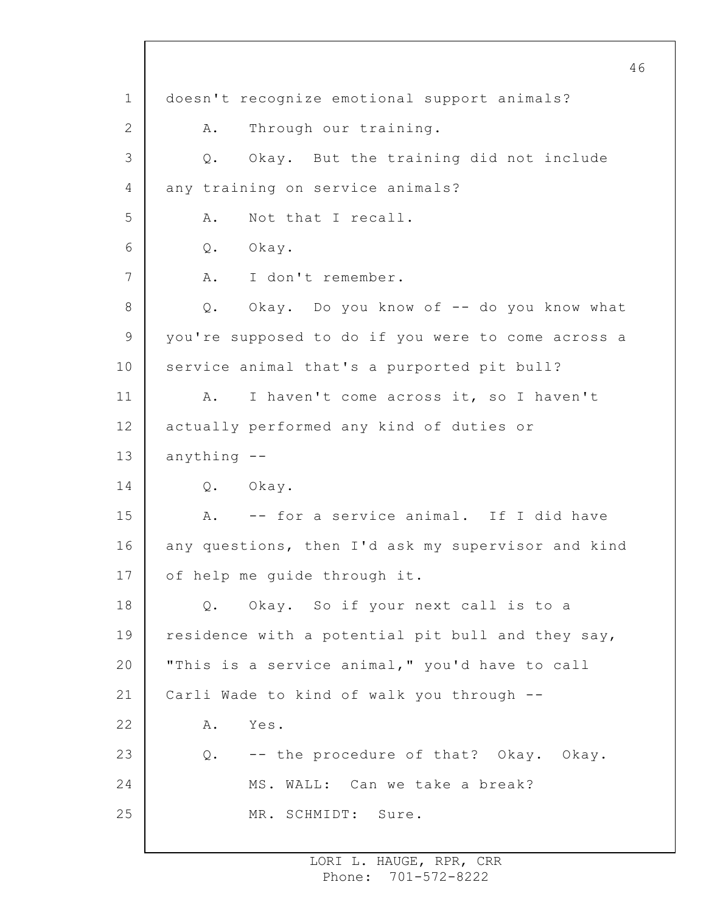1 2 3 4 5 6 7 8 9 10 11 12 13 14 15 16 17 18 19 20 21 22 23 24 25 doesn't recognize emotional support animals? A. Through our training. Q. Okay. But the training did not include any training on service animals? A. Not that I recall. Q. Okay. A. I don't remember. Q. Okay. Do you know of -- do you know what you're supposed to do if you were to come across a service animal that's a purported pit bull? A. I haven't come across it, so I haven't actually performed any kind of duties or anything -- Q. Okay. A. -- for a service animal. If I did have any questions, then I'd ask my supervisor and kind of help me guide through it. Q. Okay. So if your next call is to a residence with a potential pit bull and they say, "This is a service animal," you'd have to call Carli Wade to kind of walk you through -- A. Yes. Q. -- the procedure of that? Okay. Okay. MS. WALL: Can we take a break? MR. SCHMIDT: Sure.

> LORI L. HAUGE, RPR, CRR Phone: 701-572-8222

46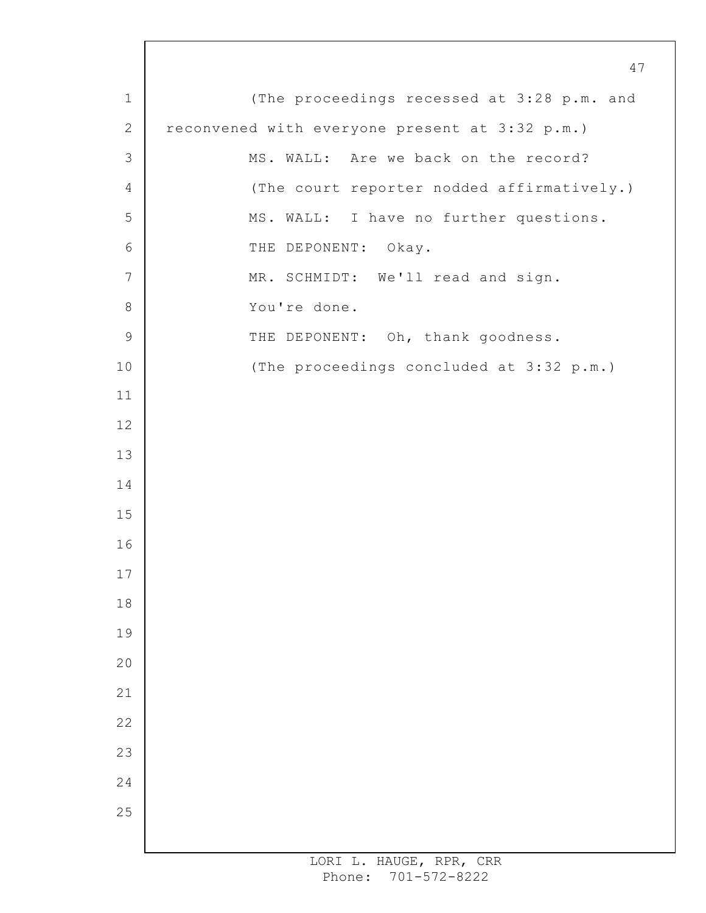(The proceedings recessed at 3:28 p.m. and reconvened with everyone present at 3:32 p.m.) MS. WALL: Are we back on the record? (The court reporter nodded affirmatively.) MS. WALL: I have no further questions. THE DEPONENT: Okay. MR. SCHMIDT: We'll read and sign. You're done. THE DEPONENT: Oh, thank goodness. (The proceedings concluded at 3:32 p.m.)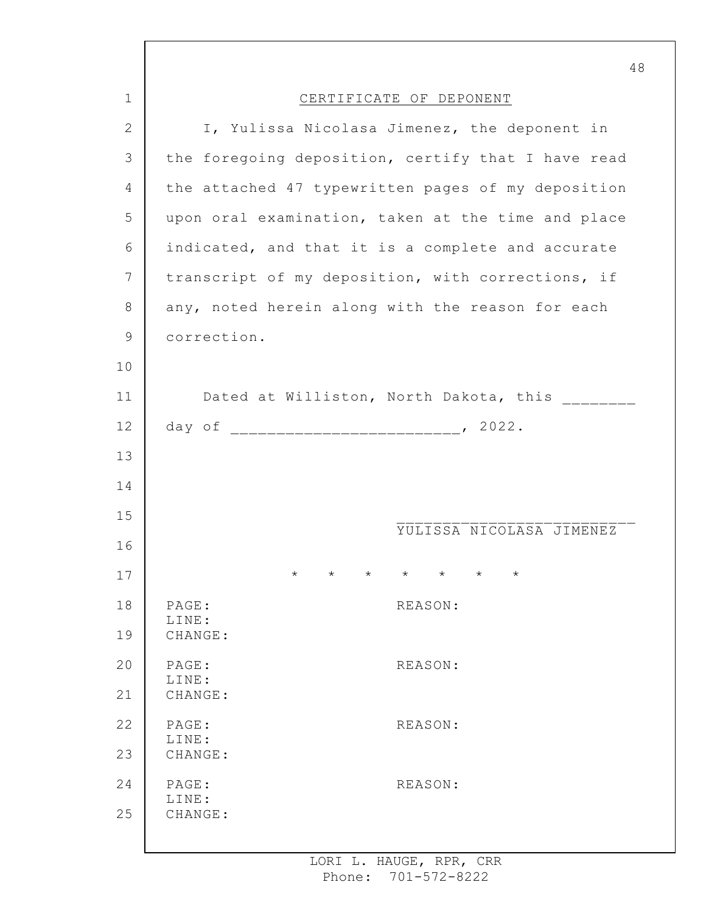|             | 48                                                                            |
|-------------|-------------------------------------------------------------------------------|
| $\mathbf 1$ | CERTIFICATE OF DEPONENT                                                       |
| 2           | I, Yulissa Nicolasa Jimenez, the deponent in                                  |
| 3           | the foregoing deposition, certify that I have read                            |
| 4           | the attached 47 typewritten pages of my deposition                            |
| 5           | upon oral examination, taken at the time and place                            |
| 6           | indicated, and that it is a complete and accurate                             |
| 7           | transcript of my deposition, with corrections, if                             |
| 8           | any, noted herein along with the reason for each                              |
| $\mathsf 9$ | correction.                                                                   |
| 10          |                                                                               |
| 11          | Dated at Williston, North Dakota, this _______                                |
| 12          |                                                                               |
| 13          |                                                                               |
| 14          |                                                                               |
| 15          | YULISSA NICOLASA JIMENEZ                                                      |
| 16          |                                                                               |
| 17          | $\star$<br>$\star$<br>$^{\star}$<br>$\star$<br>$\star$<br>$\star$<br>$^\star$ |
| 18          | PAGE:<br>REASON:<br>LINE:                                                     |
| 19          | CHANGE:                                                                       |
| 20          | PAGE:<br>REASON:<br>LINE:                                                     |
| 21          | CHANGE:                                                                       |
| 22          | PAGE:<br>REASON:<br>LINE:                                                     |
| 23          | CHANGE:                                                                       |
| 24          | PAGE:<br>REASON:<br>LINE:                                                     |
| 25          | CHANGE:                                                                       |
|             |                                                                               |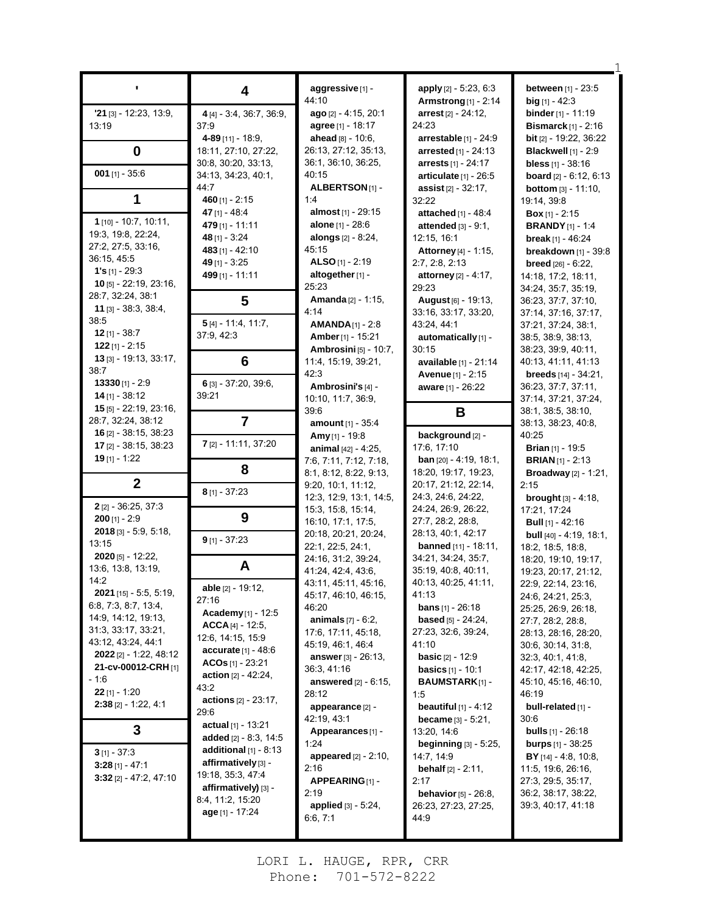|                               |                                | aggressive [1] -                | apply [2] - 5:23, 6:3                   | between [1] - 23:5                      |
|-------------------------------|--------------------------------|---------------------------------|-----------------------------------------|-----------------------------------------|
|                               | 4                              | 44:10                           | <b>Armstrong</b> [1] - 2:14             | <b>big</b> $[1] - 42:3$                 |
|                               |                                | ago [2] - 4:15, 20:1            |                                         |                                         |
| $'21$ [3] - 12:23, 13:9,      | 4 [4] - 3:4, 36:7, 36:9,       |                                 | arrest [2] - 24:12,                     | <b>binder</b> $[1] - 11:19$             |
| 13:19                         | 37:9                           | <b>agree</b> [1] - 18:17        | 24:23                                   | <b>Bismarck</b> $[1]$ - 2:16            |
|                               | 4-89 $[11] - 18.9$             | ahead [8] - 10:6,               | arrestable $[1]$ - 24:9                 | bit [2] - 19:22, 36:22                  |
| $\bf{0}$                      | 18:11, 27:10, 27:22,           | 26:13, 27:12, 35:13,            | <b>arrested</b> $[1] - 24:13$           | Blackwell [1] - 2:9                     |
| $001$ [1] - 35:6              | 30.8, 30.20, 33.13,            | 36:1, 36:10, 36:25,             | arrests $[1] - 24:17$                   | <b>bless</b> $[1] - 38:16$              |
|                               | 34:13, 34:23, 40:1,            | 40:15                           | articulate $[1]$ - 26:5                 | <b>board</b> $[2] - 6:12, 6:13$         |
| 1                             | 44:7                           | ALBERTSON <sub>[1]</sub> -      | assist $[2] - 32:17$ ,                  | <b>bottom</b> [3] - 11:10,              |
|                               | 460 $[1] - 2:15$               | 1:4                             | 32:22                                   | 19:14, 39:8                             |
| $1$ [10] - 10:7, 10:11,       | 47 $[1] - 48.4$                | almost [1] - 29:15              | attached [1] - 48:4                     | <b>Box</b> [1] - 2:15                   |
| 19:3, 19:8, 22:24,            | 479 [1] - 11:11                | <b>alone</b> $[1] - 28.6$       | attended $[3] - 9:1$ ,                  | <b>BRANDY</b> [1] - 1:4                 |
| 27:2, 27:5, 33:16,            | 48 [1] - 3:24                  | alongs $[2] - 8:24$ ,           | 12:15, 16:1                             | break [1] - $46:24$                     |
| 36:15, 45:5                   | 483 [1] - 42:10                | 45:15                           | Attorney [4] - 1:15,                    | breakdown [1] - 39:8                    |
| $1's$ [1] - 29:3              | 49 [1] - 3:25                  | ALSO $[1]$ - 2:19               | 2:7, 2:8, 2:13                          | <b>breed</b> $[26] - 6:22$ ,            |
| 10 $[5] - 22:19, 23:16,$      | 499 [1] - 11:11                | altogether [1] -                | attorney [2] - 4:17,                    | 14:18, 17:2, 18:11,                     |
| 28:7, 32:24, 38:1             |                                | 25:23                           | 29:23                                   | 34:24, 35:7, 35:19,                     |
| $11$ [3] - 38:3, 38:4,        | 5                              | Amanda <sup>[2]</sup> - 1:15,   | August [6] - 19:13,                     | 36.23, 37:7, 37:10,                     |
| 38:5                          |                                | 4:14                            | 33:16, 33:17, 33:20,                    | 37:14, 37:16, 37:17,                    |
| $12$ [1] - 38:7               | $5[4] - 11:4, 11:7,$           | $AMANDA_{[1]} - 2:8$            | 43:24, 44:1                             | 37:21, 37:24, 38:1,                     |
| $122$ [1] - 2:15              | 37:9, 42:3                     | Amber [1] - 15:21               | automatically [1] -                     | 38:5, 38:9, 38:13,                      |
| 13 [3] - 19:13, 33:17,        |                                | <b>Ambrosini</b> [5] - 10:7,    | 30:15                                   | 38:23, 39:9, 40:11,                     |
| 38:7                          | 6                              | 11:4, 15:19, 39:21,             | available [1] - 21:14                   | 40:13, 41:11, 41:13                     |
| $13330$ [1] - 2:9             | 6 [3] - 37:20, 39:6,           | 42:3                            | Avenue [1] - 2:15                       | <b>breeds</b> $[14] - 34:21$ ,          |
| $14$ [1] - 38:12              | 39:21                          | Ambrosini's [4] -               | aware [1] - 26:22                       | 36:23, 37:7, 37:11,                     |
| $15$ [5] - 22:19, 23:16,      |                                | 10:10, 11:7, 36:9,              |                                         | 37:14, 37:21, 37:24,                    |
| 28:7, 32:24, 38:12            | $\overline{7}$                 | 39:6                            | В                                       | 38:1, 38:5, 38:10,                      |
| 16 $[2] - 38:15, 38:23$       |                                | amount [1] - 35:4               |                                         | 38:13, 38:23, 40:8,                     |
| $17$ [2] - 38:15, 38:23       | 7 [2] - 11:11, 37:20           | Amy $[1] - 19.8$                | background [2] -                        | 40:25                                   |
| <b>19</b> [1] - 1:22          |                                | animal [42] - 4:25,             | 17:6, 17:10                             | <b>Brian</b> [1] - 19:5                 |
|                               | 8                              | 7:6, 7:11, 7:12, 7:18,          | <b>ban</b> $[20] - 4.19$ , 18.1,        | <b>BRIAN</b> $[1]$ - 2:13               |
| $\boldsymbol{2}$              |                                | 8:1, 8:12, 8:22, 9:13,          | 18:20, 19:17, 19:23,                    | <b>Broadway</b> $[2] - 1:21$ ,          |
|                               | $8$ [1] - 37:23                | 9:20, 10:1, 11:12,              | 20:17, 21:12, 22:14,                    | 2:15                                    |
| $2$ [2] - 36:25, 37:3         |                                | 12:3, 12:9, 13:1, 14:5,         | 24:3, 24:6, 24:22,                      | <b>brought</b> $[3] - 4:18$ ,           |
| $200$ [1] - 2:9               | 9                              | 15:3, 15:8, 15:14,              | 24:24, 26:9, 26:22,                     | 17:21, 17:24                            |
| 2018 [3] - 5:9, 5:18,         |                                | 16:10, 17:1, 17:5,              | 27:7, 28:2, 28:8,<br>28:13, 40:1, 42:17 | <b>Bull</b> $[1]$ - 42:16               |
| 13:15                         | $9$ [1] - 37:23                | 20:18, 20:21, 20:24,            |                                         | <b>bull</b> [40] - 4:19, 18:1,          |
| $2020$ [5] - 12:22,           |                                | 22:1, 22:5, 24:1,               | <b>banned</b> $[11] - 18:11$ ,          | 18:2, 18:5, 18:8,                       |
| 13:6, 13:8, 13:19,            | A                              | 24:16, 31:2, 39:24,             | 34:21, 34:24, 35:7,                     | 18:20, 19:10, 19:17,                    |
| 14:2                          |                                | 41:24, 42:4, 43:6,              | 35:19, 40:8, 40:11,                     | 19:23, 20:17, 21:12,                    |
| <b>2021</b> [15] - 5:5, 5:19, | <b>able</b> [2] - 19:12,       | 43:11, 45:11, 45:16,            | 40:13, 40:25, 41:11,<br>41:13           | 22.9, 22.14, 23:16,                     |
| 6.8, 7.3, 8.7, 13.4,          | 27:16                          | 45:17, 46:10, 46:15,<br>46:20   | <b>bans</b> $[1] - 26:18$               | 24:6, 24:21, 25:3,                      |
| 14.9, 14.12, 19.13,           | Academy $[1]$ - 12:5           | <b>animals</b> $[7] - 6:2$ ,    | <b>based</b> [5] $- 24:24,$             | 25:25, 26:9, 26:18,                     |
| 31:3, 33:17, 33:21,           | $ACCA$ [4] - 12:5,             | 17:6, 17:11, 45:18,             | 27:23, 32:6, 39:24,                     | 27:7, 28:2, 28:8,                       |
| 43.12, 43.24, 44.1            | 12:6, 14:15, 15:9              | 45.19, 46.1, 46.4               | 41:10                                   | 28:13, 28:16, 28:20,                    |
| <b>2022</b> [2] - 1:22, 48:12 | $accurate$ [1] - 48:6          | <b>answer</b> [3] - 26:13,      | <b>basic</b> $[2] - 12:9$               | 30.6, 30.14, 31.8,<br>32.3, 40.1, 41.8, |
| 21-cv-00012-CRH [1]           | $ACOs_{[1]} - 23:21$           | 36:3, 41:16                     | <b>basics</b> $[1] - 10:1$              | 42:17, 42:18, 42:25,                    |
| $-1:6$                        | <b>action</b> $[2] - 42:24$ ,  | <b>answered</b> $[2] - 6.15$ ,  | <b>BAUMSTARK[1]-</b>                    | 45:10, 45:16, 46:10,                    |
| $22$ [1] - 1:20               | 43:2                           | 28:12                           | 1.5                                     | 46:19                                   |
| $2:38$ [2] - 1:22, 4:1        | <b>actions</b> $[2] - 23:17$ , |                                 | beautiful $[1] - 4.12$                  | bull-related [1] -                      |
|                               | 29:6                           | appearance [2] -<br>42:19, 43:1 | <b>became</b> $[3] - 5:21$ ,            | 30:6                                    |
| 3                             | actual [1] - 13:21             | Appearances <sub>[1]</sub> -    | 13:20, 14:6                             | <b>bulls</b> $[1]$ - 26:18              |
|                               | added $[2] - 8:3, 14:5$        | 1:24                            | beginning $[3]$ - 5:25,                 | <b>burps</b> $[1]$ - 38:25              |
| $3$ [1] - 37:3                | additional $[1]$ - 8:13        | <b>appeared</b> $[2] - 2:10$ ,  | 14:7, 14:9                              | <b>BY</b> [14] - 4:8, 10:8,             |
| $3:28$ [1] - 47:1             | affirmatively [3] -            | 2:16                            | <b>behalf</b> $[2] - 2.11$ ,            | 11:5, 19:6, 26:16,                      |
| $3:32$ [2] - 47:2, 47:10      | 19:18, 35:3, 47:4              | APPEARING[1] -                  | 2:17                                    | 27:3, 29:5, 35:17,                      |
|                               | affirmatively) [3] -           | 2:19                            | <b>behavior</b> [5] - 26:8,             | 36:2, 38:17, 38:22,                     |
|                               | 8:4, 11:2, 15:20               | <b>applied</b> $[3] - 5.24$ ,   | 26:23, 27:23, 27:25,                    | 39:3, 40:17, 41:18                      |
|                               | age [1] - 17:24                | 6:6, 7:1                        | 44.9                                    |                                         |
|                               |                                |                                 |                                         |                                         |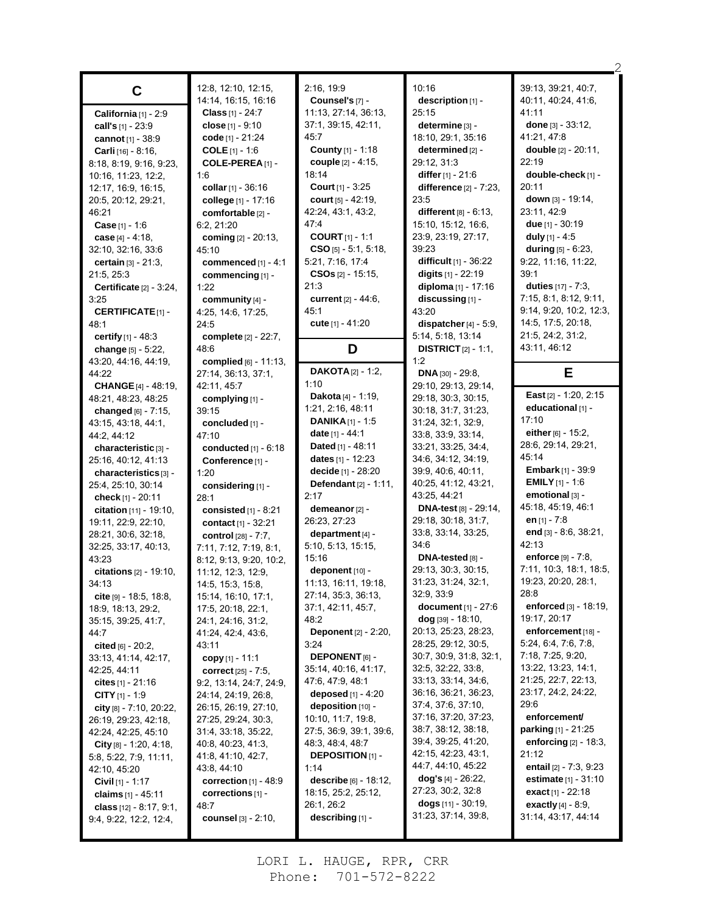| C                                                   | 12:8, 12:10, 12:15,<br>14:14, 16:15, 16:16 | 2:16, 19:9<br>Counsel's [7] -                  | 10:16<br>description $[1]$ -                       | 39:13, 39:21, 40:7,<br>40.11, 40:24, 41:6,          |
|-----------------------------------------------------|--------------------------------------------|------------------------------------------------|----------------------------------------------------|-----------------------------------------------------|
| California [1] - 2:9                                | <b>Class</b> [1] - 24:7                    | 11:13, 27:14, 36:13,                           | 25:15                                              | 41:11                                               |
| call's [1] - 23:9                                   | close $[1] - 9:10$                         | 37:1, 39:15, 42:11,                            | determine [3] -                                    | done $[3] - 33:12$ ,                                |
| cannot [1] - 38:9                                   | code [1] - 21:24                           | 45:7                                           | 18:10, 29:1, 35:16                                 | 41:21, 47:8                                         |
| Carli [16] - 8:16,                                  | <b>COLE</b> $[1] - 1.6$                    | County [1] - 1:18                              | determined [2] -                                   | <b>double</b> $[2] - 20:11$ ,                       |
| 8:18, 8:19, 9:16, 9:23,                             | COLE-PEREA [1] -                           | couple [2] - 4:15,                             | 29:12, 31:3                                        | 22:19                                               |
| 10:16, 11:23, 12:2,                                 | 1:6                                        | 18:14                                          | <b>differ</b> $[1]$ - 21:6                         | double-check [1] -                                  |
| 12:17, 16:9, 16:15,                                 | collar [1] - 36:16                         | <b>Court</b> $[1] - 3:25$                      | <b>difference</b> $[2] - 7:23$ ,                   | 20:11                                               |
| 20:5, 20:12, 29:21,                                 | college [1] - 17:16                        | court [5] - 42:19,                             | 23:5                                               | down $[3] - 19:14$ ,                                |
| 46:21                                               | comfortable [2] -                          | 42:24, 43:1, 43:2,                             | different $[8] - 6:13$ ,                           | 23:11, 42:9                                         |
| <b>Case</b> $[1] - 1.6$                             | 6:2, 21:20                                 | 47:4                                           | 15:10, 15:12, 16:6,                                | due $[1]$ - 30:19                                   |
|                                                     | coming [2] - 20:13,                        | <b>COURT</b> $[1] - 1:1$                       | 23.9, 23.19, 27:17,                                | duly $[1] - 4.5$                                    |
| case $[4] - 4:18$ ,<br>32:10, 32:16, 33:6           | 45:10                                      | $CSO$ [5] - 5:1, 5:18,                         | 39:23                                              | during $[5] - 6:23$ ,                               |
|                                                     |                                            | 5:21, 7:16, 17:4                               | difficult [1] - 36:22                              | 9:22, 11:16, 11:22,                                 |
| <b>certain</b> $[3] - 21:3$ ,                       | commenced [1] - 4:1                        | $CSOs_{[2]} - 15.15,$                          | digits $[1] - 22:19$                               | 39:1                                                |
| 21:5, 25:3                                          | commencing [1] -                           | 21:3                                           | diploma $[1] - 17:16$                              | duties $[17] - 7:3$ ,                               |
| Certificate $[2] - 3.24$ ,                          | 1:22                                       | current [2] - 44:6,                            | discussing [1] -                                   | 7:15, 8:1, 8:12, 9:11,                              |
| 3:25                                                | community $[4]$ -                          | 45:1                                           |                                                    | 9:14, 9:20, 10:2, 12:3,                             |
| <b>CERTIFICATE[1] -</b>                             | 4:25, 14:6, 17:25,                         |                                                | 43:20                                              | 14:5, 17:5, 20:18,                                  |
| 48:1                                                | 24:5                                       | cute [1] - 41:20                               | dispatcher $[4]$ - 5:9.                            | 21:5, 24:2, 31:2,                                   |
| certify $[1] - 48.3$                                | complete [2] - 22:7,                       |                                                | 5:14, 5:18, 13:14                                  |                                                     |
| change $[5] - 5.22$ ,                               | 48:6                                       | D                                              | <b>DISTRICT</b> $[2] - 1:1$ ,                      | 43.11, 46:12                                        |
| 43:20, 44:16, 44:19,                                | <b>complied</b> $[6] - 11:13$ ,            | <b>DAKOTA</b> $[2] - 1:2$ ,                    | 1:2                                                |                                                     |
| 44:22                                               | 27:14, 36:13, 37:1,                        | 1:10                                           | DNA [30] - 29:8,                                   | Е                                                   |
| <b>CHANGE</b> [4] - 48:19,                          | 42:11, 45:7                                |                                                | 29:10, 29:13, 29:14,                               | East $[2] - 1:20, 2:15$                             |
| 48:21, 48:23, 48:25                                 | complying [1] -                            | <b>Dakota</b> [4] - 1:19,<br>1:21, 2:16, 48:11 | 29:18, 30:3, 30:15,                                | educational [1] -                                   |
| changed $[6] - 7:15$ ,                              | 39:15                                      |                                                | 30:18, 31:7, 31:23,                                | 17:10                                               |
| 43.15, 43.18, 44.1,                                 | concluded [1] -                            | <b>DANIKA</b> $[1]$ - 1:5                      | 31:24, 32:1, 32:9,                                 | either $[6] - 15:2$ ,                               |
| 44:2, 44:12                                         | 47:10                                      | date $[1] - 44.1$                              | 33.8, 33.9, 33.14,                                 | 28:6, 29:14, 29:21,                                 |
| characteristic [3] -                                | conducted $[1] - 6.18$                     | <b>Dated</b> [1] - 48:11                       | 33:21, 33:25, 34:4,                                | 45.14                                               |
| 25:16, 40:12, 41:13                                 | Conference [1] -                           | <b>dates</b> $[1]$ - 12:23                     | 34:6, 34:12, 34:19,                                | <b>Embark</b> $[1]$ - 39:9                          |
| characteristics [3] -                               | 1:20                                       | decide [1] - 28:20                             | 39:9, 40:6, 40:11,                                 |                                                     |
|                                                     |                                            |                                                |                                                    |                                                     |
| 25.4, 25.10, 30.14                                  | considering [1] -                          | <b>Defendant</b> $[2] - 1:11$ ,                | 40:25, 41:12, 43:21,                               | <b>EMILY</b> $[1]$ - 1:6                            |
| check $[1] - 20:11$                                 | 28:1                                       | 2:17                                           | 43:25, 44:21                                       | emotional [3] -                                     |
| <b>citation</b> $[11] - 19:10$ ,                    | consisted $[1]$ - 8:21                     | demeanor [2] -                                 | <b>DNA-test</b> $[8] - 29:14$ ,                    | 45:18, 45:19, 46:1                                  |
| 19:11, 22:9, 22:10,                                 | contact [1] - 32:21                        | 26.23, 27.23                                   | 29:18, 30:18, 31:7,                                | en <sub>[1]</sub> - 7:8                             |
| 28:21, 30:6, 32:18,                                 | control [28] - 7:7,                        | department [4] -                               | 33:8, 33:14, 33:25,                                | end [3] - 8:6, 38:21,                               |
| 32:25, 33:17, 40:13,                                | 7:11, 7:12, 7:19, 8:1,                     | 5:10, 5:13, 15:15,                             | 34:6                                               | 42:13                                               |
| 43:23                                               | 8:12, 9:13, 9:20, 10:2,                    | 15:16                                          | DNA-tested $[8]$ -                                 | enforce [9] - 7:8,                                  |
| <b>citations</b> $[2] - 19:10$ ,                    | 11:12, 12:3, 12:9,                         | deponent $[10]$ -                              | 29:13, 30:3, 30:15,                                | 7:11, 10:3, 18:1, 18:5,                             |
| 34:13                                               | 14:5, 15:3, 15:8,                          | 11:13, 16:11, 19:18,                           | 31:23, 31:24, 32:1,                                | 19:23, 20:20, 28:1,                                 |
| <b>cite</b> $[9] - 18.5, 18.8,$                     | 15:14, 16:10, 17:1,                        | 27:14, 35:3, 36:13,                            | 32:9, 33:9                                         | 28:8                                                |
| 18.9, 18.13, 29.2,                                  | 17:5, 20:18, 22:1,                         | 37:1, 42:11, 45:7,                             | <b>document</b> $[1] - 27:6$                       | <b>enforced</b> $[3] - 18.19$ ,                     |
| 35:15, 39:25, 41:7,                                 | 24:1, 24:16, 31:2,                         | 48.2                                           | $\log$ [39] - 18:10,                               | 19:17, 20:17                                        |
| 44:7                                                | 41:24, 42:4, 43:6,                         | Deponent [2] - 2:20,                           | 20:13, 25:23, 28:23,                               | enforcement [18] -                                  |
| cited $[6] - 20.2$ ,                                | 43:11                                      | 3:24                                           | 28:25, 29:12, 30:5,                                | 5:24, 6.4, 7:6, 7:8,                                |
| 33:13, 41:14, 42:17,                                | copy $[1]$ - 11:1                          | <b>DEPONENT</b> [6] -                          | 30:7, 30:9, 31:8, 32:1,                            | 7:18, 7:25, 9:20,                                   |
| 42:25, 44:11                                        | <b>correct</b> $[25] - 7:5$ ,              | 35:14, 40:16, 41:17,                           | 32:5, 32:22, 33:8,                                 | 13:22, 13:23, 14:1,                                 |
| cites $[1] - 21:16$                                 | 9.2, 13.14, 24.7, 24.9,                    | 47:6, 47:9, 48:1                               | 33:13, 33:14, 34:6,                                | 21:25, 22:7, 22:13,                                 |
| <b>CITY</b> $[1]$ - 1:9                             | 24:14, 24:19, 26:8,                        | deposed [1] - 4:20                             | 36:16, 36:21, 36:23,                               | 23:17, 24:2, 24:22,                                 |
| city $[8] - 7:10, 20:22,$                           | 26:15, 26:19, 27:10,                       | deposition [10] -                              | 37:4, 37:6, 37:10,                                 | 29:6                                                |
| 26:19, 29:23, 42:18,                                | 27:25, 29:24, 30:3,                        | 10:10, 11:7, 19:8,                             | 37:16, 37:20, 37:23,                               | enforcement/                                        |
| 42:24, 42:25, 45:10                                 | 31:4, 33:18, 35:22,                        | 27:5, 36:9, 39:1, 39:6,                        | 38:7, 38:12, 38:18,                                | <b>parking</b> $[1] - 21:25$                        |
| City $[8] - 1.20, 4.18,$                            | 40.8, 40.23, 41.3,                         | 48:3, 48:4, 48:7                               | 39:4, 39:25, 41:20,                                | enforcing $[2]$ - 18:3,                             |
| 5:8, 5:22, 7:9, 11:11,                              | 41.8, 41.10, 42.7,                         | <b>DEPOSITION</b> [1] -                        | 42:15, 42:23, 43:1,                                | 21:12                                               |
| 42:10, 45:20                                        | 43:8, 44:10                                | 1:14                                           | 44:7, 44:10, 45:22                                 | entail $[2] - 7.3, 9.23$                            |
| <b>Civil</b> $[1]$ - 1:17                           | correction $[1]$ - 48:9                    | <b>describe</b> $[6] - 18:12$ ,                | dog's $[4]$ - 26:22,                               | <b>estimate</b> $[1] - 31:10$                       |
| claims $[1] - 45:11$                                | corrections $[1]$ -                        | 18:15, 25:2, 25:12,                            | 27:23, 30:2, 32:8                                  | <b>exact</b> [1] - 22:18                            |
| class $[12] - 8.17, 9.1,$<br>9.4, 9.22, 12.2, 12.4, | 48:7<br><b>counsel</b> [3] - 2:10,         | 26:1, 26:2<br>describing [1] -                 | <b>dogs</b> $[11]$ - 30:19,<br>31:23, 37:14, 39:8, | <b>exactly</b> $[4] - 8.9$ ,<br>31:14, 43:17, 44:14 |

2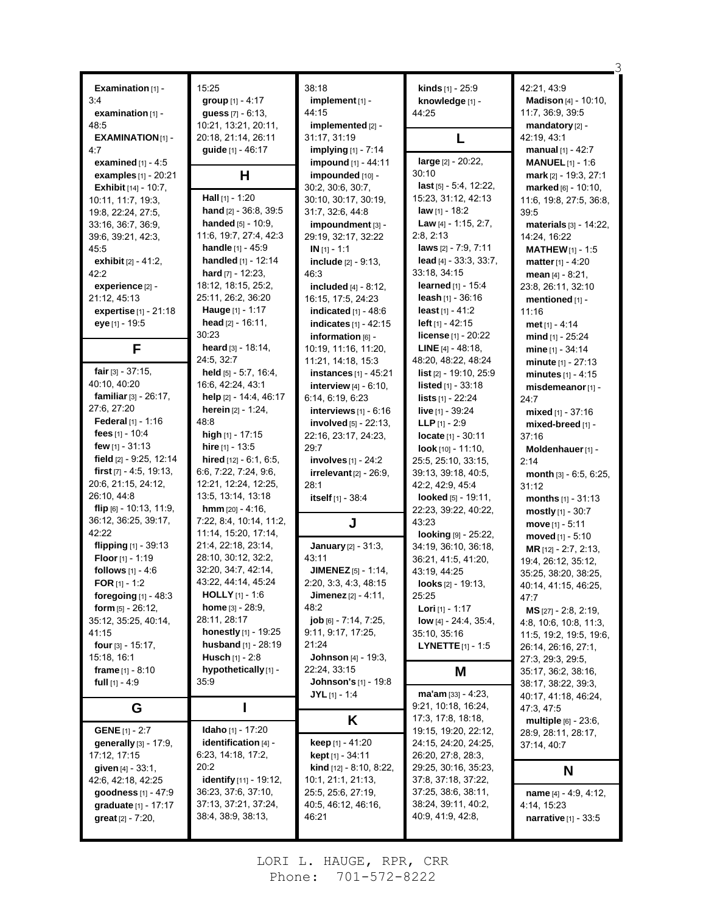|                                                      | 15:25                                    | 38:18                                   | kinds [1] - 25:9                | 42:21, 43:9                                        |
|------------------------------------------------------|------------------------------------------|-----------------------------------------|---------------------------------|----------------------------------------------------|
| Examination [1] -<br>3:4                             | group [1] - 4:17                         | implement [1] -                         |                                 | <b>Madison</b> [4] - 10:10,                        |
| examination [1] -                                    | guess $[7] - 6:13$ ,                     | 44:15                                   | knowledge [1] -<br>44:25        | 11:7, 36:9, 39:5                                   |
| 48:5                                                 | 10:21, 13:21, 20:11,                     | implemented [2] -                       |                                 | mandatory [2] -                                    |
| <b>EXAMINATION[1]-</b>                               | 20:18, 21:14, 26:11                      | 31:17, 31:19                            |                                 | 42:19, 43:1                                        |
|                                                      |                                          |                                         | L                               |                                                    |
| 4:7                                                  | guide [1] - 46:17                        | implying [1] - 7:14                     | large [2] - 20:22,              | <b>manual</b> $[1] - 42:7$                         |
| examined $[1] - 4.5$                                 |                                          | impound [1] - 44:11<br>impounded [10] - | 30:10                           | <b>MANUEL</b> $[1] - 1.6$<br>mark [2] - 19:3, 27:1 |
| examples [1] - 20:21                                 | Н                                        | 30:2, 30:6, 30:7,                       | $last$ [5] $-5:4$ , 12:22,      |                                                    |
| <b>Exhibit</b> $[14] - 10.7$ ,<br>10:11, 11:7, 19:3, | Hall [1] - 1:20                          | 30:10, 30:17, 30:19,                    | 15:23, 31:12, 42:13             | marked [6] - 10:10,                                |
|                                                      | hand $[2] - 36.8, 39.5$                  | 31:7, 32:6, 44:8                        | <b>law</b> $[1]$ - 18:2         | 11:6, 19:8, 27:5, 36:8,                            |
| 19:8, 22:24, 27:5,<br>33:16, 36:7, 36:9,             | <b>handed</b> $[5] - 10:9$ ,             | impoundment [3] -                       | Law $[4] - 1.15, 2.7,$          | 39:5<br>materials [3] - 14:22,                     |
|                                                      | 11:6, 19:7, 27:4, 42:3                   |                                         | 2:8, 2:13                       |                                                    |
| 39.6, 39.21, 42.3,<br>45:5                           | handle [1] - 45:9                        | 29:19, 32:17, 32:22<br>$IN [1] - 1.1$   | laws [2] - 7:9, 7:11            | 14:24, 16:22                                       |
| exhibit [2] - 41:2,                                  | <b>handled</b> $[1] - 12:14$             | include $[2] - 9:13$ ,                  | lead [4] - 33:3, 33:7,          | <b>MATHEW</b> $[1] - 1.5$                          |
| 42:2                                                 | hard $[7] - 12:23$ ,                     |                                         | 33:18, 34:15                    | <b>matter</b> [1] - 4:20                           |
|                                                      | 18:12, 18:15, 25:2,                      | 46:3                                    |                                 | mean $[4] - 8:21$ ,                                |
| experience [2] -                                     | 25:11, 26:2, 36:20                       | <b>included</b> $[4] - 8:12$ ,          | <b>learned</b> [1] - 15:4       | 23:8, 26:11, 32:10                                 |
| 21:12, 45:13                                         |                                          | 16:15, 17:5, 24:23                      | <b>leash</b> $[1]$ - 36:16      | mentioned [1] -                                    |
| expertise [1] - 21:18                                | Hauge [1] - 1:17<br>head $[2] - 16:11$ , | indicated $[1]$ - 48:6                  | <b>least</b> $[1] - 41:2$       | 11:16                                              |
| eye [1] - 19:5                                       |                                          | indicates [1] - 42:15                   | <b>left</b> $[1]$ - 42:15       | met $[1] - 4:14$                                   |
|                                                      | 30:23                                    | information [6] -                       | license [1] - 20:22             | mind [1] - 25:24                                   |
| F                                                    | heard $[3] - 18:14$ ,                    | 10:19, 11:16, 11:20,                    | <b>LINE</b> $[4] - 48:18$       | mine [1] - 34:14                                   |
|                                                      | 24:5, 32:7                               | 11:21, 14:18, 15:3                      | 48:20, 48:22, 48:24             | $minute [1] - 27:13$                               |
| fair $[3] - 37:15$ ,                                 | held [5] - 5:7, 16:4,                    | instances $[1]$ - 45:21                 | <b>list</b> $[2] - 19.10, 25.9$ | minutes $[1] - 4:15$                               |
| 40:10, 40:20                                         | 16:6, 42:24, 43:1                        | <b>interview</b> $[4] - 6:10$ ,         | <b>listed</b> $[1] - 33:18$     | misdemeanor [1] -                                  |
| familiar $[3] - 26:17$ ,                             | help [2] - 14:4, 46:17                   | 6:14, 6:19, 6:23                        | <b>lists</b> [1] - 22:24        | 24:7                                               |
| 27:6, 27:20                                          | <b>herein</b> $[2] - 1:24$ ,             | interviews $[1] - 6.16$                 | live [1] - 39:24                | mixed $[1] - 37:16$                                |
| <b>Federal</b> $[1] - 1:16$                          | 48:8                                     | involved $[5] - 22:13$ ,                | <b>LLP</b> $[1] - 2:9$          | mixed-breed [1] -                                  |
| fees $[1] - 10.4$                                    | high [1] - 17:15                         | 22:16, 23:17, 24:23,                    | $locate$ [1] - 30:11            | 37:16                                              |
| few $[1] - 31:13$                                    | hire $[1] - 13.5$                        | 29.7                                    | <b>look</b> $[10] - 11:10$ ,    | Moldenhauer [1] -                                  |
| field [2] - 9:25, 12:14                              | hired $[12] - 6:1, 6:5,$                 | involves $[1] - 24:2$                   | 25:5, 25:10, 33:15,             | 2:14                                               |
|                                                      |                                          |                                         |                                 |                                                    |
| first $[7] - 4.5$ , 19:13,                           | 6:6, 7:22, 7:24, 9:6,                    | irrelevant $[2] - 26.9$ ,               | 39:13, 39:18, 40:5,             | month [3] - 6:5, 6:25,                             |
| 20:6, 21:15, 24:12,                                  | 12:21, 12:24, 12:25,                     | 28:1                                    | 42:2, 42:9, 45:4                | 31:12                                              |
| 26:10, 44:8                                          | 13:5, 13:14, 13:18                       | itself [1] - 38:4                       | looked [5] - 19:11,             | <b>months</b> $[1] - 31:13$                        |
| flip [6] - 10:13, 11:9,                              | <b>hmm</b> $[20] - 4:16$ ,               |                                         | 22:23, 39:22, 40:22,            | mostly $[1] - 30:7$                                |
| 36:12, 36:25, 39:17,                                 | 7:22, 8:4, 10:14, 11:2,                  | J                                       | 43:23                           | $move [1] - 5:11$                                  |
| 42:22                                                | 11:14, 15:20, 17:14,                     |                                         | looking [9] - 25:22,            | moved $[1] - 5:10$                                 |
| flipping [1] - 39:13                                 | 21:4, 22:18, 23:14,                      | <b>January</b> $[2] - 31:3$ ,           | 34:19, 36:10, 36:18,            | MR [12] - 2:7, 2:13,                               |
| Floor [1] - 1:19                                     | 28:10, 30:12, 32:2,                      | 43:11                                   | 36:21, 41:5, 41:20,             | 19:4, 26:12, 35:12,                                |
| follows $[1] - 4.6$                                  | 32:20, 34:7, 42:14,                      | <b>JIMENEZ</b> [5] - 1:14,              | 43:19, 44:25                    | 35:25, 38:20, 38:25,                               |
| FOR $[1] - 1:2$                                      | 43:22, 44:14, 45:24                      | 2:20, 3:3, 4:3, 48:15                   | looks $[2] - 19:13$ ,           | 40:14, 41:15, 46:25,                               |
| foregoing $[1]$ - 48:3                               | <b>HOLLY</b> $[1] - 1.6$                 | Jimenez [2] - 4:11,                     | 25:25                           | 47:7                                               |
| form $[5] - 26:12$ ,                                 | <b>home</b> $[3] - 28.9$ ,               | 48.2                                    | Lori [1] - 1:17                 | MS [27] - 2:8, 2:19,                               |
| 35:12, 35:25, 40:14,                                 | 28:11, 28:17                             | job [6] - 7:14, 7:25,                   | <b>low</b> [4] - 24:4, 35:4,    | 4:8, 10:6, 10:8, 11:3,                             |
| 41:15                                                | <b>honestly</b> $[1]$ - 19:25            | 9:11, 9:17, 17:25,                      | 35:10, 35:16                    | 11:5, 19:2, 19:5, 19:6,                            |
| four [3] - 15:17,                                    | husband [1] - 28:19                      | 21:24                                   | <b>LYNETTE</b> $[1]$ - 1:5      | 26:14, 26:16, 27:1,                                |
| 15:18, 16:1                                          | <b>Husch</b> $[1] - 2:8$                 | <b>Johnson</b> [4] - 19:3,              |                                 | 27:3, 29:3, 29:5,                                  |
| frame $[1] - 8.10$                                   | hypothetically [1] -                     | 22:24, 33:15                            | M                               | 35:17, 36:2, 38:16,                                |
| full $[1] - 4.9$                                     | 35.9                                     | <b>Johnson's [1] - 19:8</b>             |                                 | 38:17, 38:22, 39:3,                                |
|                                                      |                                          | $JYL$ [1] - 1:4                         | $ma'am$ [33] - 4:23,            | 40:17, 41:18, 46:24,                               |
| G                                                    | I                                        |                                         | 9:21, 10:18, 16:24,             | 47.3, 47.5                                         |
|                                                      |                                          | Κ                                       | 17:3, 17:8, 18:18,              | multiple [6] - 23:6,                               |
| <b>GENE</b> [1] - 2:7                                | <b>Idaho</b> [1] - 17:20                 |                                         | 19:15, 19:20, 22:12,            | 28:9, 28:11, 28:17,                                |
| generally [3] - 17:9,                                | identification $[4]$ -                   | <b>keep</b> $[1] - 41.20$               | 24:15, 24:20, 24:25,            | 37:14, 40:7                                        |
| 17:12, 17:15                                         | 6:23, 14:18, 17:2,                       | <b>kept</b> [1] - 34:11                 | 26:20, 27:8, 28:3,              |                                                    |
| <b>given</b> $[4] - 33.1$ ,                          | 20:2                                     | kind [12] - 8:10, 8:22,                 | 29:25, 30:16, 35:23,            | N                                                  |
| 42:6, 42:18, 42:25                                   | <b>identify</b> [11] - 19:12,            | 10:1, 21:1, 21:13,                      | 37:8, 37:18, 37:22,             |                                                    |
| goodness $[1] - 47.9$                                | 36:23, 37:6, 37:10,                      | 25.5, 25.6, 27:19,                      | 37:25, 38:6, 38:11,             | name $[4] - 4.9, 4.12,$                            |
| graduate [1] - 17:17                                 | 37:13, 37:21, 37:24,                     | 40:5, 46:12, 46:16,                     | 38:24, 39:11, 40:2,             | 4:14, 15:23                                        |
| <b>great</b> $[2] - 7:20$ ,                          | 38.4, 38.9, 38.13,                       | 46:21                                   | 40.9, 41.9, 42.8,               | <b>narrative</b> $[1] - 33.5$                      |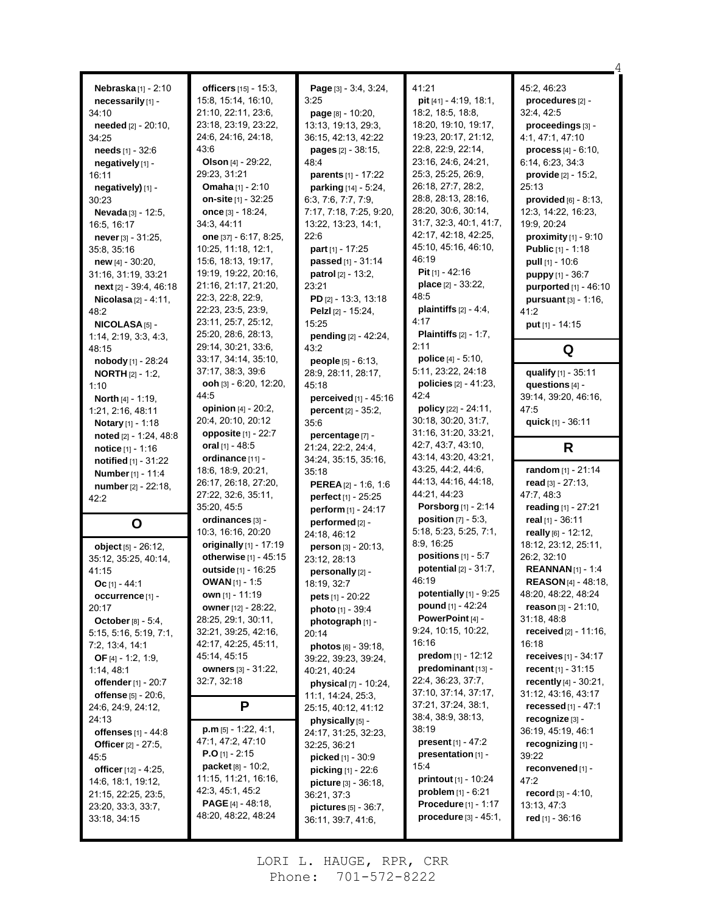| Nebraska[1] - 2:10<br>necessarily [1] -<br>34:10<br>needed [2] - 20:10,<br>34:25<br>needs [1] - 32:6<br>negatively [1] -<br>16:11<br>negatively) [1] -<br>30:23<br>Nevada [3] - 12:5,<br>16:5, 16:17<br><b>never</b> $[3] - 31:25$ ,<br>35:8, 35:16<br><b>new</b> $[4] - 30.20$ ,<br>31:16, 31:19, 33:21<br>next $[2] - 39.4, 46.18$<br><b>Nicolasa</b> $[2] - 4:11$ ,<br>48:2<br>NICOLASA <sub>[5]</sub> -<br>1:14, 2:19, 3:3, 4:3, | officers [15] - 15:3,<br>15:8, 15:14, 16:10,<br>21:10, 22:11, 23:6,<br>23:18, 23:19, 23:22,<br>24.6, 24.16, 24:18,<br>43:6<br>Olson [4] - 29:22,<br>29:23, 31:21<br><b>Omaha</b> $[1] - 2:10$<br>on-site [1] - 32:25<br>once [3] - 18:24,<br>34:3, 44:11<br>one [37] - 6:17, 8:25,<br>10:25, 11:18, 12:1,<br>15:6, 18:13, 19:17,<br>19:19, 19:22, 20:16,<br>21:16, 21:17, 21:20,<br>22:3, 22:8, 22:9,<br>22:23, 23:5, 23:9,<br>23:11, 25:7, 25:12,<br>25:20, 28:6, 28:13, | Page [3] - 3:4, 3:24,<br>3:25<br>page [8] - 10:20,<br>13:13, 19:13, 29:3,<br>36:15, 42:13, 42:22<br><b>pages</b> $[2] - 38:15$ ,<br>48.4<br>parents [1] - 17:22<br><b>parking</b> [14] - 5:24,<br>6:3, 7:6, 7:7, 7:9,<br>7:17, 7:18, 7:25, 9:20,<br>13:22, 13:23, 14:1,<br>22:6<br>part [1] - 17:25<br>passed [1] - 31:14<br>patrol [2] - 13:2,<br>23:21<br>PD $[2] - 13:3, 13:18$<br>Pelzl [2] - 15:24,<br>15:25<br>pending [2] - 42:24, | 41:21<br>pit $[41] - 4.19$ , 18.1,<br>18:2, 18:5, 18:8,<br>18:20, 19:10, 19:17,<br>19:23, 20:17, 21:12,<br>22:8, 22:9, 22:14,<br>23:16, 24:6, 24:21,<br>25:3, 25:25, 26:9,<br>26:18, 27:7, 28:2,<br>28:8, 28:13, 28:16,<br>28:20, 30:6, 30:14,<br>31:7, 32:3, 40:1, 41:7,<br>42:17, 42:18, 42:25,<br>45:10, 45:16, 46:10,<br>46:19<br>Pit $[1] - 42:16$<br>place [2] - 33:22,<br>48:5<br>plaintiffs $[2] - 4.4$ ,<br>4:17<br><b>Plaintiffs</b> $[2] - 1:7$ , | 45:2, 46:23<br>procedures [2] -<br>32:4, 42:5<br>proceedings [3] -<br>4:1, 47:1, 47:10<br>process [4] - 6:10,<br>6:14, 6:23, 34:3<br>provide [2] - 15:2,<br>25:13<br>provided $[6]$ - 8:13,<br>12:3, 14:22, 16:23,<br>19:9, 20:24<br>proximity $[1]$ - 9:10<br>Public [1] - 1:18<br><b>pull</b> $[1] - 10.6$<br>puppy [1] - 36:7<br>purported [1] - 46:10<br><b>pursuant</b> $[3] - 1:16$ ,<br>41:2<br>put [1] - 14:15 |
|--------------------------------------------------------------------------------------------------------------------------------------------------------------------------------------------------------------------------------------------------------------------------------------------------------------------------------------------------------------------------------------------------------------------------------------|---------------------------------------------------------------------------------------------------------------------------------------------------------------------------------------------------------------------------------------------------------------------------------------------------------------------------------------------------------------------------------------------------------------------------------------------------------------------------|-------------------------------------------------------------------------------------------------------------------------------------------------------------------------------------------------------------------------------------------------------------------------------------------------------------------------------------------------------------------------------------------------------------------------------------------|--------------------------------------------------------------------------------------------------------------------------------------------------------------------------------------------------------------------------------------------------------------------------------------------------------------------------------------------------------------------------------------------------------------------------------------------------------------|------------------------------------------------------------------------------------------------------------------------------------------------------------------------------------------------------------------------------------------------------------------------------------------------------------------------------------------------------------------------------------------------------------------------|
| 48:15                                                                                                                                                                                                                                                                                                                                                                                                                                | 29:14, 30:21, 33:6,<br>33:17, 34:14, 35:10,                                                                                                                                                                                                                                                                                                                                                                                                                               | 43:2                                                                                                                                                                                                                                                                                                                                                                                                                                      | 2:11<br>police [4] - 5:10,                                                                                                                                                                                                                                                                                                                                                                                                                                   | Q                                                                                                                                                                                                                                                                                                                                                                                                                      |
| nobody [1] - 28:24<br><b>NORTH</b> $[2] - 1:2$ ,<br>1:10<br>North [4] - 1:19,<br>1.21, 2.16, 48.11<br><b>Notary</b> $[1] - 1:18$                                                                                                                                                                                                                                                                                                     | 37:17, 38:3, 39:6<br><b>ooh</b> [3] $-6:20$ , 12:20,<br>44:5<br><b>opinion</b> $[4] - 20.2$ ,<br>20:4, 20:10, 20:12                                                                                                                                                                                                                                                                                                                                                       | <b>people</b> $[5] - 6:13$ ,<br>28:9, 28:11, 28:17,<br>45:18<br>perceived $[1]$ - 45:16<br><b>percent</b> $[2] - 35:2$ ,<br>35:6                                                                                                                                                                                                                                                                                                          | 5:11, 23:22, 24:18<br><b>policies</b> $[2] - 41:23$ ,<br>42:4<br>policy [22] - 24:11,<br>30:18, 30:20, 31:7,                                                                                                                                                                                                                                                                                                                                                 | qualify [1] - 35:11<br>questions [4] -<br>39:14, 39:20, 46:16,<br>47:5<br>quick [1] - 36:11                                                                                                                                                                                                                                                                                                                            |
| noted [2] - 1:24, 48:8<br><b>notice</b> $[1] - 1.16$                                                                                                                                                                                                                                                                                                                                                                                 | opposite [1] - 22:7<br>oral $[1] - 48.5$                                                                                                                                                                                                                                                                                                                                                                                                                                  | percentage [7] -<br>21:24, 22:2, 24:4,                                                                                                                                                                                                                                                                                                                                                                                                    | 31:16, 31:20, 33:21,<br>42:7, 43:7, 43:10,                                                                                                                                                                                                                                                                                                                                                                                                                   | R                                                                                                                                                                                                                                                                                                                                                                                                                      |
| notified [1] - 31:22                                                                                                                                                                                                                                                                                                                                                                                                                 | ordinance [11] -                                                                                                                                                                                                                                                                                                                                                                                                                                                          | 34:24, 35:15, 35:16,                                                                                                                                                                                                                                                                                                                                                                                                                      | 43:14, 43:20, 43:21,                                                                                                                                                                                                                                                                                                                                                                                                                                         |                                                                                                                                                                                                                                                                                                                                                                                                                        |
| <b>Number</b> [1] - 11:4                                                                                                                                                                                                                                                                                                                                                                                                             | 18:6, 18:9, 20:21,<br>26:17, 26:18, 27:20,                                                                                                                                                                                                                                                                                                                                                                                                                                | 35:18                                                                                                                                                                                                                                                                                                                                                                                                                                     | 43:25, 44:2, 44:6,<br>44:13, 44:16, 44:18,                                                                                                                                                                                                                                                                                                                                                                                                                   | random [1] - 21:14<br>read $[3] - 27:13$ ,                                                                                                                                                                                                                                                                                                                                                                             |
| number [2] - 22:18,<br>42:2                                                                                                                                                                                                                                                                                                                                                                                                          | 27:22, 32:6, 35:11,                                                                                                                                                                                                                                                                                                                                                                                                                                                       | <b>PEREA</b> $[2] - 1.6, 1.6$<br>perfect [1] - 25:25                                                                                                                                                                                                                                                                                                                                                                                      | 44:21, 44:23                                                                                                                                                                                                                                                                                                                                                                                                                                                 | 47:7, 48:3                                                                                                                                                                                                                                                                                                                                                                                                             |
|                                                                                                                                                                                                                                                                                                                                                                                                                                      | 35:20, 45:5                                                                                                                                                                                                                                                                                                                                                                                                                                                               | perform [1] - 24:17                                                                                                                                                                                                                                                                                                                                                                                                                       | Porsborg [1] - 2:14                                                                                                                                                                                                                                                                                                                                                                                                                                          | reading [1] - 27:21                                                                                                                                                                                                                                                                                                                                                                                                    |
| O                                                                                                                                                                                                                                                                                                                                                                                                                                    | ordinances [3] -                                                                                                                                                                                                                                                                                                                                                                                                                                                          | performed [2] -                                                                                                                                                                                                                                                                                                                                                                                                                           | position $[7] - 5:3$ ,                                                                                                                                                                                                                                                                                                                                                                                                                                       | real [1] - 36:11                                                                                                                                                                                                                                                                                                                                                                                                       |
| object $[5] - 26:12$ ,<br>35:12, 35:25, 40:14,<br>41:15                                                                                                                                                                                                                                                                                                                                                                              | 10:3, 16:16, 20:20<br>originally $[1]$ - 17:19<br>otherwise [1] - 45:15<br><b>outside</b> $[1] - 16:25$                                                                                                                                                                                                                                                                                                                                                                   | 24:18, 46:12<br>person [3] - 20:13,<br>23:12, 28:13<br>personally [2] -                                                                                                                                                                                                                                                                                                                                                                   | 5:18, 5:23, 5:25, 7:1,<br>8:9, 16:25<br>positions $[1] - 5:7$<br>potential $[2] - 31:7$ ,                                                                                                                                                                                                                                                                                                                                                                    | really [6] - 12:12,<br>18:12, 23:12, 25:11,<br>26:2, 32:10<br><b>REANNAN</b> [1] - 1:4                                                                                                                                                                                                                                                                                                                                 |
| Oc [1] - 44:1                                                                                                                                                                                                                                                                                                                                                                                                                        | <b>OWAN</b> $[1]$ - 1:5<br>own [1] - 11:19                                                                                                                                                                                                                                                                                                                                                                                                                                | 18:19, 32:7                                                                                                                                                                                                                                                                                                                                                                                                                               | 46:19<br>potentially [1] - 9:25                                                                                                                                                                                                                                                                                                                                                                                                                              | <b>REASON</b> [4] - 48:18,<br>48:20, 48:22, 48:24                                                                                                                                                                                                                                                                                                                                                                      |
| <b>occurrence</b> [1] -<br>20:17                                                                                                                                                                                                                                                                                                                                                                                                     | owner [12] - 28:22,                                                                                                                                                                                                                                                                                                                                                                                                                                                       | pets [1] - 20:22<br><b>photo</b> $[1] - 39:4$                                                                                                                                                                                                                                                                                                                                                                                             | pound [1] - 42:24                                                                                                                                                                                                                                                                                                                                                                                                                                            | reason $[3] - 21:10$ ,                                                                                                                                                                                                                                                                                                                                                                                                 |
| October [8] - 5:4,                                                                                                                                                                                                                                                                                                                                                                                                                   | 28:25, 29:1, 30:11,                                                                                                                                                                                                                                                                                                                                                                                                                                                       | photograph [1] -                                                                                                                                                                                                                                                                                                                                                                                                                          | PowerPoint $[4]$ -                                                                                                                                                                                                                                                                                                                                                                                                                                           | 31:18, 48:8                                                                                                                                                                                                                                                                                                                                                                                                            |
| 5:15, 5:16, 5:19, 7:1,                                                                                                                                                                                                                                                                                                                                                                                                               | 32:21, 39:25, 42:16,                                                                                                                                                                                                                                                                                                                                                                                                                                                      | 20:14                                                                                                                                                                                                                                                                                                                                                                                                                                     | 9:24, 10:15, 10:22,                                                                                                                                                                                                                                                                                                                                                                                                                                          | <b>received</b> $[2] - 11:16$ ,                                                                                                                                                                                                                                                                                                                                                                                        |
| 7:2, 13:4, 14:1                                                                                                                                                                                                                                                                                                                                                                                                                      | 42:17, 42:25, 45:11,                                                                                                                                                                                                                                                                                                                                                                                                                                                      | photos [6] - 39:18,                                                                                                                                                                                                                                                                                                                                                                                                                       | 16:16<br><b>predom</b> $[1] - 12:12$                                                                                                                                                                                                                                                                                                                                                                                                                         | 16:18                                                                                                                                                                                                                                                                                                                                                                                                                  |
| <b>OF</b> [4] $- 1.2, 1.9,$<br>1:14, 48:1                                                                                                                                                                                                                                                                                                                                                                                            | 45:14, 45:15<br><b>owners</b> [3] - 31:22,                                                                                                                                                                                                                                                                                                                                                                                                                                | 39:22, 39:23, 39:24,<br>40:21, 40:24                                                                                                                                                                                                                                                                                                                                                                                                      | predominant [13] -                                                                                                                                                                                                                                                                                                                                                                                                                                           | receives $[1] - 34:17$<br>recent $[1] - 31:15$                                                                                                                                                                                                                                                                                                                                                                         |
| offender [1] - 20:7                                                                                                                                                                                                                                                                                                                                                                                                                  | 32:7, 32:18                                                                                                                                                                                                                                                                                                                                                                                                                                                               | physical [7] - 10:24,                                                                                                                                                                                                                                                                                                                                                                                                                     | 22:4, 36:23, 37:7,                                                                                                                                                                                                                                                                                                                                                                                                                                           | recently [4] - 30:21,                                                                                                                                                                                                                                                                                                                                                                                                  |
| offense [5] - 20:6,                                                                                                                                                                                                                                                                                                                                                                                                                  |                                                                                                                                                                                                                                                                                                                                                                                                                                                                           | 11:1, 14:24, 25:3,                                                                                                                                                                                                                                                                                                                                                                                                                        | 37:10, 37:14, 37:17,                                                                                                                                                                                                                                                                                                                                                                                                                                         | 31:12, 43:16, 43:17                                                                                                                                                                                                                                                                                                                                                                                                    |
| 24:6, 24:9, 24:12,                                                                                                                                                                                                                                                                                                                                                                                                                   | P                                                                                                                                                                                                                                                                                                                                                                                                                                                                         | 25:15, 40:12, 41:12                                                                                                                                                                                                                                                                                                                                                                                                                       | 37:21, 37:24, 38:1,                                                                                                                                                                                                                                                                                                                                                                                                                                          | recessed $[1] - 47:1$                                                                                                                                                                                                                                                                                                                                                                                                  |
| 24:13<br>offenses $[1] - 44.8$                                                                                                                                                                                                                                                                                                                                                                                                       | $p.m$ [5] - 1:22, 4:1,                                                                                                                                                                                                                                                                                                                                                                                                                                                    | physically [5] -<br>24:17, 31:25, 32:23,                                                                                                                                                                                                                                                                                                                                                                                                  | 38:4, 38:9, 38:13,<br>38:19                                                                                                                                                                                                                                                                                                                                                                                                                                  | recognize $[3]$ -<br>36:19, 45:19, 46:1                                                                                                                                                                                                                                                                                                                                                                                |
| <b>Officer</b> [2] - 27:5,                                                                                                                                                                                                                                                                                                                                                                                                           | 47:1, 47:2, 47:10                                                                                                                                                                                                                                                                                                                                                                                                                                                         | 32:25, 36:21                                                                                                                                                                                                                                                                                                                                                                                                                              | <b>present</b> $[1] - 47:2$                                                                                                                                                                                                                                                                                                                                                                                                                                  | recognizing [1] -                                                                                                                                                                                                                                                                                                                                                                                                      |
| 45:5                                                                                                                                                                                                                                                                                                                                                                                                                                 | <b>P.O</b> [1] - 2:15                                                                                                                                                                                                                                                                                                                                                                                                                                                     | picked [1] - 30:9                                                                                                                                                                                                                                                                                                                                                                                                                         | presentation [1] -                                                                                                                                                                                                                                                                                                                                                                                                                                           | 39:22                                                                                                                                                                                                                                                                                                                                                                                                                  |
| officer [12] - 4:25,                                                                                                                                                                                                                                                                                                                                                                                                                 | packet [8] - 10:2,                                                                                                                                                                                                                                                                                                                                                                                                                                                        | picking [1] - 22:6                                                                                                                                                                                                                                                                                                                                                                                                                        | 15:4                                                                                                                                                                                                                                                                                                                                                                                                                                                         | reconvened [1] -                                                                                                                                                                                                                                                                                                                                                                                                       |
| 14:6, 18:1, 19:12,                                                                                                                                                                                                                                                                                                                                                                                                                   | 11:15, 11:21, 16:16,<br>42:3, 45:1, 45:2                                                                                                                                                                                                                                                                                                                                                                                                                                  | picture [3] - 36:18,                                                                                                                                                                                                                                                                                                                                                                                                                      | <b>printout</b> $[1] - 10:24$<br><b>problem</b> $[1] - 6:21$                                                                                                                                                                                                                                                                                                                                                                                                 | 47:2                                                                                                                                                                                                                                                                                                                                                                                                                   |
| 21:15, 22:25, 23:5,<br>23:20, 33:3, 33:7,                                                                                                                                                                                                                                                                                                                                                                                            | <b>PAGE</b> [4] - 48:18,                                                                                                                                                                                                                                                                                                                                                                                                                                                  | 36:21, 37:3                                                                                                                                                                                                                                                                                                                                                                                                                               | <b>Procedure [1] - 1:17</b>                                                                                                                                                                                                                                                                                                                                                                                                                                  | <b>record</b> $[3] - 4.10$ ,<br>13:13, 47:3                                                                                                                                                                                                                                                                                                                                                                            |
| 33:18, 34:15                                                                                                                                                                                                                                                                                                                                                                                                                         | 48:20, 48:22, 48:24                                                                                                                                                                                                                                                                                                                                                                                                                                                       | pictures [5] - 36:7,<br>36:11, 39:7, 41:6,                                                                                                                                                                                                                                                                                                                                                                                                | procedure [3] - 45:1,                                                                                                                                                                                                                                                                                                                                                                                                                                        | red [1] - 36:16                                                                                                                                                                                                                                                                                                                                                                                                        |
|                                                                                                                                                                                                                                                                                                                                                                                                                                      |                                                                                                                                                                                                                                                                                                                                                                                                                                                                           |                                                                                                                                                                                                                                                                                                                                                                                                                                           |                                                                                                                                                                                                                                                                                                                                                                                                                                                              |                                                                                                                                                                                                                                                                                                                                                                                                                        |

4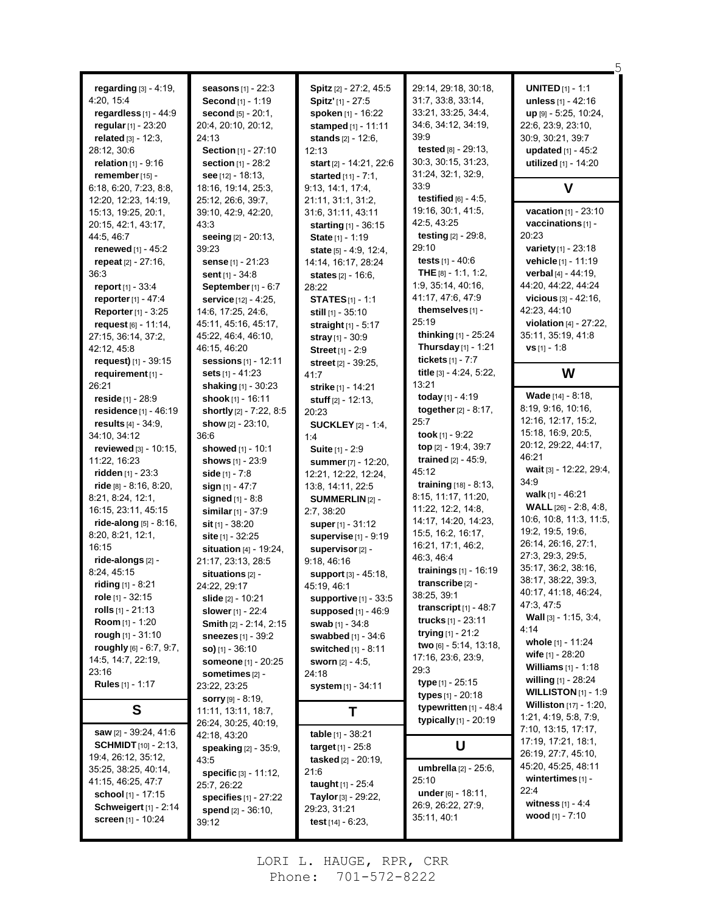| regarding $[3] - 4.19$ ,                       | seasons [1] - 22:3                              | Spitz [2] - 27:2, 45:5                   | 29:14, 29:18, 30:18,                          | <b>UNITED</b> $[1] - 1:1$        |
|------------------------------------------------|-------------------------------------------------|------------------------------------------|-----------------------------------------------|----------------------------------|
| 4:20, 15:4                                     | Second [1] - 1:19                               | Spitz' [1] - 27:5                        | 31:7, 33:8, 33:14,                            | unless $[1] - 42:16$             |
| regardless $[1]$ - 44:9                        | <b>second</b> $[5] - 20:1$ ,                    | spoken [1] - 16:22                       | 33:21, 33:25, 34:4,                           | $up$ [9] - 5:25, 10:24,          |
| regular $[1]$ - 23:20                          | 20:4, 20:10, 20:12,                             | stamped $[1] - 11:11$                    | 34:6, 34:12, 34:19,<br>39:9                   | 22:6, 23:9, 23:10,               |
| related [3] - 12:3,                            | 24:13                                           | stands [2] - 12:6,                       | tested [8] - 29:13,                           | 30:9, 30:21, 39:7                |
| 28:12, 30:6                                    | Section [1] - 27:10                             | 12:13                                    |                                               | updated [1] - 45:2               |
| relation $[1] - 9:16$                          | section [1] - 28:2                              | start [2] - 14:21, 22:6                  | 30:3, 30:15, 31:23,<br>31:24, 32:1, 32:9,     | utilized [1] - 14:20             |
| remember [15] -                                | see [12] - 18:13,                               | started [11] - 7:1,                      | 33.9                                          |                                  |
| 6:18, 6:20, 7:23, 8:8,                         | 18:16, 19:14, 25:3,                             | 9:13, 14:1, 17:4,                        | testified $[6] - 4.5$ ,                       | v                                |
| 12:20, 12:23, 14:19,                           | 25:12, 26:6, 39:7,                              | 21:11, 31:1, 31:2,                       | 19:16, 30:1, 41:5,                            | vacation [1] - 23:10             |
| 15:13, 19:25, 20:1,                            | 39:10, 42:9, 42:20,                             | 31:6, 31:11, 43:11                       | 42:5, 43:25                                   | vaccinations [1] -               |
| 20.15, 42:1, 43:17,                            | 43:3                                            | <b>starting</b> $[1] - 36:15$            | testing [2] - 29:8,                           | 20:23                            |
| 44.5, 46.7<br>renewed [1] - 45:2               | seeing [2] - 20:13,<br>39:23                    | State [1] - 1:19                         | 29:10                                         | variety [1] - 23:18              |
|                                                |                                                 | <b>state</b> $[5] - 4.9, 12.4,$          | tests $[1] - 40.6$                            | vehicle [1] - 11:19              |
| repeat [2] - 27:16,<br>36:3                    | sense [1] - 21:23                               | 14:14, 16:17, 28:24                      | THE $[8] - 1:1, 1:2,$                         | verbal [4] - 44:19,              |
| report $[1] - 33.4$                            | <b>sent</b> $[1] - 34.8$<br>September [1] - 6:7 | states [2] - 16:6,                       | 1.9, 35.14, 40.16,                            | 44:20, 44:22, 44:24              |
| reporter $[1] - 47.4$                          | service [12] - 4:25,                            | 28:22                                    | 41:17, 47:6, 47:9                             | vicious $[3] - 42:16$ ,          |
| <b>Reporter</b> [1] - 3:25                     | 14:6, 17:25, 24:6,                              | <b>STATES</b> [1] - 1:1                  | themselves [1] -                              | 42:23, 44:10                     |
|                                                | 45:11, 45:16, 45:17,                            | still $[1]$ - 35:10                      | 25:19                                         | <b>violation</b> $[4] - 27:22$ , |
| request $[6] - 11.14$ ,<br>27:15, 36:14, 37:2, | 45:22, 46:4, 46:10,                             | straight $[1] - 5:17$                    | thinking $[1]$ - 25:24                        | 35:11, 35:19, 41:8               |
|                                                | 46:15, 46:20                                    | stray $[1] - 30.9$                       | <b>Thursday</b> [1] - 1:21                    | $vs$ [1] - 1:8                   |
| 42:12, 45:8<br>request) [1] - 39:15            | <b>sessions</b> $[1]$ - 12:11                   | Street [1] - 2:9                         | tickets [1] - 7:7                             |                                  |
|                                                | <b>sets</b> $[1] - 41:23$                       | <b>street</b> $[2] - 39.25$ ,            | title [3] - 4:24, 5:22,                       | W                                |
| requirement [1] -<br>26:21                     |                                                 | 41:7                                     | 13:21                                         |                                  |
| reside [1] - 28:9                              | shaking [1] - 30:23<br>shook [1] - 16:11        | strike [1] - 14:21                       | today $[1] - 4:19$                            | Wade [14] - 8:18,                |
| residence [1] - 46:19                          | shortly [2] - 7:22, 8:5                         | stuff $[2] - 12:13$ ,                    | together $[2] - 8:17$ ,                       | 8:19, 9:16, 10:16,               |
|                                                | show $[2] - 23:10$ ,                            | 20:23                                    | 25:7                                          | 12:16, 12:17, 15:2,              |
| results $[4] - 34.9$ ,<br>34:10, 34:12         | 36:6                                            | <b>SUCKLEY</b> [2] - 1:4,                | took $[1] - 9.22$                             | 15:18, 16:9, 20:5,               |
| reviewed [3] - 10:15,                          | showed [1] - 10:1                               | 1:4                                      | top [2] - 19:4, 39:7                          | 20:12, 29:22, 44:17,             |
| 11:22, 16:23                                   | shows [1] - 23:9                                | Suite [1] - 2:9                          | <b>trained</b> $[2] - 45.9$ ,                 | 46:21                            |
| ridden $[1] - 23.3$                            | side $[1] - 7.8$                                | summer [7] - 12:20,                      | 45:12                                         | wait [3] - 12:22, 29:4,          |
| ride $[8] - 8.16, 8.20,$                       | sign $[1] - 47:7$                               | 12:21, 12:22, 12:24,                     | training [18] - 8:13,                         | 34:9                             |
| 8:21, 8:24, 12:1,                              | signed $[1] - 8.8$                              | 13.8, 14:11, 22:5                        | 8:15, 11:17, 11:20,                           | walk $[1] - 46:21$               |
| 16:15, 23:11, 45:15                            | similar [1] - 37:9                              | <b>SUMMERLIN [2] -</b>                   | 11:22, 12:2, 14:8,                            | <b>WALL</b> [26] - 2:8, 4:8,     |
| ride-along $[5] - 8:16$ ,                      | sit $[1] - 38:20$                               | 2:7, 38:20<br>super [1] - 31:12          | 14:17, 14:20, 14:23,                          | 10:6, 10:8, 11:3, 11:5,          |
| 8:20, 8:21, 12:1,                              | site [1] - 32:25                                | supervise $[1]$ - 9:19                   | 15:5, 16:2, 16:17,                            | 19:2, 19:5, 19:6,                |
| 16:15                                          | <b>situation</b> $[4] - 19.24$ ,                | supervisor <sup>[2]</sup> -              | 16:21, 17:1, 46:2,                            | 26:14, 26:16, 27:1,              |
| ride-alongs [2] -                              | 21:17, 23:13, 28:5                              |                                          |                                               |                                  |
|                                                |                                                 |                                          |                                               | 27:3, 29:3, 29:5,                |
|                                                |                                                 | 9:18, 46:16                              | 46:3, 46:4                                    | 35:17, 36:2, 38:16,              |
| 8.24, 45.15                                    | situations [2] -                                | support [3] - 45:18,                     | trainings [1] - 16:19<br>transcribe [2] -     | 38:17, 38:22, 39:3,              |
| riding [1] - 8:21                              | 24:22, 29:17                                    | 45:19, 46:1                              | 38:25, 39:1                                   | 40:17, 41:18, 46:24,             |
| role [1] - 32:15                               | slide [2] - 10:21                               | supportive $[1]$ - 33:5                  | transcript $[1]$ - 48:7                       | 47:3, 47:5                       |
| rolls $[1]$ - 21:13                            | <b>slower</b> [1] - 22:4                        | supposed [1] - 46:9                      | <b>trucks</b> $[1] - 23:11$                   | Wall [3] - 1:15, 3:4,            |
| Room [1] - 1:20                                | Smith [2] - 2:14, 2:15                          | <b>swab</b> [1] - 34:8                   |                                               | 4:14                             |
| rough $[1] - 31:10$                            | <b>sneezes</b> $[1] - 39:2$                     | swabbed [1] - 34:6                       | trying $[1]$ - 21:2<br>two [6] - 5:14, 13:18, | whole [1] - 11:24                |
| roughly [6] - 6:7, 9:7,                        | $SO(11 - 36:10)$                                | switched [1] - 8:11                      |                                               | wife $[1]$ - 28:20               |
| 14.5, 14.7, 22.19,                             | someone [1] - 20:25                             | <b>sworn</b> $[2] - 4.5$                 | 17:16, 23:6, 23:9,<br>29:3                    | <b>Williams</b> $[1] - 1:18$     |
| 23:16                                          | sometimes $[2]$ -                               | 24:18                                    | type [1] - 25:15                              | willing $[1] - 28.24$            |
| <b>Rules</b> [1] - 1:17                        | 23:22, 23:25                                    | system [1] - 34:11                       | types [1] - 20:18                             | <b>WILLISTON</b> $[1] - 1.9$     |
|                                                | <b>sorry</b> $[9] - 8:19$ ,                     |                                          | typewritten [1] - 48:4                        | <b>Williston</b> [17] - 1:20,    |
| S                                              | 11:11, 13:11, 18:7,                             | Τ                                        | typically [1] - 20:19                         | 1:21, 4:19, 5:8, 7:9,            |
| <b>saw</b> [2] - 39:24, 41:6                   | 26:24, 30:25, 40:19,                            | <b>table</b> $[1] - 38:21$               |                                               | 7:10, 13:15, 17:17,              |
| <b>SCHMIDT</b> [10] - 2:13,                    | 42:18, 43:20                                    | <b>target</b> $[1]$ - 25:8               | U                                             | 17:19, 17:21, 18:1,              |
| 19:4, 26:12, 35:12,                            | <b>speaking</b> [2] - 35:9,                     |                                          |                                               | 26:19, 27:7, 45:10,              |
| 35:25, 38:25, 40:14,                           | 43:5                                            | tasked [2] - 20:19,<br>21:6              | umbrella [2] - 25:6,                          | 45:20, 45:25, 48:11              |
| 41:15, 46:25, 47:7                             | <b>specific</b> $[3] - 11:12$ ,                 |                                          | 25:10                                         | wintertimes $[1]$ -              |
| school [1] - 17:15                             | 25:7, 26:22                                     | taught [1] - 25:4<br>Taylor [3] - 29:22, | under [6] - 18:11,                            | 22:4                             |
| <b>Schweigert</b> [1] - 2:14                   | specifies [1] - 27:22                           | 29:23, 31:21                             | 26:9, 26:22, 27:9,                            | <b>witness</b> $[1] - 4.4$       |
| <b>screen</b> [1] - 10:24                      | spend $[2] - 36:10$ ,<br>39:12                  | test $[14] - 6.23$ ,                     | 35:11, 40:1                                   | wood $[1]$ - 7:10                |